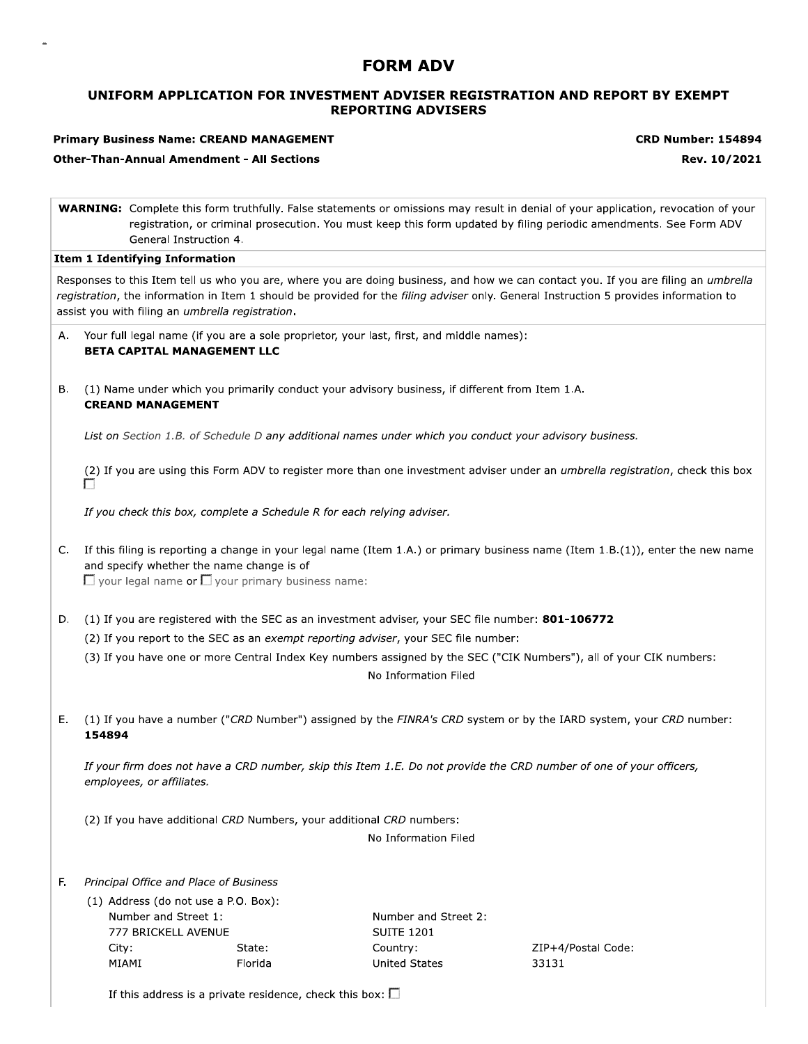# **FORM ADV**

# UNIFORM APPLICATION FOR INVESTMENT ADVISER REGISTRATION AND REPORT BY EXEMPT **REPORTING ADVISERS**

### **Primary Business Name: CREAND MANAGEMENT**

**CRD Number: 154894** 

Rev. 10/2021

**Other-Than-Annual Amendment - All Sections** 

|  | <b>WARNING:</b> Complete this form truthfully. False statements or omissions may result in denial of your application, revocation of your |
|--|-------------------------------------------------------------------------------------------------------------------------------------------|
|  | registration, or criminal prosecution. You must keep this form updated by filing periodic amendments. See Form ADV                        |
|  | General Instruction 4.                                                                                                                    |

#### **Item 1 Identifying Information**

Responses to this Item tell us who you are, where you are doing business, and how we can contact you. If you are filing an umbrella registration, the information in Item 1 should be provided for the filing adviser only. General Instruction 5 provides information to assist you with filing an umbrella registration.

| A. Your full legal name (if you are a sole proprietor, your last, first, and middle names):<br><b>BETA CAPITAL MANAGEMENT LLC</b> |
|-----------------------------------------------------------------------------------------------------------------------------------|
|                                                                                                                                   |

**B.** (1) Name under which you primarily conduct your advisory business, if different from Item 1.A. **CREAND MANAGEMENT** 

List on Section 1.B. of Schedule D any additional names under which you conduct your advisory business.

(2) If you are using this Form ADV to register more than one investment adviser under an umbrella registration, check this box

If you check this box, complete a Schedule R for each relying adviser.

C. If this filing is reporting a change in your legal name (Item 1.A.) or primary business name (Item 1.B.(1)), enter the new name and specify whether the name change is of

 $\Box$  your legal name or  $\Box$  your primary business name:

- D. (1) If you are registered with the SEC as an investment adviser, your SEC file number: 801-106772
	- (2) If you report to the SEC as an exempt reporting adviser, your SEC file number:
	- (3) If you have one or more Central Index Key numbers assigned by the SEC ("CIK Numbers"), all of your CIK numbers: No Information Filed
- E. (1) If you have a number ("CRD Number") assigned by the FINRA's CRD system or by the IARD system, your CRD number: 154894

If your firm does not have a CRD number, skip this Item 1.E. Do not provide the CRD number of one of your officers, employees, or affiliates.

(2) If you have additional CRD Numbers, your additional CRD numbers:

No Information Filed

#### F. Principal Office and Place of Business

(1) Address (do not use a P.O. Box): Number and Street 1: 777 BRICKELL AVENUE City: State: MIAMI Florida

Number and Street 2: **SUITE 1201** Country: **United States** 

ZIP+4/Postal Code: 33131

If this address is a private residence, check this box:  $\square$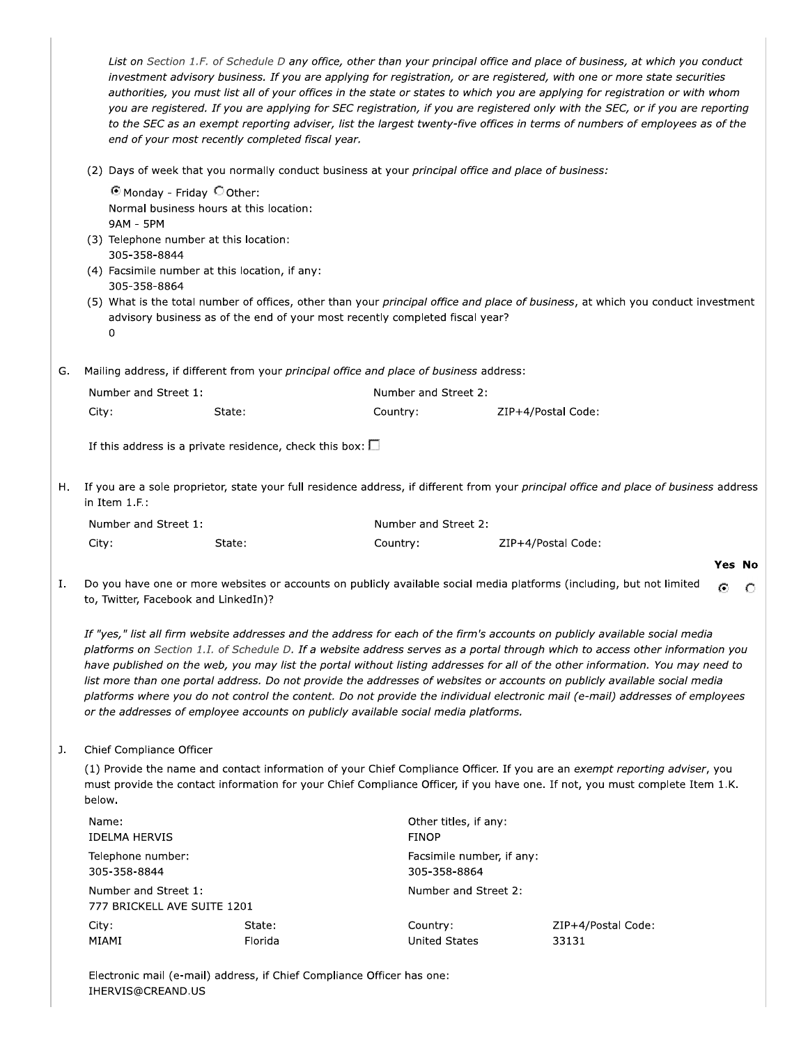|    |                                                              | end of your most recently completed fiscal year.                                                                                                                  |                                                                                         | List on Section 1.F. of Schedule D any office, other than your principal office and place of business, at which you conduct<br>investment advisory business. If you are applying for registration, or are registered, with one or more state securities<br>authorities, you must list all of your offices in the state or states to which you are applying for registration or with whom<br>you are registered. If you are applying for SEC registration, if you are registered only with the SEC, or if you are reporting<br>to the SEC as an exempt reporting adviser, list the largest twenty-five offices in terms of numbers of employees as of the |  |
|----|--------------------------------------------------------------|-------------------------------------------------------------------------------------------------------------------------------------------------------------------|-----------------------------------------------------------------------------------------|----------------------------------------------------------------------------------------------------------------------------------------------------------------------------------------------------------------------------------------------------------------------------------------------------------------------------------------------------------------------------------------------------------------------------------------------------------------------------------------------------------------------------------------------------------------------------------------------------------------------------------------------------------|--|
|    |                                                              |                                                                                                                                                                   |                                                                                         | (2) Days of week that you normally conduct business at your principal office and place of business:                                                                                                                                                                                                                                                                                                                                                                                                                                                                                                                                                      |  |
|    | <b>9AM - 5PM</b><br>305-358-8844<br>305-358-8864<br>$\Omega$ | O Monday - Friday O Other:<br>Normal business hours at this location:<br>(3) Telephone number at this location:<br>(4) Facsimile number at this location, if any: | advisory business as of the end of your most recently completed fiscal year?            | (5) What is the total number of offices, other than your principal office and place of business, at which you conduct investment                                                                                                                                                                                                                                                                                                                                                                                                                                                                                                                         |  |
| G. |                                                              |                                                                                                                                                                   | Mailing address, if different from your principal office and place of business address: |                                                                                                                                                                                                                                                                                                                                                                                                                                                                                                                                                                                                                                                          |  |
|    | Number and Street 1:                                         |                                                                                                                                                                   |                                                                                         | Number and Street 2:                                                                                                                                                                                                                                                                                                                                                                                                                                                                                                                                                                                                                                     |  |
|    | City:                                                        | State:                                                                                                                                                            | Country:                                                                                | ZIP+4/Postal Code:                                                                                                                                                                                                                                                                                                                                                                                                                                                                                                                                                                                                                                       |  |
|    |                                                              | If this address is a private residence, check this box: $\square$                                                                                                 |                                                                                         |                                                                                                                                                                                                                                                                                                                                                                                                                                                                                                                                                                                                                                                          |  |
| н. | in Item 1.F.:                                                |                                                                                                                                                                   |                                                                                         | If you are a sole proprietor, state your full residence address, if different from your principal office and place of business address                                                                                                                                                                                                                                                                                                                                                                                                                                                                                                                   |  |
|    | Number and Street 1:                                         |                                                                                                                                                                   | Number and Street 2:                                                                    |                                                                                                                                                                                                                                                                                                                                                                                                                                                                                                                                                                                                                                                          |  |

| $1.9$ and $0.11$ and $0.01$ correct $1.1$ |        | $1191111001$ and Screet E. |                    |  |  |
|-------------------------------------------|--------|----------------------------|--------------------|--|--|
| City:                                     | State: | Country:                   | ZIP+4/Postal Code: |  |  |
|                                           |        |                            |                    |  |  |

Ι. Do you have one or more websites or accounts on publicly available social media platforms (including, but not limited  $\odot$  $\circ$ to, Twitter, Facebook and LinkedIn)?

Yes No

If "yes," list all firm website addresses and the address for each of the firm's accounts on publicly available social media platforms on Section 1.1. of Schedule D. If a website address serves as a portal through which to access other information you have published on the web, you may list the portal without listing addresses for all of the other information. You may need to list more than one portal address. Do not provide the addresses of websites or accounts on publicly available social media platforms where you do not control the content. Do not provide the individual electronic mail (e-mail) addresses of employees or the addresses of employee accounts on publicly available social media platforms.

#### $J<sub>r</sub>$ Chief Compliance Officer

(1) Provide the name and contact information of your Chief Compliance Officer. If you are an exempt reporting adviser, you must provide the contact information for your Chief Compliance Officer, if you have one. If not, you must complete Item 1.K. below.

| Name:<br>IDELMA HERVIS                              |                   | Other titles, if any:<br><b>FINOP</b>     |                             |  |
|-----------------------------------------------------|-------------------|-------------------------------------------|-----------------------------|--|
| Telephone number:<br>305-358-8844                   |                   | Facsimile number, if any:<br>305-358-8864 |                             |  |
| Number and Street 1:<br>777 BRICKELL AVE SUITE 1201 |                   | Number and Street 2:                      |                             |  |
| City:<br>MIAMI                                      | State:<br>Florida | Country:<br>United States                 | ZIP+4/Postal Code:<br>33131 |  |

Electronic mail (e-mail) address, if Chief Compliance Officer has one: IHERVIS@CREAND.US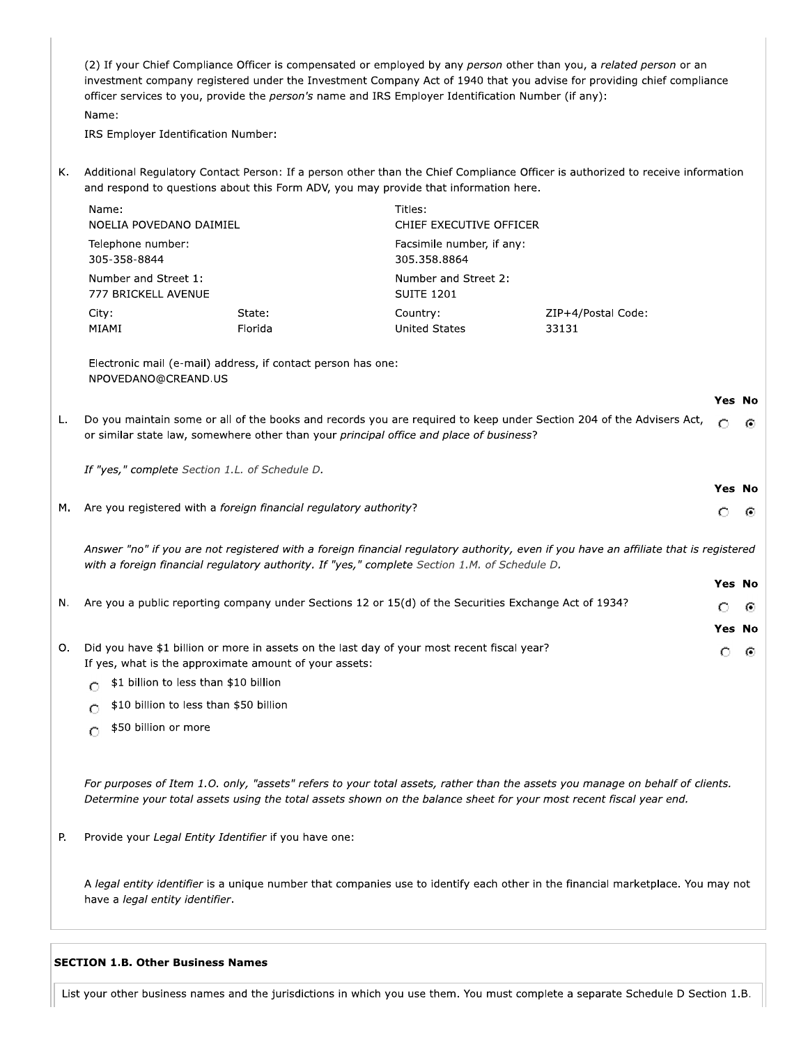(2) If your Chief Compliance Officer is compensated or employed by any person other than you, a related person or an investment company registered under the Investment Company Act of 1940 that you advise for providing chief compliance officer services to you, provide the person's name and IRS Employer Identification Number (if any): Name:

IRS Employer Identification Number:

K. Additional Regulatory Contact Person: If a person other than the Chief Compliance Officer is authorized to receive information and respond to questions about this Form ADV, you may provide that information here.

| Name:                                                        |                                                              | Titles:                                                              |                                                                                                                      |        |      |
|--------------------------------------------------------------|--------------------------------------------------------------|----------------------------------------------------------------------|----------------------------------------------------------------------------------------------------------------------|--------|------|
| NOELIA POVEDANO DAIMIEL<br>Telephone number:<br>305-358-8844 |                                                              | CHIEF EXECUTIVE OFFICER<br>Facsimile number, if any:<br>305.358.8864 |                                                                                                                      |        |      |
| Number and Street 1:<br>777 BRICKELL AVENUE                  |                                                              | Number and Street 2:<br><b>SUITE 1201</b>                            |                                                                                                                      |        |      |
| City:<br>MIAMI                                               | State:<br>Florida                                            | Country:<br><b>United States</b>                                     | ZIP+4/Postal Code:<br>33131                                                                                          |        |      |
| NPOVEDANO@CREAND.US                                          | Electronic mail (e-mail) address, if contact person has one: |                                                                      |                                                                                                                      |        |      |
|                                                              |                                                              |                                                                      |                                                                                                                      | Yes No |      |
|                                                              |                                                              |                                                                      | Do you maintain some or all of the books and records you are required to keep under Section 204 of the Advisers Act, | ⌒.     | - 63 |

L. v. or similar state law, somewhere other than your principal office and place of business?

If "yes," complete Section 1.L. of Schedule D.

M. Are you registered with a foreign financial regulatory authority?

Answer "no" if you are not registered with a foreign financial regulatory authority, even if you have an affiliate that is registered with a foreign financial regulatory authority. If "yes," complete Section 1.M. of Schedule D.

Yes No

Yes No

⊙

O

- Are you a public reporting company under Sections 12 or 15(d) of the Securities Exchange Act of 1934? N. Ω G) Yes No O. Did you have \$1 billion or more in assets on the last day of your most recent fiscal year? O. - 60
- If yes, what is the approximate amount of your assets:
	- $\bigcap$  \$1 billion to less than \$10 billion
	- \$10 billion to less than \$50 billion  $\circ$
	- \$50 billion or more  $\circ$

For purposes of Item 1.0. only, "assets" refers to your total assets, rather than the assets you manage on behalf of clients. Determine your total assets using the total assets shown on the balance sheet for your most recent fiscal year end.

Provide your Legal Entity Identifier if you have one: Р.

A legal entity identifier is a unique number that companies use to identify each other in the financial marketplace. You may not have a legal entity identifier.

#### **SECTION 1.B. Other Business Names**

List your other business names and the jurisdictions in which you use them. You must complete a separate Schedule D Section 1.B.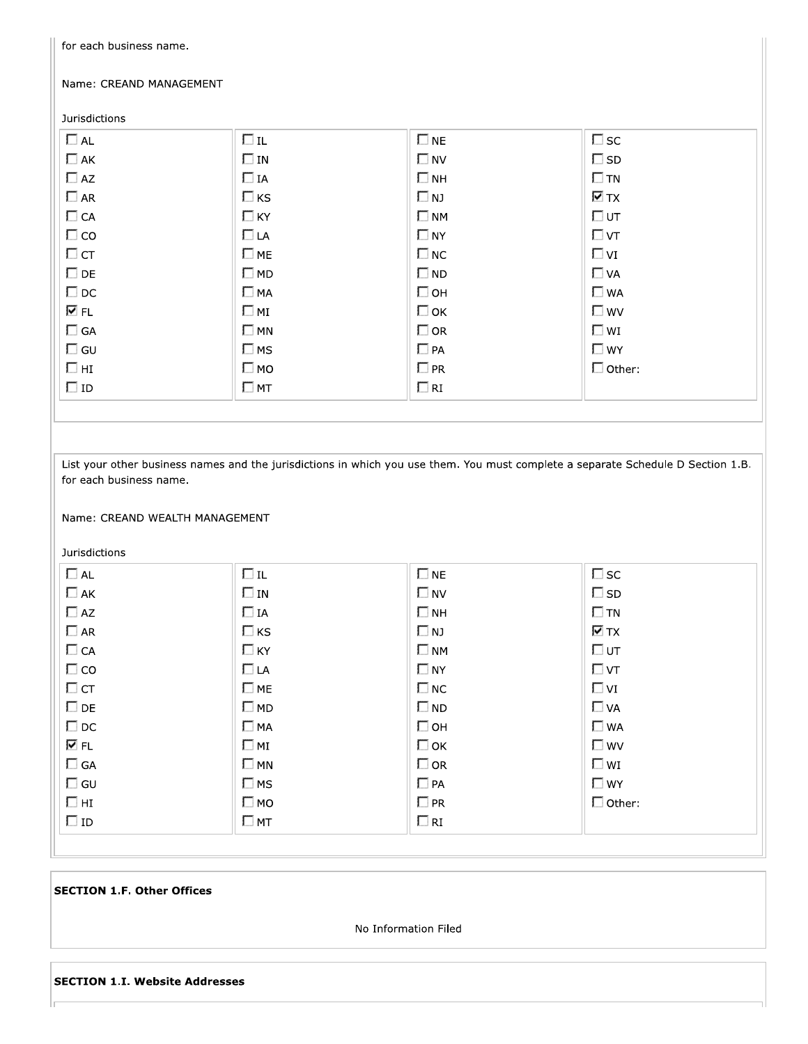| Name: CREAND MANAGEMENT |                                                           |              |                               |  |  |  |  |
|-------------------------|-----------------------------------------------------------|--------------|-------------------------------|--|--|--|--|
| <b>Jurisdictions</b>    |                                                           |              |                               |  |  |  |  |
| $\Box$ AL               | $\Box$ IL                                                 | $\square$ NE | $\square$ sc                  |  |  |  |  |
| $\Box$ AK               | $\square$ IN                                              | $\square$ NV | $\square$ SD                  |  |  |  |  |
| $\Box$ AZ               | $\Box$ IA                                                 | $\square$ NH | $\square$ TN                  |  |  |  |  |
| $\square$ AR            | $\Box$ KS                                                 | $\square$ NJ | $\nabla$ TX                   |  |  |  |  |
| $\Box$ CA               | $\Box$ KY                                                 | $\square$ NM | $\Box$ UT                     |  |  |  |  |
| $\Box$ CO               | $\Box$ LA                                                 | $\square$ NY | $\Box$ VT                     |  |  |  |  |
| $\Box$ CT               | $\square$ ME                                              | $\square$ NC | $\Box$ VI                     |  |  |  |  |
| $\square$ DE            | $\square$ MD                                              | $\square$ ND | $\Box$ VA                     |  |  |  |  |
| $\square$ DC            | $\Box$ MA                                                 | $\Box$ OH    | $\square$ WA                  |  |  |  |  |
| lV FL                   | $\square$ MI                                              | $\Box$ OK    | $\square$ wv                  |  |  |  |  |
| $\Box$ GA               | $\square$ MN                                              | $\square$ OR | $\square$ wi                  |  |  |  |  |
| $\Box$ GU               | $\square$ MS                                              | $\Box$ PA    | $\Box$ WY                     |  |  |  |  |
| $\Box$ HI               | $\Box$ MO                                                 | $\square$ PR | $\Box$ Other:                 |  |  |  |  |
| $\Box$ ID               | $\square$ MT                                              | $\Box$ RI    |                               |  |  |  |  |
|                         |                                                           |              |                               |  |  |  |  |
| Jurisdictions           | for each business name.<br>Name: CREAND WEALTH MANAGEMENT |              |                               |  |  |  |  |
|                         |                                                           |              |                               |  |  |  |  |
|                         |                                                           |              |                               |  |  |  |  |
| $\Box$ AL               | $\Box$ IL                                                 | $\square$ NE | $\square$ sc                  |  |  |  |  |
| $\Box$ AK               | $\Box$ IN                                                 | $\square$ NV | $\square$ SD                  |  |  |  |  |
| $\Box$ AZ               | $\Box$ IA                                                 | $\square$ NH | $\square$ TN                  |  |  |  |  |
| $\Box$<br>AR            | $\Box$ ks                                                 | $\Box$ NJ    | $\overline{\triangledown}$ TX |  |  |  |  |
| $\Box$ CA               | $\Box$ KY                                                 | $\square$ NM | $\Box$ UT                     |  |  |  |  |
| $\Box$ CO               | $\Box$ LA                                                 | $\Box$ NY    | $\Box$ VT                     |  |  |  |  |
| $\Box$ CT               | $\Box$ ME                                                 | $\square$ NC | $\Box$ VI                     |  |  |  |  |
| $\square$ DE            | $\Box$ MD                                                 | $\square$ ND | $\Box$ VA                     |  |  |  |  |
| $\square$ DC            | $\Box$ MA                                                 | $\Box$ OH    | $\square$ WA                  |  |  |  |  |
| V FL                    | $\Box$ MI                                                 | $\Box$ OK    | $\square$ wv                  |  |  |  |  |
| $\Box$ GA               | $\square$ MN                                              | $\Box$ OR    | $\square$ WI                  |  |  |  |  |
| $\square$ GU            | $\Box$ MS                                                 | $\Box$ PA    | $\Box$ WY                     |  |  |  |  |
| $\Box$ HI               | $\square$ MO                                              | $\Box$ PR    | $\Box$ Other:                 |  |  |  |  |
| $\Box$ ID               | $\Box$ MT                                                 | $\Box$ RI    |                               |  |  |  |  |
|                         |                                                           |              |                               |  |  |  |  |

 $\begin{array}{c} \hline \end{array}$ 

# **SECTION 1.F. Other Offices**

No Information Filed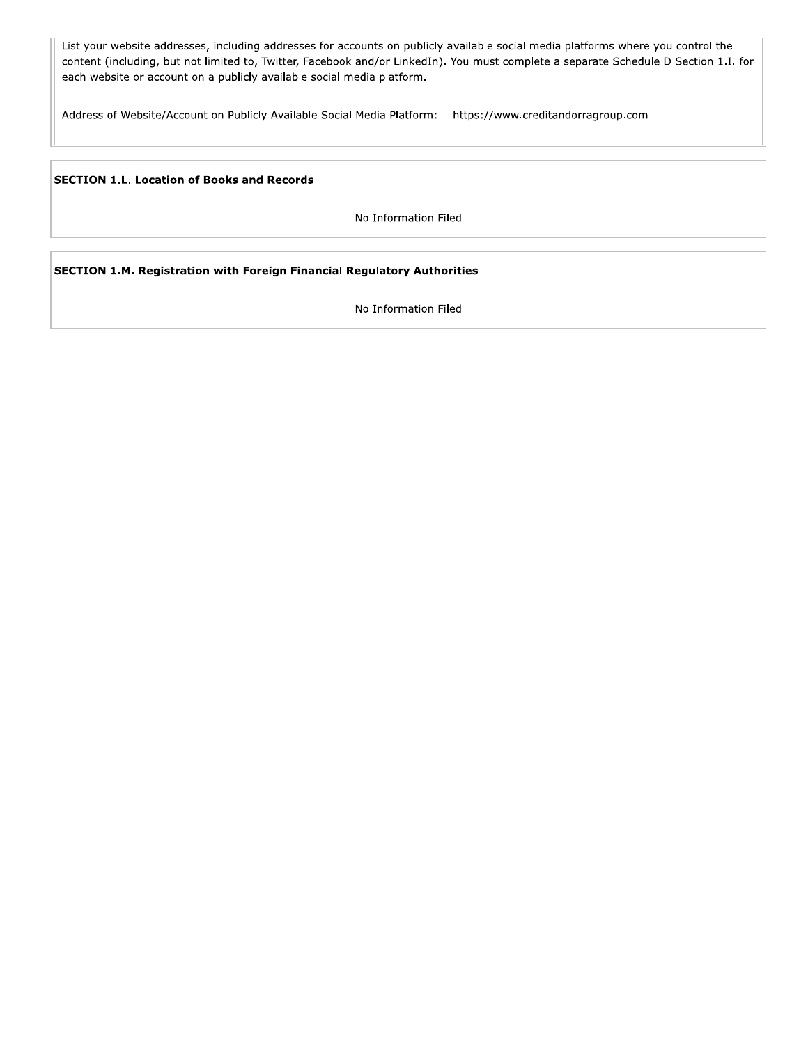List your website addresses, including addresses for accounts on publicly available social media platforms where you control the content (including, but not limited to, Twitter, Facebook and/or LinkedIn). You must complete a separate Schedule D Section 1.I. for each website or account on a publicly available social media platform.

Address of Website/Account on Publicly Available Social Media Platform: https://www.creditandorragroup.com

**SECTION 1.L. Location of Books and Records** 

No Information Filed

SECTION 1.M. Registration with Foreign Financial Regulatory Authorities

No Information Filed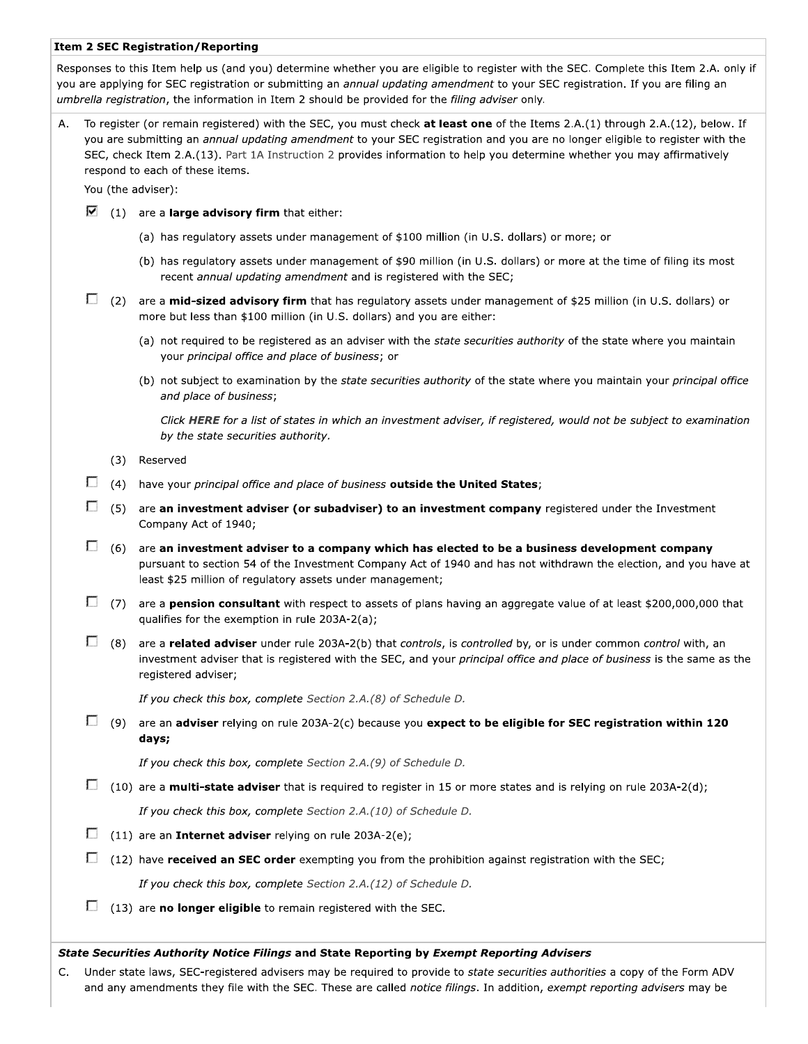#### **Item 2 SEC Registration/Reporting**

Responses to this Item help us (and you) determine whether you are eligible to register with the SEC. Complete this Item 2.A. only if you are applying for SEC registration or submitting an annual updating amendment to your SEC registration. If you are filing an umbrella registration, the information in Item 2 should be provided for the filing adviser only.

To register (or remain registered) with the SEC, you must check at least one of the Items 2.A.(1) through 2.A.(12), below. If Α. you are submitting an annual updating amendment to your SEC registration and you are no longer eligible to register with the SEC, check Item 2.A.(13). Part 1A Instruction 2 provides information to help you determine whether you may affirmatively respond to each of these items.

You (the adviser):

- $\triangledown$  (1) are a **large advisory firm** that either:
	- (a) has regulatory assets under management of \$100 million (in U.S. dollars) or more; or
	- (b) has regulatory assets under management of \$90 million (in U.S. dollars) or more at the time of filing its most recent annual updating amendment and is registered with the SEC;
- $\Box$  (2) are a **mid-sized advisory firm** that has regulatory assets under management of \$25 million (in U.S. dollars) or more but less than \$100 million (in U.S. dollars) and you are either:
	- (a) not required to be registered as an adviser with the state securities authority of the state where you maintain your principal office and place of business; or
	- (b) not subject to examination by the state securities authority of the state where you maintain your principal office and place of business;

Click HERE for a list of states in which an investment adviser, if registered, would not be subject to examination by the state securities authority.

- (3) Reserved
- $\Box$  (4) have your principal office and place of business outside the United States;
- $\Box$  (5) are an investment adviser (or subadviser) to an investment company registered under the Investment Company Act of 1940;
- $\Box$  (6) are an investment adviser to a company which has elected to be a business development company pursuant to section 54 of the Investment Company Act of 1940 and has not withdrawn the election, and you have at least \$25 million of regulatory assets under management;
- $\Box$  (7) are a **pension consultant** with respect to assets of plans having an aggregate value of at least \$200,000,000 that qualifies for the exemption in rule 203A-2(a);
- $\Box$  (8) are a related adviser under rule 203A-2(b) that controls, is controlled by, or is under common control with, an investment adviser that is registered with the SEC, and your principal office and place of business is the same as the registered adviser;

If you check this box, complete Section 2.A.(8) of Schedule D.

 $\Box$  (9) are an adviser relying on rule 203A-2(c) because you expect to be eligible for SEC registration within 120 days;

If you check this box, complete Section 2.A.(9) of Schedule D.

 $\Box$  (10) are a **multi-state adviser** that is required to register in 15 or more states and is relying on rule 203A-2(d);

If you check this box, complete Section 2.A.(10) of Schedule D.

- $\Box$  (11) are an **Internet adviser** relying on rule 203A-2(e);
- $\Box$  (12) have **received an SEC order** exempting you from the prohibition against registration with the SEC;

If you check this box, complete Section 2.A.(12) of Schedule D.

 $\Box$  (13) are **no longer eligible** to remain registered with the SEC.

#### State Securities Authority Notice Filings and State Reporting by Exempt Reporting Advisers

C. Under state laws, SEC-registered advisers may be required to provide to state securities authorities a copy of the Form ADV and any amendments they file with the SEC. These are called notice filings. In addition, exempt reporting advisers may be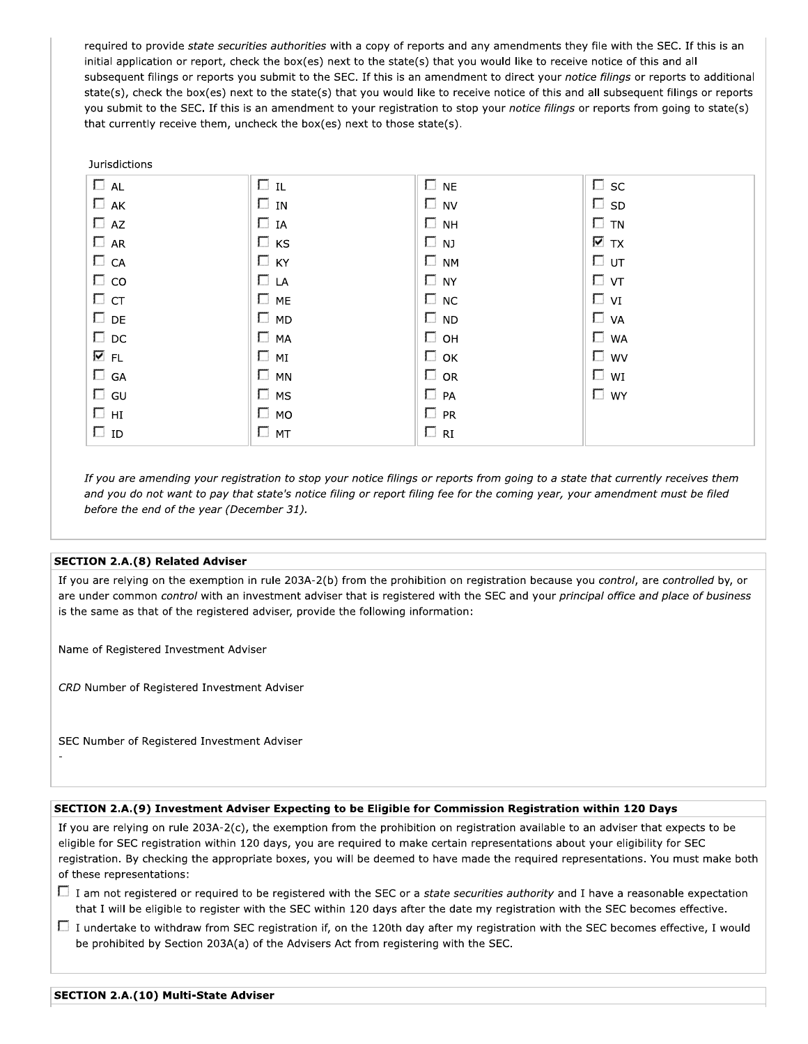required to provide state securities authorities with a copy of reports and any amendments they file with the SEC. If this is an initial application or report, check the box(es) next to the state(s) that you would like to receive notice of this and all subsequent filings or reports you submit to the SEC. If this is an amendment to direct your notice filings or reports to additional state(s), check the box(es) next to the state(s) that you would like to receive notice of this and all subsequent filings or reports you submit to the SEC. If this is an amendment to your registration to stop your notice filings or reports from going to state(s) that currently receive them, uncheck the box(es) next to those state(s).

#### **Jurisdictions**

| $\Box$ AL    | $\Box$ IL    | $\square$ NE | $\square$ sc      |
|--------------|--------------|--------------|-------------------|
| $\Box$ AK    | $\square$ in | $\square$ NV | $\square$ sp      |
| $\Box$ AZ    | $\Box$ IA    | $\square$ NH | $\square$ tn      |
| $\Box$ AR    | $\Box$ KS    | $\square$ NJ | $\overline{M}$ TX |
| $\Box$ CA    | $\Box$ KY    | $\square$ NM | ⊟ υт              |
| $\Box$ co    | $\Box$ LA    | $\square$ NY | $\Box$ vt         |
| $\Box$ CT    | $\square$ ME | $\square$ NC | $\Box$ vi         |
| $\square$ DE | $\square$ MD | $\square$ ND | $\Box$ VA         |
| $\Box$ DC    | $\Box$ MA    | $\Box$ он    | $\Box$ WA         |
| 1⊽ FL        | $\square$ MI | $\Box$ ok    | $\square$ wv      |
| $\square$ GA | $\Box$ MN    | $\Box$ OR    | $\square$ wi      |
| $\square$ GU | $\square$ MS | $\Box$ PA    | $\square$ WY      |
| ⊡ нг         | $\square$ MO | $\Box$ PR    |                   |
| $\square$ ID | $\Box$ MT    | $\Box$ RI    |                   |

If you are amending your registration to stop your notice filings or reports from going to a state that currently receives them and you do not want to pay that state's notice filing or report filing fee for the coming year, your amendment must be filed before the end of the year (December 31).

#### **SECTION 2.A.(8) Related Adviser**

If you are relying on the exemption in rule 203A-2(b) from the prohibition on registration because you control, are controlled by, or are under common control with an investment adviser that is registered with the SEC and your principal office and place of business is the same as that of the registered adviser, provide the following information:

Name of Registered Investment Adviser

CRD Number of Registered Investment Adviser

SEC Number of Registered Investment Adviser

#### SECTION 2.A.(9) Investment Adviser Expecting to be Eligible for Commission Registration within 120 Days

If you are relying on rule 203A-2(c), the exemption from the prohibition on registration available to an adviser that expects to be eligible for SEC registration within 120 days, you are required to make certain representations about your eligibility for SEC registration. By checking the appropriate boxes, you will be deemed to have made the required representations. You must make both of these representations:

- $\Box$  I am not registered or required to be registered with the SEC or a state securities authority and I have a reasonable expectation that I will be eligible to register with the SEC within 120 days after the date my registration with the SEC becomes effective.
- $\Box$  I undertake to withdraw from SEC registration if, on the 120th day after my registration with the SEC becomes effective, I would be prohibited by Section 203A(a) of the Advisers Act from registering with the SEC.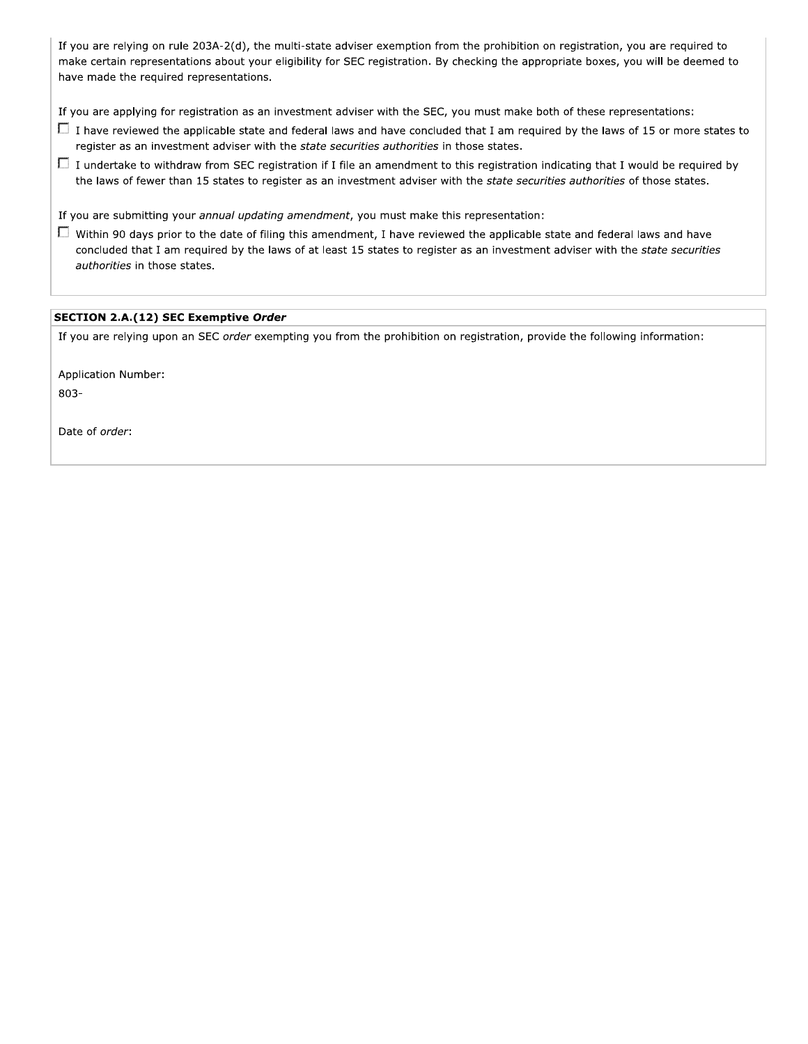If you are relying on rule 203A-2(d), the multi-state adviser exemption from the prohibition on registration, you are required to make certain representations about your eligibility for SEC registration. By checking the appropriate boxes, you will be deemed to have made the required representations.

If you are applying for registration as an investment adviser with the SEC, you must make both of these representations:

- $\Box$  I have reviewed the applicable state and federal laws and have concluded that I am required by the laws of 15 or more states to register as an investment adviser with the state securities authorities in those states.
- $\Box$  I undertake to withdraw from SEC registration if I file an amendment to this registration indicating that I would be required by the laws of fewer than 15 states to register as an investment adviser with the state securities authorities of those states.

If you are submitting your annual updating amendment, you must make this representation:

 $\Box$  Within 90 days prior to the date of filing this amendment, I have reviewed the applicable state and federal laws and have concluded that I am required by the laws of at least 15 states to register as an investment adviser with the state securities authorities in those states.

#### SECTION 2.A.(12) SEC Exemptive Order

If you are relying upon an SEC order exempting you from the prohibition on registration, provide the following information:

Application Number: 803-

Date of order: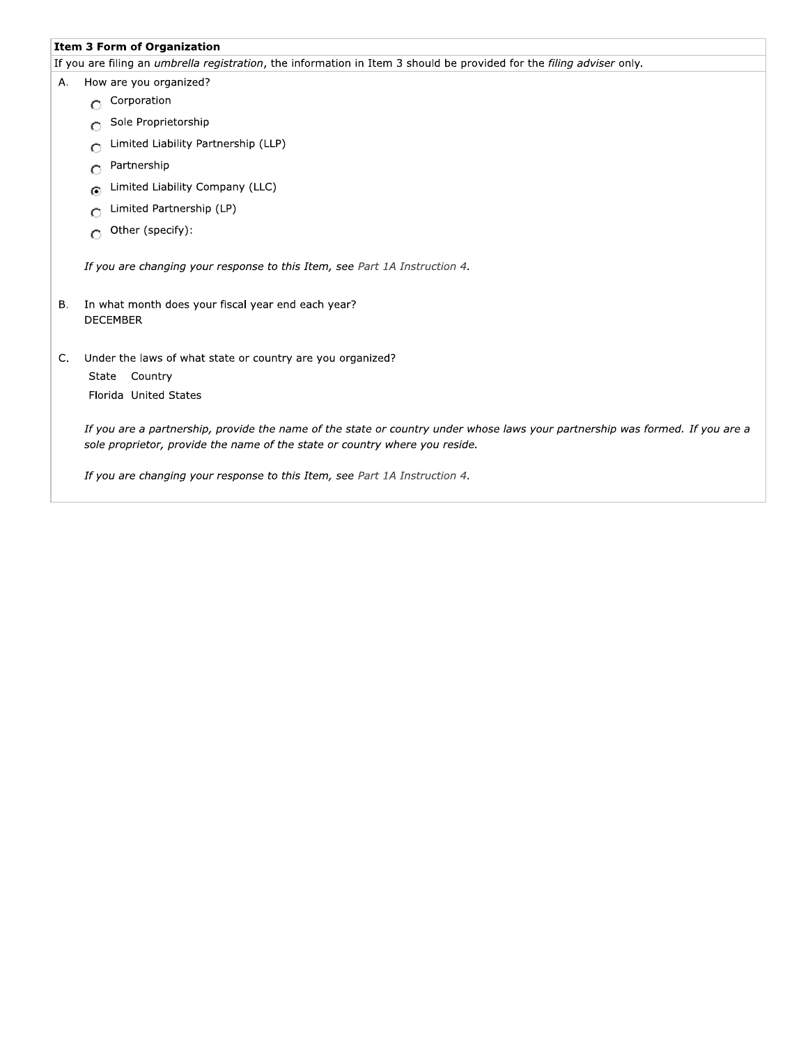# **Item 3 Form of Organization**

If you are filing an *umbrella registration*, the information in Item 3 should be provided for the filing adviser only.

| Α. | How are you organized?                                                                                                                                                                                       |
|----|--------------------------------------------------------------------------------------------------------------------------------------------------------------------------------------------------------------|
|    | Corporation<br>О                                                                                                                                                                                             |
|    | Sole Proprietorship<br>Ο                                                                                                                                                                                     |
|    | Limited Liability Partnership (LLP)<br>О                                                                                                                                                                     |
|    | Partnership<br>О                                                                                                                                                                                             |
|    | Limited Liability Company (LLC)<br>⊙                                                                                                                                                                         |
|    | Limited Partnership (LP)<br>Ο                                                                                                                                                                                |
|    | Other (specify):<br>O                                                                                                                                                                                        |
|    | If you are changing your response to this Item, see Part 1A Instruction 4.                                                                                                                                   |
| В. | In what month does your fiscal year end each year?<br><b>DECEMBER</b>                                                                                                                                        |
| C. | Under the laws of what state or country are you organized?<br>Country<br>State<br>Florida United States                                                                                                      |
|    | If you are a partnership, provide the name of the state or country under whose laws your partnership was formed. If you are a<br>sole proprietor, provide the name of the state or country where you reside. |
|    | If you are changing your response to this Item, see Part 1A Instruction 4.                                                                                                                                   |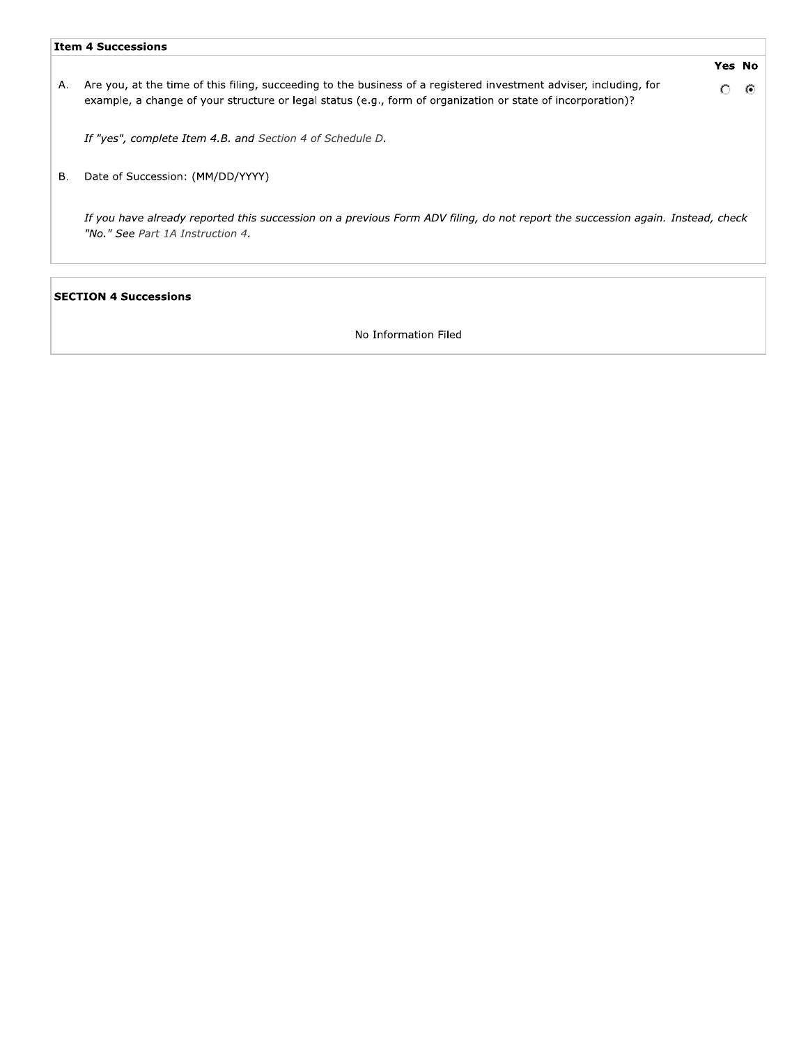|    | <b>Item 4 Successions</b>                                                                                                                                                                                                         |   |               |  |  |  |  |
|----|-----------------------------------------------------------------------------------------------------------------------------------------------------------------------------------------------------------------------------------|---|---------------|--|--|--|--|
|    |                                                                                                                                                                                                                                   |   | <b>Yes No</b> |  |  |  |  |
| А. | Are you, at the time of this filing, succeeding to the business of a registered investment adviser, including, for<br>example, a change of your structure or legal status (e.g., form of organization or state of incorporation)? | Ω | -60           |  |  |  |  |
|    | If "yes", complete Item 4.B. and Section 4 of Schedule D.                                                                                                                                                                         |   |               |  |  |  |  |
| в. | Date of Succession: (MM/DD/YYYY)                                                                                                                                                                                                  |   |               |  |  |  |  |
|    | If you have already reported this succession on a previous Form ADV filing, do not report the succession again. Instead, check<br>"No." See Part 1A Instruction 4.                                                                |   |               |  |  |  |  |
|    |                                                                                                                                                                                                                                   |   |               |  |  |  |  |

# **SECTION 4 Successions**

No Information Filed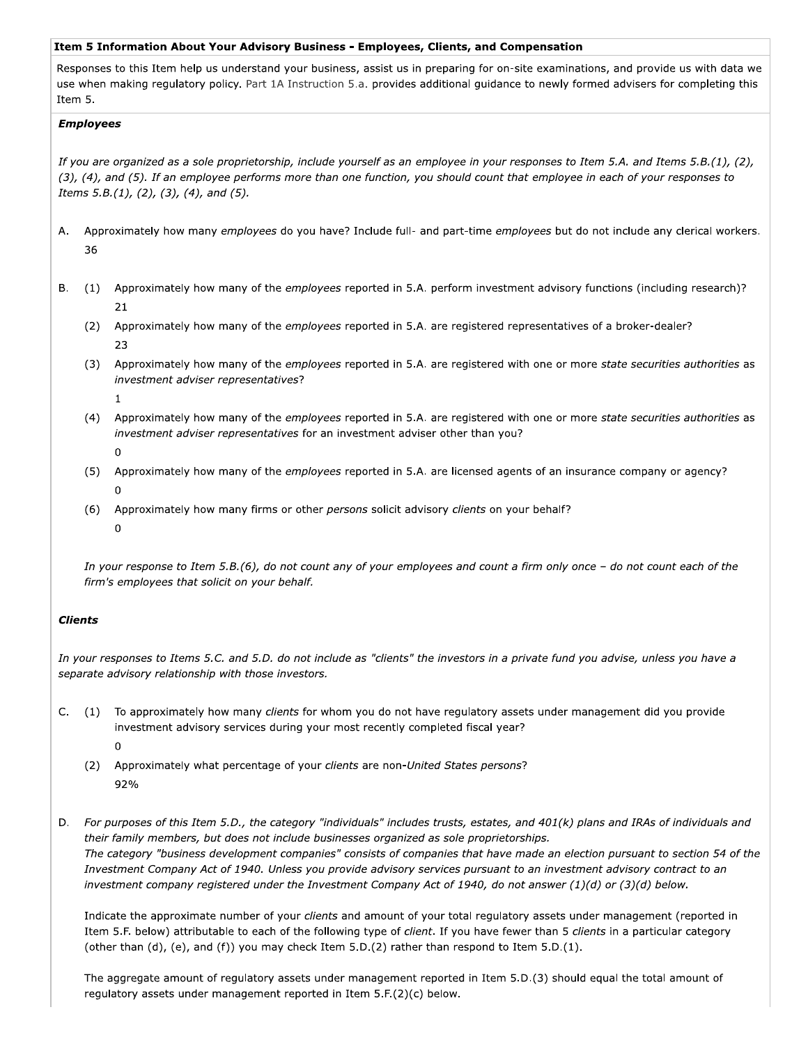#### Item 5 Information About Your Advisory Business - Employees, Clients, and Compensation

Responses to this Item help us understand your business, assist us in preparing for on-site examinations, and provide us with data we use when making regulatory policy. Part 1A Instruction 5.a. provides additional guidance to newly formed advisers for completing this Item 5.

### **Employees**

If you are organized as a sole proprietorship, include yourself as an employee in your responses to Item 5.A. and Items 5.B.(1), (2), (3), (4), and (5). If an employee performs more than one function, you should count that employee in each of your responses to Items  $5.B.(1), (2), (3), (4),$  and  $(5).$ 

- Approximately how many employees do you have? Include full- and part-time employees but do not include any clerical workers. A. 36
- $B<sub>1</sub>$ (1) Approximately how many of the employees reported in 5.A. perform investment advisory functions (including research)? 21
	- (2) Approximately how many of the employees reported in 5.A. are registered representatives of a broker-dealer? 23
	- (3) Approximately how many of the employees reported in 5.A. are registered with one or more state securities authorities as investment adviser representatives?
		- $\mathbf{1}$
	- (4) Approximately how many of the employees reported in 5.A. are registered with one or more state securities authorities as investment adviser representatives for an investment adviser other than you?
		- $\mathbf 0$
	- (5) Approximately how many of the employees reported in 5.A. are licensed agents of an insurance company or agency?
	- (6) Approximately how many firms or other persons solicit advisory clients on your behalf?  $\mathbf 0$

In your response to Item 5.B.(6), do not count any of your employees and count a firm only once - do not count each of the firm's employees that solicit on your behalf.

# **Clients**

In your responses to Items 5.C. and 5.D. do not include as "clients" the investors in a private fund you advise, unless you have a separate advisory relationship with those investors.

- C. (1) To approximately how many clients for whom you do not have regulatory assets under management did you provide investment advisory services during your most recently completed fiscal year?
	- (2) Approximately what percentage of your clients are non-United States persons? 92%
- For purposes of this Item 5.D., the category "individuals" includes trusts, estates, and 401(k) plans and IRAs of individuals and D. their family members, but does not include businesses organized as sole proprietorships. The category "business development companies" consists of companies that have made an election pursuant to section 54 of the Investment Company Act of 1940. Unless you provide advisory services pursuant to an investment advisory contract to an investment company registered under the Investment Company Act of 1940, do not answer (1)(d) or (3)(d) below.

Indicate the approximate number of your clients and amount of your total regulatory assets under management (reported in Item 5.F. below) attributable to each of the following type of client. If you have fewer than 5 clients in a particular category (other than  $(d)$ ,  $(e)$ , and  $(f)$ ) you may check Item 5.D. $(2)$  rather than respond to Item 5.D. $(1)$ .

The aggregate amount of regulatory assets under management reported in Item 5.D.(3) should equal the total amount of regulatory assets under management reported in Item 5.F.(2)(c) below.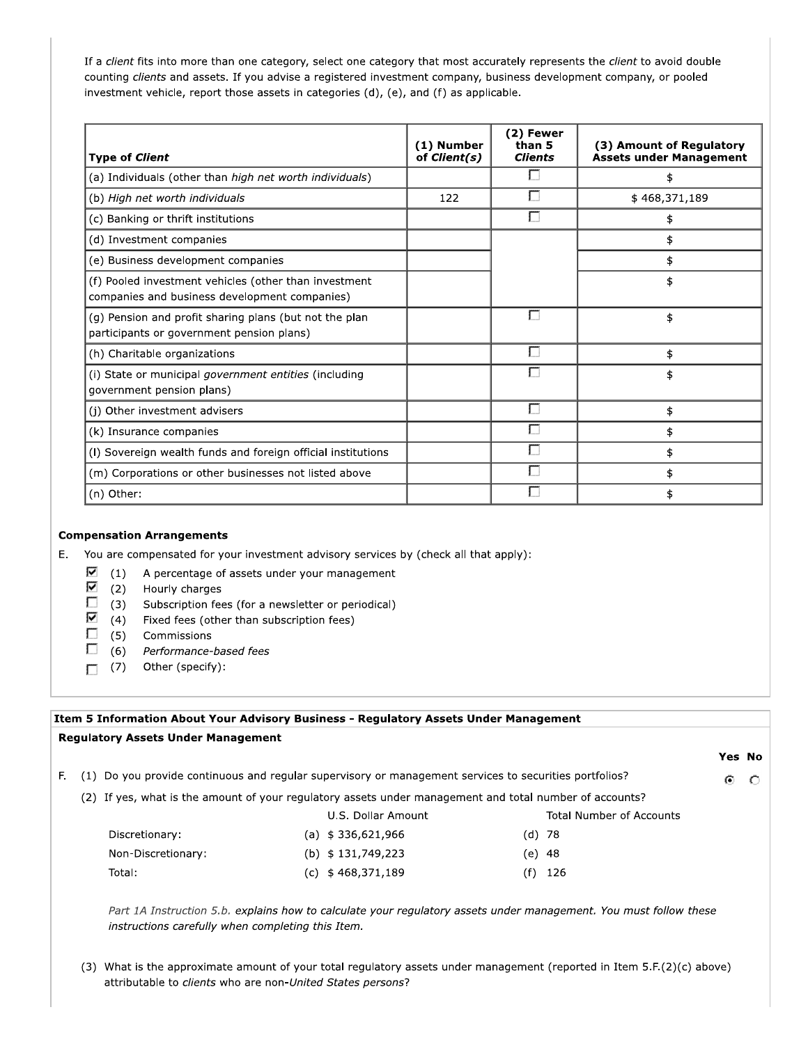If a client fits into more than one category, select one category that most accurately represents the client to avoid double counting clients and assets. If you advise a registered investment company, business development company, or pooled investment vehicle, report those assets in categories (d), (e), and (f) as applicable.

| <b>Type of Client</b>                                                                                  | (1) Number<br>of Client(s) | (2) Fewer<br>than 5<br><b>Clients</b> | (3) Amount of Regulatory<br><b>Assets under Management</b> |
|--------------------------------------------------------------------------------------------------------|----------------------------|---------------------------------------|------------------------------------------------------------|
| (a) Individuals (other than high net worth individuals)                                                |                            |                                       | \$                                                         |
| (b) High net worth individuals                                                                         | 122                        |                                       | \$468,371,189                                              |
| (c) Banking or thrift institutions                                                                     |                            |                                       | \$                                                         |
| (d) Investment companies                                                                               |                            |                                       | \$                                                         |
| (e) Business development companies                                                                     |                            |                                       | \$                                                         |
| (f) Pooled investment vehicles (other than investment<br>companies and business development companies) |                            |                                       | \$                                                         |
| (g) Pension and profit sharing plans (but not the plan<br>participants or government pension plans)    |                            |                                       | \$                                                         |
| (h) Charitable organizations                                                                           |                            |                                       | \$                                                         |
| (i) State or municipal <i>government entities</i> (including<br>government pension plans)              |                            |                                       | \$                                                         |
| (j) Other investment advisers                                                                          |                            |                                       | \$                                                         |
| (k) Insurance companies                                                                                |                            |                                       | \$                                                         |
| (I) Sovereign wealth funds and foreign official institutions                                           |                            |                                       | \$                                                         |
| (m) Corporations or other businesses not listed above                                                  |                            |                                       | \$                                                         |
| (n) Other:                                                                                             |                            |                                       | \$                                                         |

#### **Compensation Arrangements**

E. You are compensated for your investment advisory services by (check all that apply):

- ⊽  $(1)$ A percentage of assets under your management
- ⊽  $(2)$ Hourly charges
- $\Box$  $(3)$ Subscription fees (for a newsletter or periodical)
- ⊽ (4) Fixed fees (other than subscription fees)
- D. (5) Commissions
- П  $(6)$ Performance-based fees
- $\Box$  (7) Other (specify):

### Item 5 Information About Your Advisory Business - Regulatory Assets Under Management

#### **Regulatory Assets Under Management**

F. (1) Do you provide continuous and regular supervisory or management services to securities portfolios? ⊙

Yes No

 $\circ$ 

(2) If yes, what is the amount of your regulatory assets under management and total number of accounts?

|                    | U.S. Dollar Amount |        | <b>Total Number of Accounts</b> |
|--------------------|--------------------|--------|---------------------------------|
| Discretionary:     | (a) $$336,621,966$ | (d) 78 |                                 |
| Non-Discretionary: | (b) $$131,749,223$ | (e) 48 |                                 |
| Total:             | (c) $$468,371,189$ |        | $(f)$ 126                       |

Part 1A Instruction 5.b. explains how to calculate your regulatory assets under management. You must follow these instructions carefully when completing this Item.

(3) What is the approximate amount of your total regulatory assets under management (reported in Item 5.F.(2)(c) above) attributable to clients who are non-United States persons?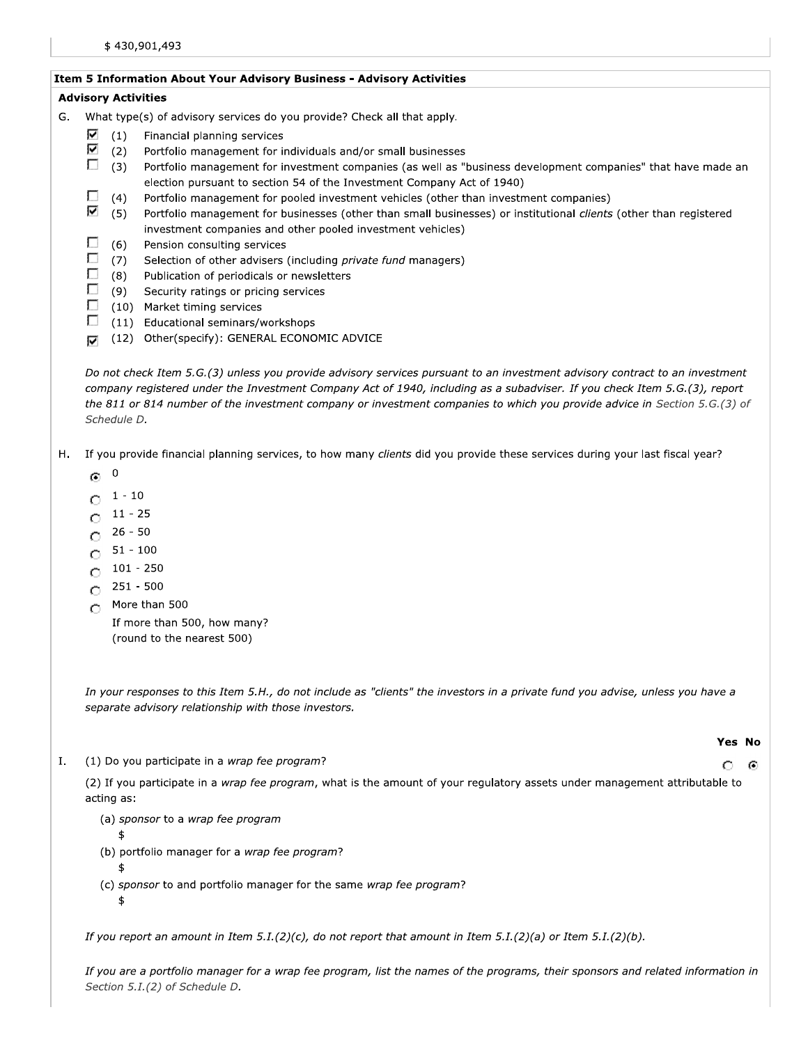### Item 5 Information About Your Advisory Business - Advisory Activities

# **Advisory Activities**

- G. What type(s) of advisory services do you provide? Check all that apply.
	- ⊽  $(1)$ Financial planning services
	- ⊽  $(2)$ Portfolio management for individuals and/or small businesses
	- $\Box$  $(3)$ Portfolio management for investment companies (as well as "business development companies" that have made an election pursuant to section 54 of the Investment Company Act of 1940)
	- П  $(4)$ Portfolio management for pooled investment vehicles (other than investment companies)
	- V  $(5)$ Portfolio management for businesses (other than small businesses) or institutional clients (other than registered investment companies and other pooled investment vehicles)
	- П  $(6)$ Pension consulting services
	- П  $(7)$ Selection of other advisers (including private fund managers)
	- п (8) Publication of periodicals or newsletters
	- $\Box$ (9) Security ratings or pricing services
	- Г (10) Market timing services
	- $\Box$ (11) Educational seminars/workshops
	- (12) Other(specify): GENERAL ECONOMIC ADVICE  $\overline{\mathbf{v}}$

Do not check Item 5.G.(3) unless you provide advisory services pursuant to an investment advisory contract to an investment company registered under the Investment Company Act of 1940, including as a subadviser. If you check Item 5.G.(3), report the 811 or 814 number of the investment company or investment companies to which you provide advice in Section 5.G.(3) of Schedule D.

- $H_{\rm{L}}$ If you provide financial planning services, to how many clients did you provide these services during your last fiscal year?
	- $\mathbf 0$ O.
	- $O^{-1 10}$
	- $11 25$ O
	- 26 50 O
	- $51 100$  $\circ$
	- $101 250$ O
	- $251 500$ O
	- More than 500  $\circ$

If more than 500, how many? (round to the nearest 500)

In your responses to this Item 5.H., do not include as "clients" the investors in a private fund you advise, unless you have a separate advisory relationship with those investors.

(1) Do you participate in a wrap fee program? Ι.

# (2) If you participate in a wrap fee program, what is the amount of your regulatory assets under management attributable to

- (a) sponsor to a wrap fee program
	- \$

acting as:

- (b) portfolio manager for a wrap fee program?
- \$
- (c) sponsor to and portfolio manager for the same wrap fee program? \$

If you report an amount in Item 5.I.(2)(c), do not report that amount in Item 5.I.(2)(a) or Item 5.I.(2)(b).

If you are a portfolio manager for a wrap fee program, list the names of the programs, their sponsors and related information in Section 5.I.(2) of Schedule D.

#### Yes No

#### O Θ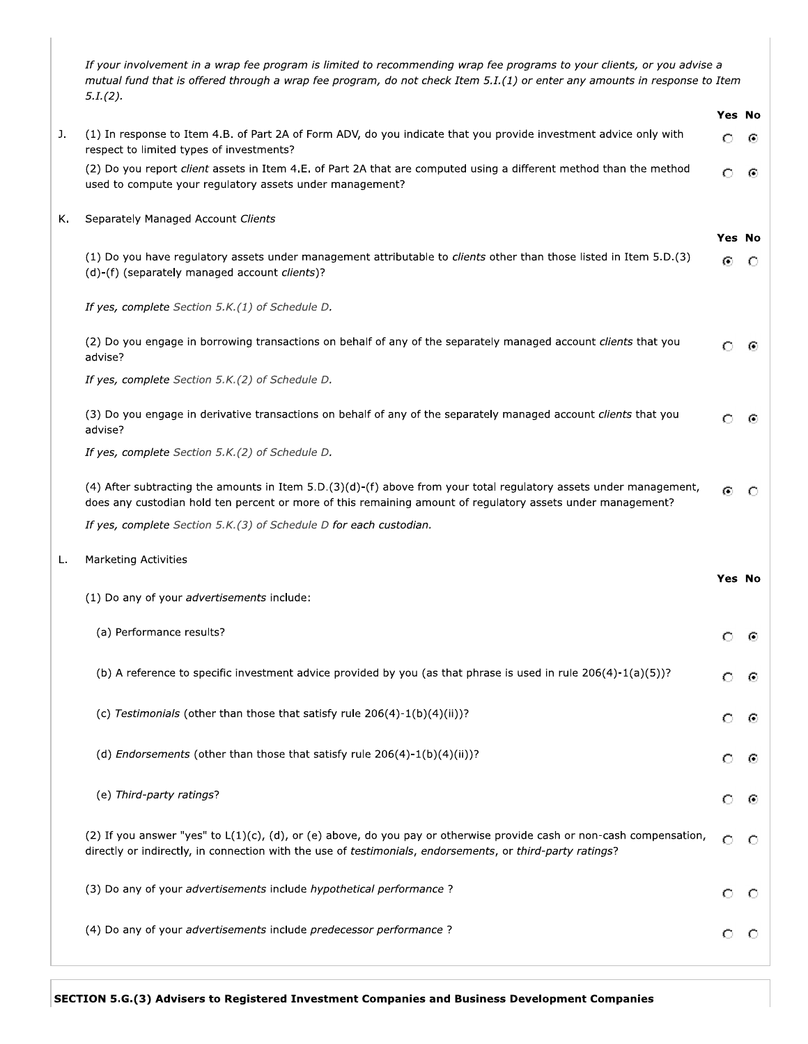|    | 5.1(2).                                                                                                                                                                                                                            | Yes No        |         |
|----|------------------------------------------------------------------------------------------------------------------------------------------------------------------------------------------------------------------------------------|---------------|---------|
| J. | (1) In response to Item 4.B. of Part 2A of Form ADV, do you indicate that you provide investment advice only with<br>respect to limited types of investments?                                                                      | O             | ⊙       |
|    | (2) Do you report client assets in Item 4.E. of Part 2A that are computed using a different method than the method<br>used to compute your regulatory assets under management?                                                     | Ω             | ⊙       |
| Κ. | Separately Managed Account Clients                                                                                                                                                                                                 |               |         |
|    | (1) Do you have regulatory assets under management attributable to clients other than those listed in Item 5.D.(3)<br>(d)-(f) (separately managed account clients)?                                                                | Yes No<br>⊙   | O       |
|    | If yes, complete Section 5.K.(1) of Schedule D.                                                                                                                                                                                    |               |         |
|    | (2) Do you engage in borrowing transactions on behalf of any of the separately managed account clients that you<br>advise?                                                                                                         | Ω             | ⊙       |
|    | If yes, complete Section 5.K.(2) of Schedule D.                                                                                                                                                                                    |               |         |
|    | (3) Do you engage in derivative transactions on behalf of any of the separately managed account clients that you<br>advise?                                                                                                        | Ω             | ⊙       |
|    | If yes, complete Section 5.K.(2) of Schedule D.                                                                                                                                                                                    |               |         |
|    | (4) After subtracting the amounts in Item 5.D.(3)(d)-(f) above from your total regulatory assets under management,<br>does any custodian hold ten percent or more of this remaining amount of regulatory assets under management?  | $\odot$       | $\circ$ |
|    | If yes, complete Section 5.K.(3) of Schedule D for each custodian.                                                                                                                                                                 |               |         |
| L. | <b>Marketing Activities</b>                                                                                                                                                                                                        | <b>Yes No</b> |         |
|    | (1) Do any of your advertisements include:                                                                                                                                                                                         |               |         |
|    | (a) Performance results?                                                                                                                                                                                                           | $\circ$       | ⊙       |
|    | (b) A reference to specific investment advice provided by you (as that phrase is used in rule $206(4)-1(a)(5)$ ?                                                                                                                   | O             | O       |
|    | (c) Testimonials (other than those that satisfy rule $206(4)-1(b)(4)(ii)$ ?                                                                                                                                                        | O             | €       |
|    | (d) <i>Endorsements</i> (other than those that satisfy rule $206(4)-1(b)(4)(ii)$ ?                                                                                                                                                 | O             | ⊙       |
|    | (e) Third-party ratings?                                                                                                                                                                                                           | O             | G       |
|    | (2) If you answer "yes" to L(1)(c), (d), or (e) above, do you pay or otherwise provide cash or non-cash compensation,<br>directly or indirectly, in connection with the use of testimonials, endorsements, or third-party ratings? | Ω             | O       |
|    | (3) Do any of your advertisements include hypothetical performance ?                                                                                                                                                               | Ω             | С       |
|    |                                                                                                                                                                                                                                    |               |         |
|    |                                                                                                                                                                                                                                    |               |         |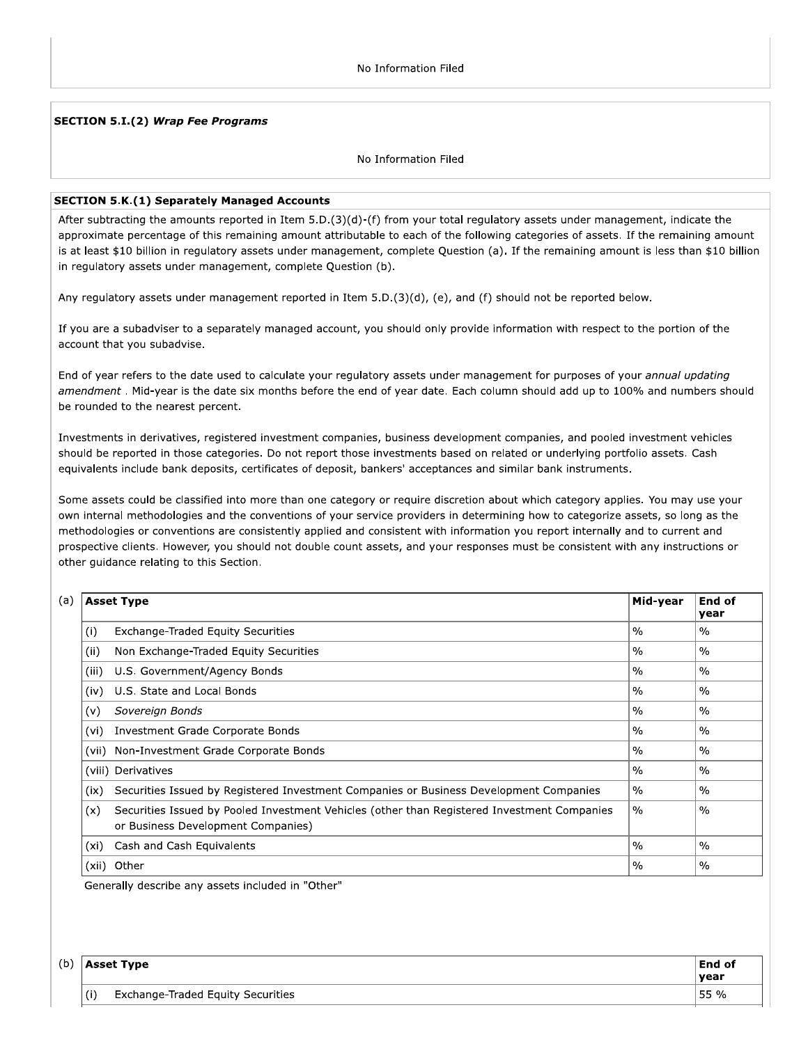#### **SECTION 5.I.(2) Wrap Fee Programs**

#### No Information Filed

#### **SECTION 5.K.(1) Separately Managed Accounts**

After subtracting the amounts reported in Item  $5.D.(3)(d)-(f)$  from your total regulatory assets under management, indicate the approximate percentage of this remaining amount attributable to each of the following categories of assets. If the remaining amount is at least \$10 billion in regulatory assets under management, complete Question (a). If the remaining amount is less than \$10 billion in regulatory assets under management, complete Question (b).

Any regulatory assets under management reported in Item 5.D.(3)(d), (e), and (f) should not be reported below.

If you are a subadviser to a separately managed account, you should only provide information with respect to the portion of the account that you subadvise.

End of year refers to the date used to calculate your regulatory assets under management for purposes of your annual updating amendment. Mid-year is the date six months before the end of year date. Each column should add up to 100% and numbers should be rounded to the nearest percent.

Investments in derivatives, registered investment companies, business development companies, and pooled investment vehicles should be reported in those categories. Do not report those investments based on related or underlying portfolio assets. Cash equivalents include bank deposits, certificates of deposit, bankers' acceptances and similar bank instruments.

Some assets could be classified into more than one category or require discretion about which category applies. You may use your own internal methodologies and the conventions of your service providers in determining how to categorize assets, so long as the methodologies or conventions are consistently applied and consistent with information you report internally and to current and prospective clients. However, you should not double count assets, and your responses must be consistent with any instructions or other guidance relating to this Section.

|       | <b>Asset Type</b>                                                                                                                 | Mid-year      | End of<br>year |
|-------|-----------------------------------------------------------------------------------------------------------------------------------|---------------|----------------|
| (i)   | <b>Exchange-Traded Equity Securities</b>                                                                                          | $\frac{0}{0}$ | $\frac{0}{0}$  |
| (ii)  | Non Exchange-Traded Equity Securities                                                                                             | $\%$          | $\frac{0}{0}$  |
| (iii) | U.S. Government/Agency Bonds                                                                                                      | $\%$          | $\frac{0}{0}$  |
| (iv)  | U.S. State and Local Bonds                                                                                                        | $\%$          | $\frac{0}{0}$  |
| (v)   | Sovereign Bonds                                                                                                                   | $\%$          | $\%$           |
| (vi)  | Investment Grade Corporate Bonds                                                                                                  | $\frac{0}{0}$ | $\frac{0}{0}$  |
|       | (vii) Non-Investment Grade Corporate Bonds                                                                                        | $\frac{0}{0}$ | $\frac{0}{0}$  |
|       | (viii) Derivatives                                                                                                                | $\frac{0}{0}$ | $\frac{0}{0}$  |
| (ix)  | Securities Issued by Registered Investment Companies or Business Development Companies                                            | $\%$          | $\%$           |
| (x)   | Securities Issued by Pooled Investment Vehicles (other than Registered Investment Companies<br>or Business Development Companies) | $\%$          | $\%$           |
| (xi)  | Cash and Cash Equivalents                                                                                                         | $\%$          | $\%$           |
|       | (xii) Other                                                                                                                       | $\%$          | $\frac{0}{0}$  |

Generally describe any assets included in "Other"

| (b) | <b>Asset Type</b>                        | <b>End of</b><br>vear |
|-----|------------------------------------------|-----------------------|
|     | (i)<br>Exchange-Traded Equity Securities | 55 %                  |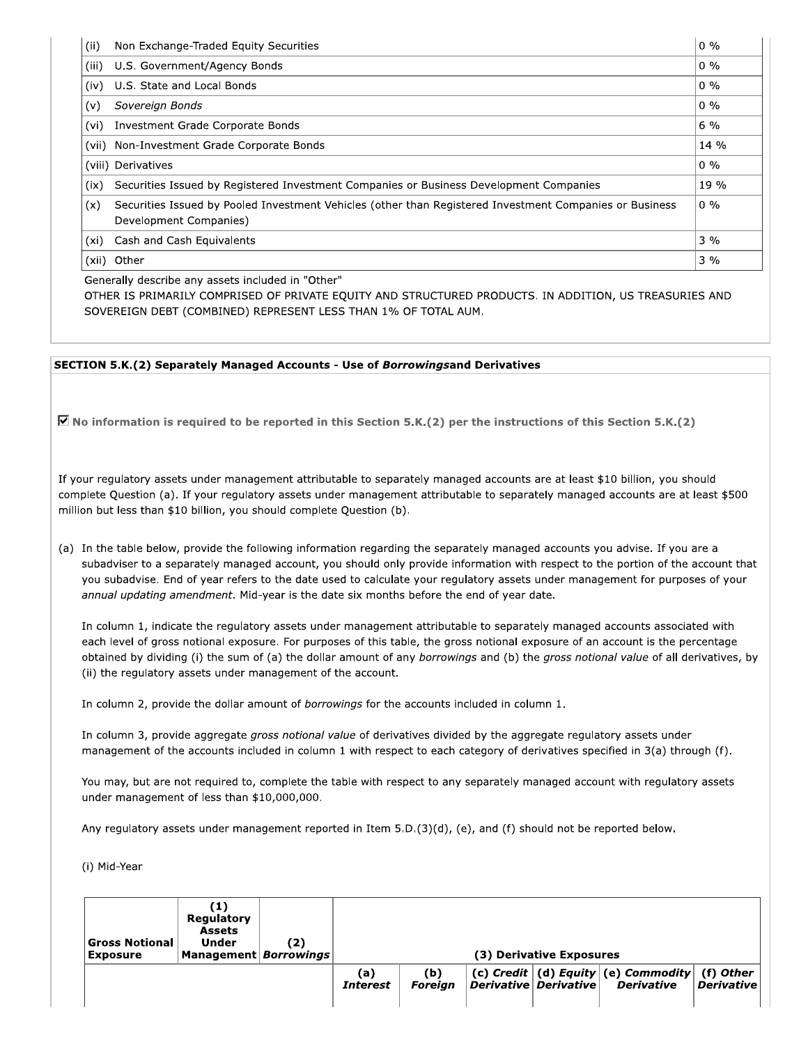| , (ii) | Non Exchange-Traded Equity Securities                                                                                             | $0\%$  |
|--------|-----------------------------------------------------------------------------------------------------------------------------------|--------|
| (iii)  | U.S. Government/Agency Bonds                                                                                                      | $0\%$  |
| (iv)   | U.S. State and Local Bonds                                                                                                        | $0\%$  |
| (v)    | Sovereign Bonds                                                                                                                   | $0\%$  |
| (vi)   | Investment Grade Corporate Bonds                                                                                                  | $6\%$  |
|        | (vii) Non-Investment Grade Corporate Bonds                                                                                        | $14\%$ |
|        | (viii) Derivatives                                                                                                                | $0\%$  |
| (ix)   | Securities Issued by Registered Investment Companies or Business Development Companies                                            | 19 %   |
| (x)    | Securities Issued by Pooled Investment Vehicles (other than Registered Investment Companies or Business<br>Development Companies) | $0\%$  |
| (xi)   | Cash and Cash Equivalents                                                                                                         | 3%     |
|        | (xii) Other                                                                                                                       | $3\%$  |

Generally describe any assets included in "Other"

OTHER IS PRIMARILY COMPRISED OF PRIVATE EQUITY AND STRUCTURED PRODUCTS. IN ADDITION, US TREASURIES AND SOVEREIGN DEBT (COMBINED) REPRESENT LESS THAN 1% OF TOTAL AUM.

#### **SECTION 5.K.(2) Separately Managed Accounts - Use of Borrowingsand Derivatives**

 $\overline{Q}$  No information is required to be reported in this Section 5.K.(2) per the instructions of this Section 5.K.(2)

If your regulatory assets under management attributable to separately managed accounts are at least \$10 billion, you should complete Question (a). If your regulatory assets under management attributable to separately managed accounts are at least \$500 million but less than \$10 billion, you should complete Question (b).

(a) In the table below, provide the following information regarding the separately managed accounts you advise. If you are a subadviser to a separately managed account, you should only provide information with respect to the portion of the account that you subadvise. End of year refers to the date used to calculate your regulatory assets under management for purposes of your annual updating amendment. Mid-year is the date six months before the end of year date.

In column 1, indicate the regulatory assets under management attributable to separately managed accounts associated with each level of gross notional exposure. For purposes of this table, the gross notional exposure of an account is the percentage obtained by dividing (i) the sum of (a) the dollar amount of any borrowings and (b) the gross notional value of all derivatives, by (ii) the regulatory assets under management of the account.

In column 2, provide the dollar amount of borrowings for the accounts included in column 1.

In column 3, provide aggregate gross notional value of derivatives divided by the aggregate regulatory assets under management of the accounts included in column 1 with respect to each category of derivatives specified in 3(a) through (f).

You may, but are not required to, complete the table with respect to any separately managed account with regulatory assets under management of less than \$10,000,000.

Any regulatory assets under management reported in Item 5.D.(3)(d), (e), and (f) should not be reported below.

(i) Mid-Year

| <b>Gross Notional</b><br><b>Exposure</b> | (1)<br>Regulatory<br><b>Assets</b><br><b>Under</b><br> Management  <i>Borrowings</i> | (2) |                        |                       | (3) Derivative Exposures          |                                                               |                                |
|------------------------------------------|--------------------------------------------------------------------------------------|-----|------------------------|-----------------------|-----------------------------------|---------------------------------------------------------------|--------------------------------|
|                                          |                                                                                      |     | (a)<br><b>Interest</b> | (b)<br><b>Foreian</b> | $ $ Derivative $ $ Derivative $ $ | (c) Credit $ $ (d) Equity $ $ (e) Commodity $ $<br>Derivative | (f) Other<br><b>Derivative</b> |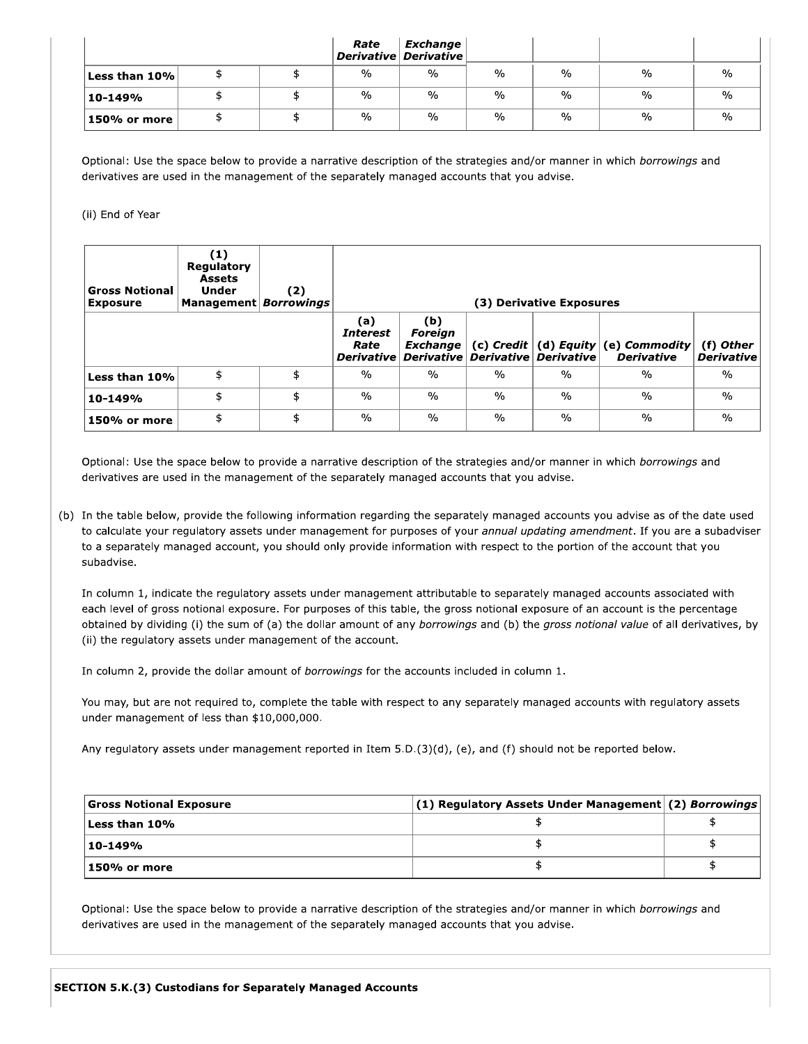|                                                                                                                          |     | Rate                | <b>Exchange</b><br>Derivative Derivative |               |               |               |  |
|--------------------------------------------------------------------------------------------------------------------------|-----|---------------------|------------------------------------------|---------------|---------------|---------------|--|
| Less than 10%                                                                                                            | \$  | \$<br>$\frac{0}{0}$ | $\frac{0}{0}$                            | $\frac{0}{0}$ | $\frac{0}{0}$ | $\frac{0}{0}$ |  |
| 10-149%                                                                                                                  | \$  | \$<br>$\frac{0}{0}$ | $\frac{0}{0}$                            | $\frac{0}{0}$ | $\frac{0}{0}$ | $\frac{0}{0}$ |  |
| 150% or more                                                                                                             | \$  | \$<br>$\frac{0}{0}$ | $\frac{0}{0}$                            | $\frac{0}{0}$ | $\frac{0}{0}$ | $\frac{0}{0}$ |  |
| Optional: Use the space below to provide a narrative description of the strategies and/or manner in which borrowings and |     |                     |                                          |               |               |               |  |
| derivatives are used in the management of the separately managed accounts that you advise.                               |     |                     |                                          |               |               |               |  |
| (ii) End of Year                                                                                                         |     |                     |                                          |               |               |               |  |
|                                                                                                                          | (1) |                     |                                          |               |               |               |  |

| <b>Gross Notional</b><br><b>Exposure</b> | (1)<br>Regulatory<br><b>Assets</b><br><b>Under</b><br>Management   Borrowings | (2) |                                                     |                                                 |               | (3) Derivative Exposures |                                               |
|------------------------------------------|-------------------------------------------------------------------------------|-----|-----------------------------------------------------|-------------------------------------------------|---------------|--------------------------|-----------------------------------------------|
|                                          |                                                                               |     | (a)<br><b>Interest</b><br>Rate<br><b>Derivative</b> | (b)<br><b>Foreign</b><br>Exchange<br>Derivative | $(c)$ Credit  | Derivative Derivative    | (d) Equity (e) Commodity<br><b>Derivative</b> |
| Less than 10%                            | \$                                                                            | \$  | $\frac{0}{0}$                                       | $\frac{0}{0}$                                   | $\frac{0}{0}$ | $\frac{0}{0}$            | $\frac{0}{0}$                                 |
| 10-149%                                  | \$                                                                            | \$  | $\frac{0}{0}$                                       | $\frac{0}{0}$                                   | $\frac{0}{0}$ | $\frac{0}{0}$            | $\frac{0}{0}$                                 |
| 150% or more                             | \$                                                                            | \$  | $\frac{0}{0}$                                       | $\frac{0}{0}$                                   | $\%$          | $\frac{0}{0}$            | $\frac{0}{0}$                                 |

**150% or more**  $\frac{4}{3}$  **b**  $\frac{8}{3}$  **b**  $\frac{96}{3}$  **b**  $\frac{96}{3}$  **b**  $\frac{96}{3}$  **b**  $\frac{96}{3}$  **c c c**<br>Optional: Use the space below to provide a narrative description of the strategies and/or manner in which *bor* (b) In the table below, provide the following information regarding the separately managed accounts you advise as of the date used<br>to calculate your regulatory assets under management for purposes of your *annual updating* 

In column 1, indicate the regulatory assets under management attributable to separately managed acceach level of gross notional exposure. For purposes of this table, the gross notional exposure of an acceachtained by divi each level of gross notional exposure. For purposes of this table, the gross notional exposure of an account is the percentage<br>orbtined by dividing (i) the sum of (a) the dollar amount of any *borrowings* and (b) the *gros* 

| Any regulatory assets under management reported in Item 5.D. $(3)(d)$ , (e), and (f) should not be reported below.<br>\$<br>\$ |                                |
|--------------------------------------------------------------------------------------------------------------------------------|--------------------------------|
| (1) Regulatory Assets Under Management (2) Borrowings                                                                          |                                |
|                                                                                                                                | <b>Gross Notional Exposure</b> |
|                                                                                                                                | Less than 10%                  |
|                                                                                                                                | 10-149%                        |
| \$                                                                                                                             | 150% or more                   |
| Optional: Use the space below to provide a narrative description of the strategies and/or manner in which borrowings and       |                                |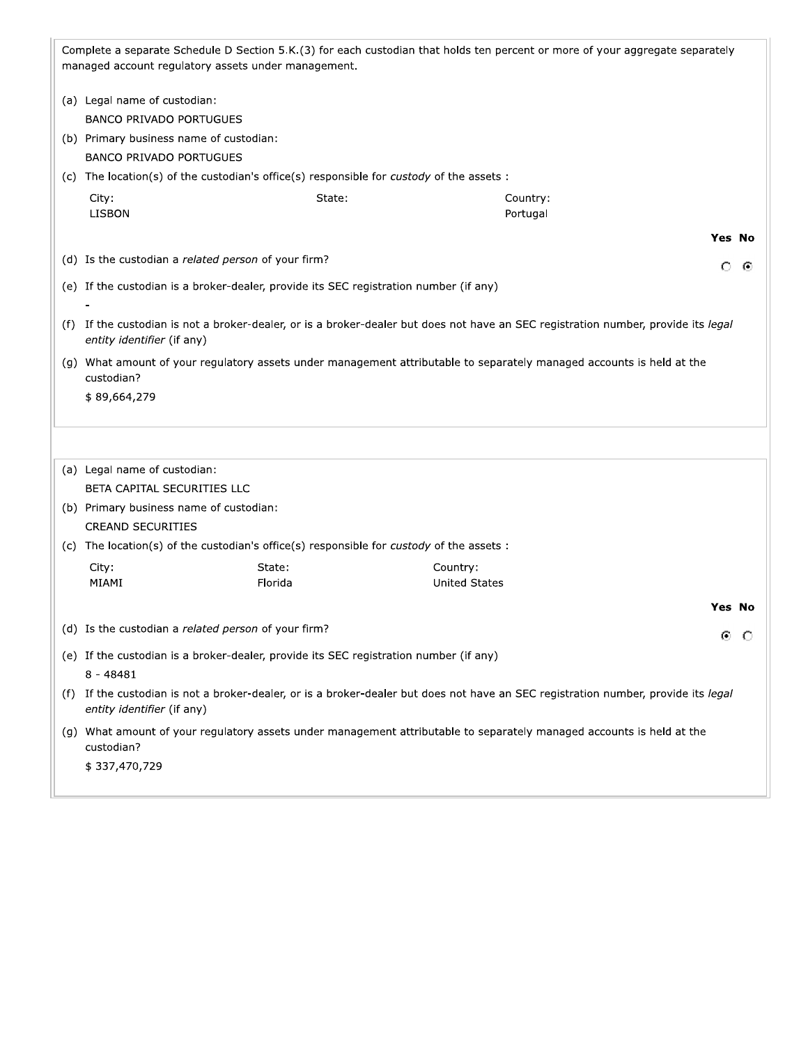|     | managed account regulatory assets under management.                                      |                      | Complete a separate Schedule D Section 5.K.(3) for each custodian that holds ten percent or more of your aggregate separately      |  |
|-----|------------------------------------------------------------------------------------------|----------------------|------------------------------------------------------------------------------------------------------------------------------------|--|
|     | (a) Legal name of custodian:                                                             |                      |                                                                                                                                    |  |
|     | <b>BANCO PRIVADO PORTUGUES</b>                                                           |                      |                                                                                                                                    |  |
|     | (b) Primary business name of custodian:                                                  |                      |                                                                                                                                    |  |
|     | <b>BANCO PRIVADO PORTUGUES</b>                                                           |                      |                                                                                                                                    |  |
|     | (c) The location(s) of the custodian's office(s) responsible for custody of the assets : |                      |                                                                                                                                    |  |
|     | City:                                                                                    | State:               | Country:                                                                                                                           |  |
|     | <b>LISBON</b>                                                                            |                      | Portugal                                                                                                                           |  |
|     |                                                                                          |                      | Yes No                                                                                                                             |  |
|     | (d) Is the custodian a related person of your firm?                                      |                      | Ω<br>⊙                                                                                                                             |  |
|     | (e) If the custodian is a broker-dealer, provide its SEC registration number (if any)    |                      |                                                                                                                                    |  |
|     |                                                                                          |                      |                                                                                                                                    |  |
|     | entity identifier (if any)                                                               |                      | (f) If the custodian is not a broker-dealer, or is a broker-dealer but does not have an SEC registration number, provide its legal |  |
|     | custodian?                                                                               |                      | (g) What amount of your regulatory assets under management attributable to separately managed accounts is held at the              |  |
|     | \$89,664,279                                                                             |                      |                                                                                                                                    |  |
|     |                                                                                          |                      |                                                                                                                                    |  |
|     |                                                                                          |                      |                                                                                                                                    |  |
|     | (a) Legal name of custodian:                                                             |                      |                                                                                                                                    |  |
|     | BETA CAPITAL SECURITIES LLC                                                              |                      |                                                                                                                                    |  |
|     | (b) Primary business name of custodian:                                                  |                      |                                                                                                                                    |  |
|     | <b>CREAND SECURITIES</b>                                                                 |                      |                                                                                                                                    |  |
|     | (c) The location(s) of the custodian's office(s) responsible for custody of the assets : |                      |                                                                                                                                    |  |
|     | City:<br>State:                                                                          | Country:             |                                                                                                                                    |  |
|     | MIAMI<br>Florida                                                                         | <b>United States</b> |                                                                                                                                    |  |
|     |                                                                                          |                      | Yes No                                                                                                                             |  |
|     | (d) Is the custodian a related person of your firm?                                      |                      | ⊙ ⊙                                                                                                                                |  |
|     | (e) If the custodian is a broker-dealer, provide its SEC registration number (if any)    |                      |                                                                                                                                    |  |
|     | $8 - 48481$                                                                              |                      |                                                                                                                                    |  |
| (f) | entity identifier (if any)                                                               |                      | If the custodian is not a broker-dealer, or is a broker-dealer but does not have an SEC registration number, provide its legal     |  |
|     | custodian?                                                                               |                      | (g) What amount of your regulatory assets under management attributable to separately managed accounts is held at the              |  |
|     | \$337,470,729                                                                            |                      |                                                                                                                                    |  |
|     |                                                                                          |                      |                                                                                                                                    |  |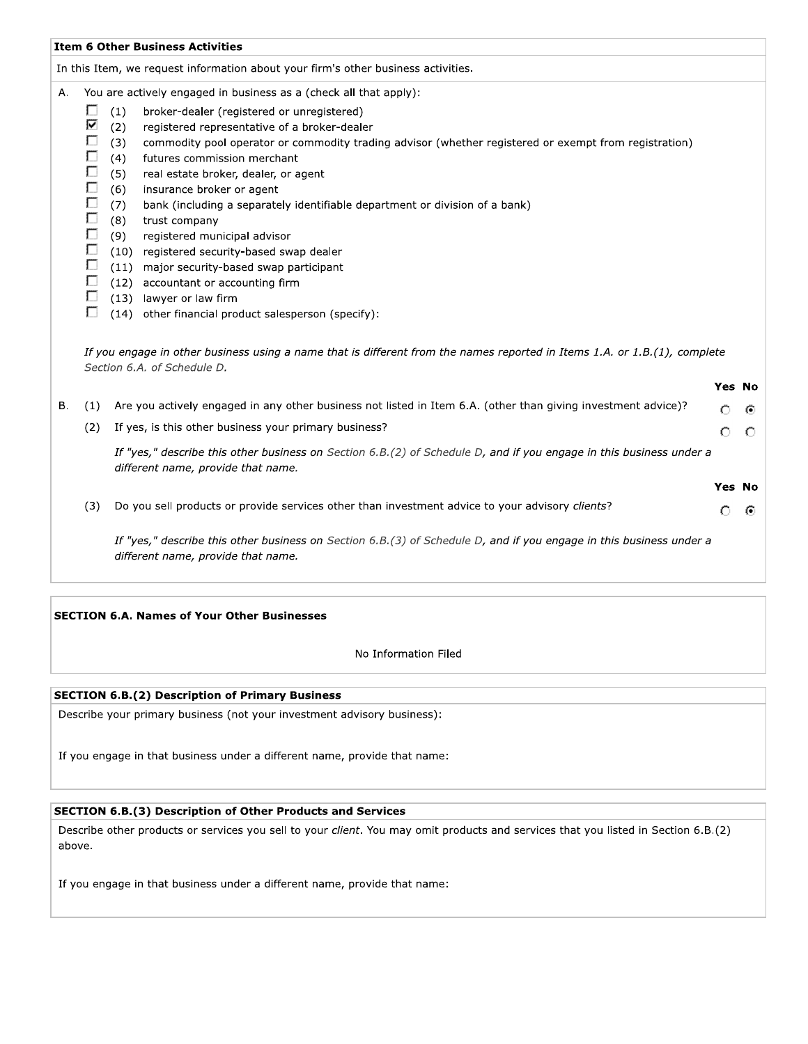|                                                     | In this Item, we request information about your firm's other business activities.                                                                                                                                                                                                                                                                                                                                                                                                                            |                                                                                                                                                                                                                                                                                                                |                                                                                                                                                                                                                                                                                                                                                                                                    |
|-----------------------------------------------------|--------------------------------------------------------------------------------------------------------------------------------------------------------------------------------------------------------------------------------------------------------------------------------------------------------------------------------------------------------------------------------------------------------------------------------------------------------------------------------------------------------------|----------------------------------------------------------------------------------------------------------------------------------------------------------------------------------------------------------------------------------------------------------------------------------------------------------------|----------------------------------------------------------------------------------------------------------------------------------------------------------------------------------------------------------------------------------------------------------------------------------------------------------------------------------------------------------------------------------------------------|
|                                                     |                                                                                                                                                                                                                                                                                                                                                                                                                                                                                                              |                                                                                                                                                                                                                                                                                                                |                                                                                                                                                                                                                                                                                                                                                                                                    |
| □<br>⊽<br>П<br>П<br>Г<br>Г<br>Г<br>П<br>П<br>Г<br>□ | You are actively engaged in business as a (check all that apply):<br>broker-dealer (registered or unregistered)<br>registered representative of a broker-dealer<br>commodity pool operator or commodity trading advisor (whether registered or exempt from registration)<br>futures commission merchant<br>real estate broker, dealer, or agent<br>insurance broker or agent<br>bank (including a separately identifiable department or division of a bank)<br>trust company<br>registered municipal advisor |                                                                                                                                                                                                                                                                                                                |                                                                                                                                                                                                                                                                                                                                                                                                    |
|                                                     |                                                                                                                                                                                                                                                                                                                                                                                                                                                                                                              |                                                                                                                                                                                                                                                                                                                |                                                                                                                                                                                                                                                                                                                                                                                                    |
| (1)<br>(2)                                          | Are you actively engaged in any other business not listed in Item 6.A. (other than giving investment advice)?<br>If yes, is this other business your primary business?<br>different name, provide that name.                                                                                                                                                                                                                                                                                                 | Ω<br>Ω                                                                                                                                                                                                                                                                                                         | ⊙<br>С                                                                                                                                                                                                                                                                                                                                                                                             |
| (3)                                                 | Do you sell products or provide services other than investment advice to your advisory clients?<br>different name, provide that name.                                                                                                                                                                                                                                                                                                                                                                        | Ο                                                                                                                                                                                                                                                                                                              | Θ                                                                                                                                                                                                                                                                                                                                                                                                  |
|                                                     |                                                                                                                                                                                                                                                                                                                                                                                                                                                                                                              | (1)<br>(2)<br>(3)<br>(4)<br>(5)<br>(6)<br>(7)<br>(8)<br>(9)<br>(10) registered security-based swap dealer<br>(11) major security-based swap participant<br>(12) accountant or accounting firm<br>(13) lawyer or law firm<br>(14) other financial product salesperson (specify):<br>Section 6.A. of Schedule D. | If you engage in other business using a name that is different from the names reported in Items 1.A. or 1.B.(1), complete<br>Yes No<br>If "yes," describe this other business on Section 6.B.(2) of Schedule D, and if you engage in this business under a<br><b>Yes No</b><br>If "yes," describe this other business on Section 6.B.(3) of Schedule D, and if you engage in this business under a |

**SECTION 6.A. Names of Your Other Businesses** 

No Information Filed

# **SECTION 6.B.(2) Description of Primary Business**

Describe your primary business (not your investment advisory business):

If you engage in that business under a different name, provide that name:

#### **SECTION 6.B.(3) Description of Other Products and Services**

Describe other products or services you sell to your client. You may omit products and services that you listed in Section 6.B.(2) above.

If you engage in that business under a different name, provide that name: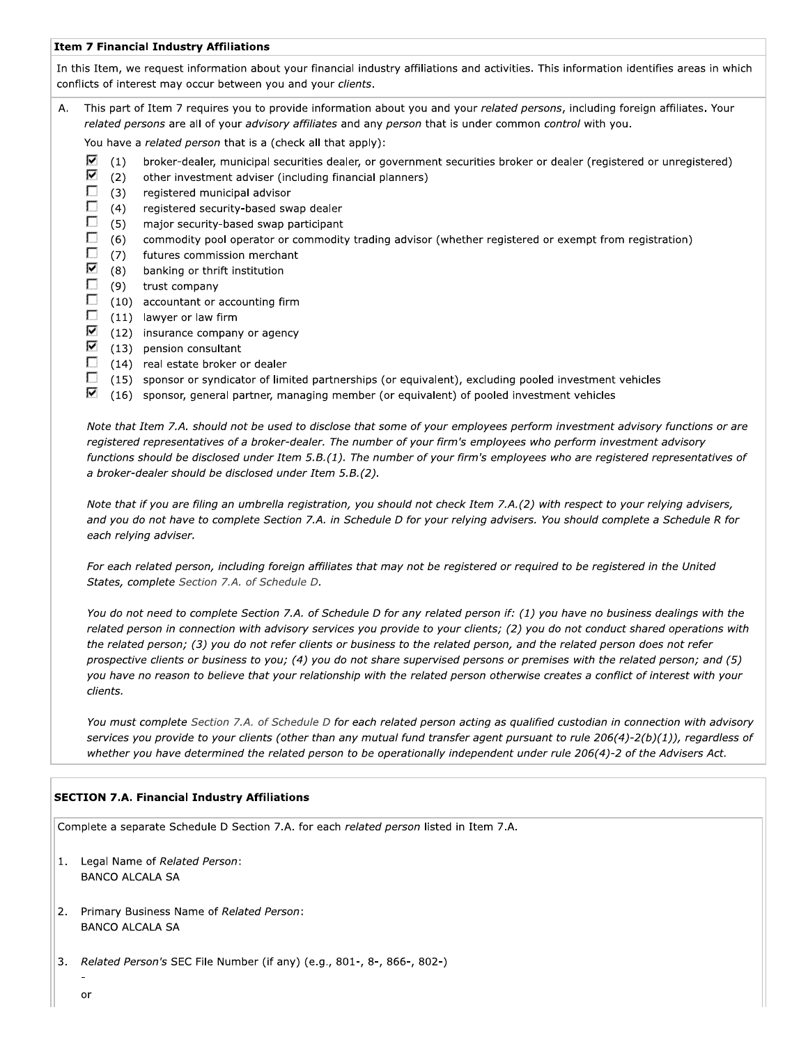#### **Item 7 Financial Industry Affiliations**

In this Item, we request information about your financial industry affiliations and activities. This information identifies areas in which conflicts of interest may occur between you and your clients.

This part of Item 7 requires you to provide information about you and your related persons, including foreign affiliates. Your A. related persons are all of your advisory affiliates and any person that is under common control with you.

You have a related person that is a (check all that apply):

- $\nabla$  (1) broker-dealer, municipal securities dealer, or government securities broker or dealer (registered or unregistered)
- ⊽  $(2)$ other investment adviser (including financial planners)
- D.  $(3)$ registered municipal advisor
- $\Box$  $(4)$ registered security-based swap dealer
- $\Box$  $(5)$ major security-based swap participant
- $\Box$  $(6)$ commodity pool operator or commodity trading advisor (whether registered or exempt from registration)
- П  $(7)$ futures commission merchant
- ⊽  $(8)$ banking or thrift institution
- $\Box$  $(9)$ trust company
- $\Box$ (10) accountant or accounting firm
- П (11) lawyer or law firm
- Ø (12) insurance company or agency
- ⊽ (13) pension consultant
- $\Box$ (14) real estate broker or dealer
- $\Box$ (15) sponsor or syndicator of limited partnerships (or equivalent), excluding pooled investment vehicles
- ⊽ (16) sponsor, general partner, managing member (or equivalent) of pooled investment vehicles

Note that Item 7.A. should not be used to disclose that some of your employees perform investment advisory functions or are registered representatives of a broker-dealer. The number of your firm's employees who perform investment advisory functions should be disclosed under Item 5.B.(1). The number of your firm's employees who are registered representatives of a broker-dealer should be disclosed under Item 5.B.(2).

Note that if you are filing an umbrella registration, you should not check Item 7.A.(2) with respect to your relying advisers, and you do not have to complete Section 7.A. in Schedule D for your relying advisers. You should complete a Schedule R for each relying adviser.

For each related person, including foreign affiliates that may not be registered or required to be registered in the United States, complete Section 7.A. of Schedule D.

You do not need to complete Section 7.A. of Schedule D for any related person if: (1) you have no business dealings with the related person in connection with advisory services you provide to your clients; (2) you do not conduct shared operations with the related person; (3) you do not refer clients or business to the related person, and the related person does not refer prospective clients or business to you; (4) you do not share supervised persons or premises with the related person; and (5) you have no reason to believe that your relationship with the related person otherwise creates a conflict of interest with your clients.

You must complete Section 7.A. of Schedule D for each related person acting as qualified custodian in connection with advisory services you provide to your clients (other than any mutual fund transfer agent pursuant to rule 206(4)-2(b)(1)), regardless of whether you have determined the related person to be operationally independent under rule 206(4)-2 of the Advisers Act.

#### **SECTION 7.A. Financial Industry Affiliations**

Complete a separate Schedule D Section 7.A. for each related person listed in Item 7.A.

- 1. Legal Name of Related Person: **BANCO ALCALA SA**
- 2. Primary Business Name of Related Person: **BANCO ALCALA SA**
- Related Person's SEC File Number (if any) (e.g., 801-, 8-, 866-, 802-)  $3.$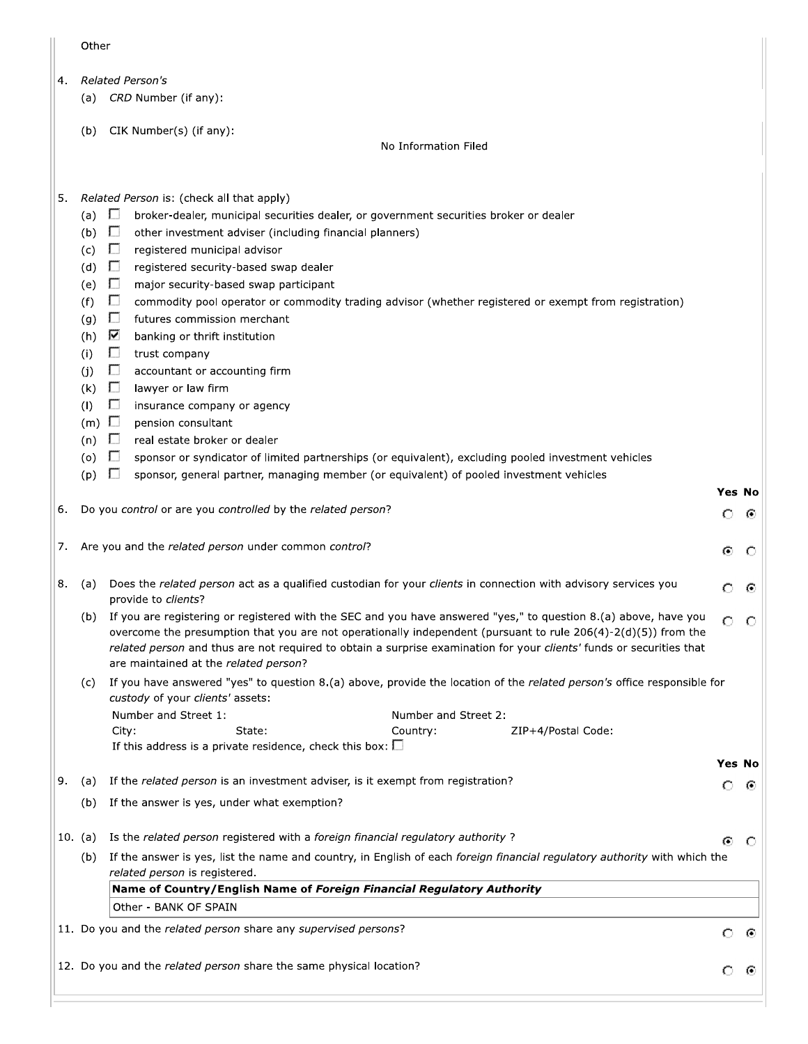| ۰. | ×<br>٠<br>×<br>× | ۰, | × |
|----|------------------|----|---|
|    |                  |    |   |

- **Related Person's**  $4.$ 
	- (a) CRD Number (if any):
	- (b) CIK Number(s) (if any):

No Information Filed

- Related Person is: (check all that apply) 5.
	- (a)  $\Box$ broker-dealer, municipal securities dealer, or government securities broker or dealer
	- (b)  $\Box$ other investment adviser (including financial planners)
	- $(c)$   $\Box$ registered municipal advisor
	- (d)  $\Box$ registered security-based swap dealer
	- (e)  $\Box$ major security-based swap participant
	- $\Box$  $(f)$ commodity pool operator or commodity trading advisor (whether registered or exempt from registration)
	- (g)  $\square$ futures commission merchant
	- (h)  $\overline{\mathbf{V}}$ banking or thrift institution
	- $\Box$  $(i)$ trust company
	- $\Box$  $(j)$ accountant or accounting firm
	- $(k)$  **D** lawyer or law firm
	- $(1)$  $\Box$ insurance company or agency
	- $(m)$   $\Box$ pension consultant
	- $(n)$   $\Box$ real estate broker or dealer
	- (o)  $\Box$ sponsor or syndicator of limited partnerships (or equivalent), excluding pooled investment vehicles
	- $(p)$   $\Box$ sponsor, general partner, managing member (or equivalent) of pooled investment vehicles
- 6. Do you control or are you controlled by the related person?
	- 7. Are you and the related person under common control?
	- (a) Does the related person act as a qualified custodian for your clients in connection with advisory services you 8. O ⊕ provide to clients?
		- (b) If you are registering or registered with the SEC and you have answered "yes," to question 8.(a) above, have you  $\circ$  $\circ$ overcome the presumption that you are not operationally independent (pursuant to rule 206(4)-2(d)(5)) from the related person and thus are not required to obtain a surprise examination for your clients' funds or securities that are maintained at the related person?
		- (c) If you have answered "yes" to question 8.(a) above, provide the location of the related person's office responsible for custody of your clients' assets: Number and Street 1: Number and Street 2:

| City:                                                             | State: | Country: | ZIP+4/Postal Code: |
|-------------------------------------------------------------------|--------|----------|--------------------|
| If this address is a private residence, check this box: $\square$ |        |          |                    |

# **Yes No**

Yes No

 $\circ$ -6

G) €

9. (a) If the related person is an investment adviser, is it exempt from registration? Ω ⊙ (b) If the answer is yes, under what exemption? 10. (a) Is the related person registered with a foreign financial regulatory authority? ⊙ ⊙ (b) If the answer is yes, list the name and country, in English of each foreign financial regulatory authority with which the related person is registered. Name of Country/English Name of Foreign Financial Regulatory Authority

| $\mu$ and $\sigma$ country, English name of Foreign Financial Regardtory Authority |  |  |  |  |  |  |
|------------------------------------------------------------------------------------|--|--|--|--|--|--|
| Other - BANK OF SPAIN                                                              |  |  |  |  |  |  |

- 11. Do you and the related person share any supervised persons?
- 12. Do you and the related person share the same physical location?

 $\circ$  $\odot$ 

၀ ၜ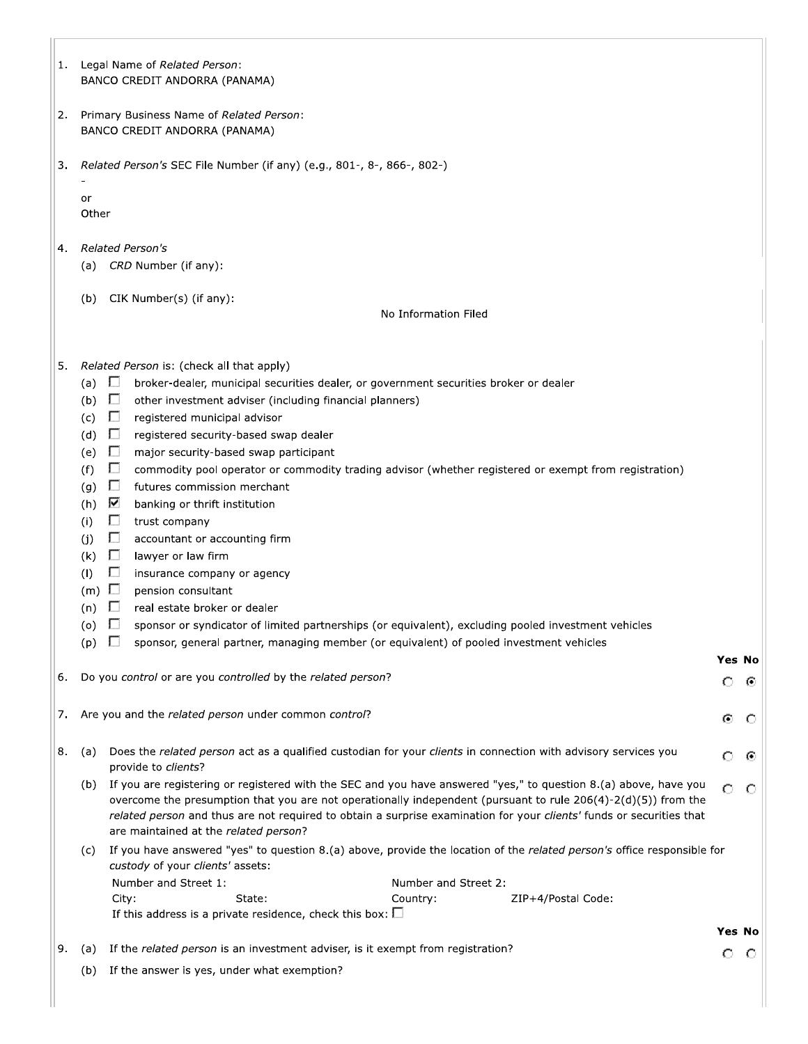|    |                                      | BANCO CREDIT ANDORRA (PANAMA)                                                                                                                                                                                                                                                                                                                                  |         |         |
|----|--------------------------------------|----------------------------------------------------------------------------------------------------------------------------------------------------------------------------------------------------------------------------------------------------------------------------------------------------------------------------------------------------------------|---------|---------|
| 2. |                                      | Primary Business Name of Related Person:<br>BANCO CREDIT ANDORRA (PANAMA)                                                                                                                                                                                                                                                                                      |         |         |
| 3. |                                      | Related Person's SEC File Number (if any) (e.g., 801-, 8-, 866-, 802-)                                                                                                                                                                                                                                                                                         |         |         |
|    | or                                   |                                                                                                                                                                                                                                                                                                                                                                |         |         |
|    | Other                                |                                                                                                                                                                                                                                                                                                                                                                |         |         |
| 4. |                                      | Related Person's                                                                                                                                                                                                                                                                                                                                               |         |         |
|    |                                      | (a) CRD Number (if any):                                                                                                                                                                                                                                                                                                                                       |         |         |
|    |                                      | (b) CIK Number(s) (if any):                                                                                                                                                                                                                                                                                                                                    |         |         |
|    |                                      | No Information Filed                                                                                                                                                                                                                                                                                                                                           |         |         |
|    |                                      |                                                                                                                                                                                                                                                                                                                                                                |         |         |
| 5. | D<br>(a)                             | Related Person is: (check all that apply)<br>broker-dealer, municipal securities dealer, or government securities broker or dealer                                                                                                                                                                                                                             |         |         |
|    | (b)<br>$\Box$                        | other investment adviser (including financial planners)                                                                                                                                                                                                                                                                                                        |         |         |
|    | П<br>(c)                             | registered municipal advisor                                                                                                                                                                                                                                                                                                                                   |         |         |
|    | П<br>(d)<br>D                        | registered security-based swap dealer                                                                                                                                                                                                                                                                                                                          |         |         |
|    | (e)<br>D<br>(f)                      | major security-based swap participant<br>commodity pool operator or commodity trading advisor (whether registered or exempt from registration)                                                                                                                                                                                                                 |         |         |
|    | D<br>(g)                             | futures commission merchant                                                                                                                                                                                                                                                                                                                                    |         |         |
|    | ⊽<br>(h)                             | banking or thrift institution                                                                                                                                                                                                                                                                                                                                  |         |         |
|    | П<br>(i)                             | trust company                                                                                                                                                                                                                                                                                                                                                  |         |         |
|    | D<br>(j)                             | accountant or accounting firm                                                                                                                                                                                                                                                                                                                                  |         |         |
|    | $\Box$<br>(k)                        | lawyer or law firm                                                                                                                                                                                                                                                                                                                                             |         |         |
|    | $\Box$<br>(1)                        | insurance company or agency                                                                                                                                                                                                                                                                                                                                    |         |         |
|    | $(m)$ $\Box$                         | pension consultant                                                                                                                                                                                                                                                                                                                                             |         |         |
|    | $\Box$<br>(n)                        | real estate broker or dealer                                                                                                                                                                                                                                                                                                                                   |         |         |
|    | $\mathbf{L}$<br>(0)<br>$\Box$<br>(p) | sponsor or syndicator of limited partnerships (or equivalent), excluding pooled investment vehicles<br>sponsor, general partner, managing member (or equivalent) of pooled investment vehicles                                                                                                                                                                 |         |         |
|    |                                      |                                                                                                                                                                                                                                                                                                                                                                | Yes No  |         |
| 6. |                                      | Do you control or are you controlled by the related person?                                                                                                                                                                                                                                                                                                    | $\circ$ | ⊙       |
| 7. |                                      | Are you and the related person under common control?                                                                                                                                                                                                                                                                                                           | ⊙       | $\circ$ |
|    |                                      |                                                                                                                                                                                                                                                                                                                                                                |         |         |
| 8. | (a)                                  | Does the related person act as a qualified custodian for your clients in connection with advisory services you<br>provide to clients?                                                                                                                                                                                                                          | O       | ⊙       |
|    |                                      | (b) If you are registering or registered with the SEC and you have answered "yes," to question 8.(a) above, have you<br>overcome the presumption that you are not operationally independent (pursuant to rule 206(4)-2(d)(5)) from the<br>related person and thus are not required to obtain a surprise examination for your clients' funds or securities that | $\circ$ | $\circ$ |
|    |                                      | are maintained at the related person?                                                                                                                                                                                                                                                                                                                          |         |         |
|    | (c)                                  | If you have answered "yes" to question 8.(a) above, provide the location of the related person's office responsible for<br>custody of your clients' assets:                                                                                                                                                                                                    |         |         |
|    |                                      | Number and Street 1:<br>Number and Street 2:                                                                                                                                                                                                                                                                                                                   |         |         |
|    |                                      | State:<br>City:<br>Country:<br>ZIP+4/Postal Code:<br>If this address is a private residence, check this box: $\square$                                                                                                                                                                                                                                         |         |         |
|    |                                      |                                                                                                                                                                                                                                                                                                                                                                | Yes No  |         |
| 9. | (a)                                  | If the related person is an investment adviser, is it exempt from registration?                                                                                                                                                                                                                                                                                | $\circ$ | $\circ$ |
|    | (b)                                  | If the answer is yes, under what exemption?                                                                                                                                                                                                                                                                                                                    |         |         |
|    |                                      |                                                                                                                                                                                                                                                                                                                                                                |         |         |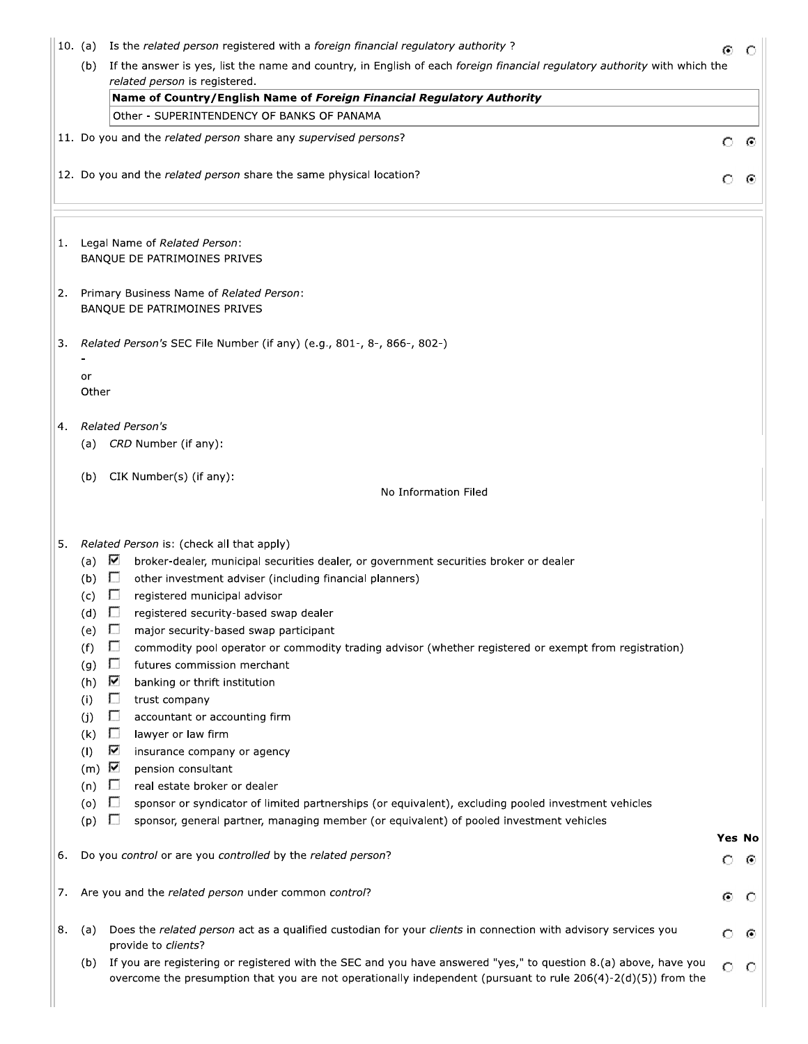|    | 10. (a)                                                                                                                                                     | Is the related person registered with a foreign financial regulatory authority?                                                                                                                                                                                                                                                                                                                                                                                                                                                                                                                                                                                                                                                                                                                                                                                                                                                                                  | ⊙       | O   |
|----|-------------------------------------------------------------------------------------------------------------------------------------------------------------|------------------------------------------------------------------------------------------------------------------------------------------------------------------------------------------------------------------------------------------------------------------------------------------------------------------------------------------------------------------------------------------------------------------------------------------------------------------------------------------------------------------------------------------------------------------------------------------------------------------------------------------------------------------------------------------------------------------------------------------------------------------------------------------------------------------------------------------------------------------------------------------------------------------------------------------------------------------|---------|-----|
|    | (b)                                                                                                                                                         | If the answer is yes, list the name and country, in English of each foreign financial regulatory authority with which the<br>related person is registered.                                                                                                                                                                                                                                                                                                                                                                                                                                                                                                                                                                                                                                                                                                                                                                                                       |         |     |
|    |                                                                                                                                                             | Name of Country/English Name of Foreign Financial Regulatory Authority                                                                                                                                                                                                                                                                                                                                                                                                                                                                                                                                                                                                                                                                                                                                                                                                                                                                                           |         |     |
|    |                                                                                                                                                             | Other - SUPERINTENDENCY OF BANKS OF PANAMA                                                                                                                                                                                                                                                                                                                                                                                                                                                                                                                                                                                                                                                                                                                                                                                                                                                                                                                       |         |     |
|    |                                                                                                                                                             | 11. Do you and the related person share any supervised persons?                                                                                                                                                                                                                                                                                                                                                                                                                                                                                                                                                                                                                                                                                                                                                                                                                                                                                                  | O       | ⊙   |
|    |                                                                                                                                                             | 12. Do you and the related person share the same physical location?                                                                                                                                                                                                                                                                                                                                                                                                                                                                                                                                                                                                                                                                                                                                                                                                                                                                                              | Ω       | ⊙   |
| 1. |                                                                                                                                                             | Legal Name of Related Person:<br>BANQUE DE PATRIMOINES PRIVES                                                                                                                                                                                                                                                                                                                                                                                                                                                                                                                                                                                                                                                                                                                                                                                                                                                                                                    |         |     |
| 2. |                                                                                                                                                             | Primary Business Name of Related Person:<br>BANQUE DE PATRIMOINES PRIVES                                                                                                                                                                                                                                                                                                                                                                                                                                                                                                                                                                                                                                                                                                                                                                                                                                                                                         |         |     |
| 3. |                                                                                                                                                             | Related Person's SEC File Number (if any) (e.g., 801-, 8-, 866-, 802-)                                                                                                                                                                                                                                                                                                                                                                                                                                                                                                                                                                                                                                                                                                                                                                                                                                                                                           |         |     |
|    | or<br>Other                                                                                                                                                 |                                                                                                                                                                                                                                                                                                                                                                                                                                                                                                                                                                                                                                                                                                                                                                                                                                                                                                                                                                  |         |     |
| 4. | (a)                                                                                                                                                         | <b>Related Person's</b><br>CRD Number (if any):                                                                                                                                                                                                                                                                                                                                                                                                                                                                                                                                                                                                                                                                                                                                                                                                                                                                                                                  |         |     |
|    | (b)                                                                                                                                                         | CIK Number(s) (if any):                                                                                                                                                                                                                                                                                                                                                                                                                                                                                                                                                                                                                                                                                                                                                                                                                                                                                                                                          |         |     |
|    |                                                                                                                                                             | No Information Filed                                                                                                                                                                                                                                                                                                                                                                                                                                                                                                                                                                                                                                                                                                                                                                                                                                                                                                                                             |         |     |
| 5. | $(a) \quad \blacksquare$<br>(b)<br>(c)<br>(d)<br>(e)<br>(f)<br>(g)<br>(h)<br>(i)<br>(i)<br>(k)<br>(1)<br>$(m)$ $\overline{\mathbf{V}}$<br>(n)<br>(0)<br>(p) | Related Person is: (check all that apply)<br>broker-dealer, municipal securities dealer, or government securities broker or dealer<br>$\Box$<br>other investment adviser (including financial planners)<br>registered municipal advisor<br>U<br>U<br>registered security-based swap dealer<br>major security-based swap participant<br>ш<br>$\Box$<br>commodity pool operator or commodity trading advisor (whether registered or exempt from registration)<br>$\Box$<br>futures commission merchant<br>⊽<br>banking or thrift institution<br>□<br>trust company<br>□<br>accountant or accounting firm<br>$\Box$<br>lawyer or law firm<br>⊽<br>insurance company or agency<br>pension consultant<br>$\Box$<br>real estate broker or dealer<br>$\Box$<br>sponsor or syndicator of limited partnerships (or equivalent), excluding pooled investment vehicles<br>sponsor, general partner, managing member (or equivalent) of pooled investment vehicles<br>$\Box$ | Yes No  |     |
| 6. |                                                                                                                                                             | Do you control or are you controlled by the related person?                                                                                                                                                                                                                                                                                                                                                                                                                                                                                                                                                                                                                                                                                                                                                                                                                                                                                                      | O       | ⊙   |
| 7. |                                                                                                                                                             | Are you and the related person under common control?                                                                                                                                                                                                                                                                                                                                                                                                                                                                                                                                                                                                                                                                                                                                                                                                                                                                                                             | ⊙       | O   |
| 8. | (a)                                                                                                                                                         | Does the related person act as a qualified custodian for your clients in connection with advisory services you<br>provide to clients?                                                                                                                                                                                                                                                                                                                                                                                                                                                                                                                                                                                                                                                                                                                                                                                                                            | O       | ⊙   |
|    | (b)                                                                                                                                                         | If you are registering or registered with the SEC and you have answered "yes," to question 8.(a) above, have you                                                                                                                                                                                                                                                                                                                                                                                                                                                                                                                                                                                                                                                                                                                                                                                                                                                 | $\circ$ | - 0 |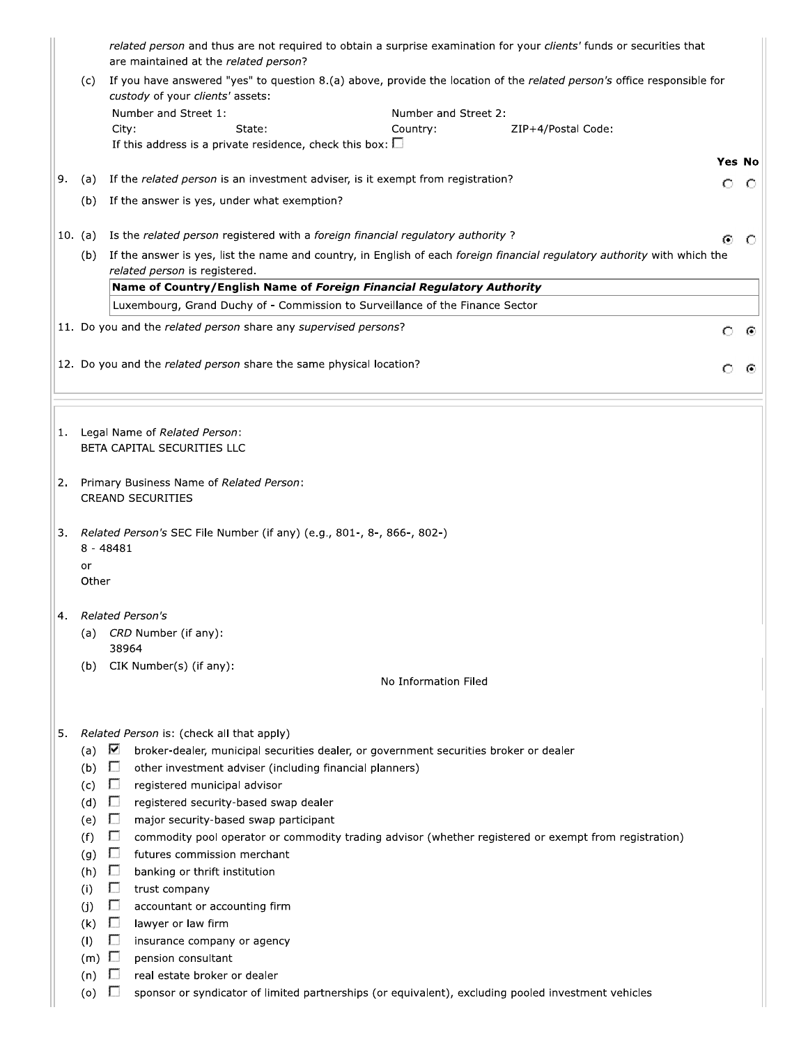|    |                          | related person and thus are not required to obtain a surprise examination for your clients' funds or securities that<br>are maintained at the related person? |         |               |
|----|--------------------------|---------------------------------------------------------------------------------------------------------------------------------------------------------------|---------|---------------|
|    | (c)                      | If you have answered "yes" to question 8.(a) above, provide the location of the related person's office responsible for<br>custody of your clients' assets:   |         |               |
|    |                          | Number and Street 1:<br>Number and Street 2:                                                                                                                  |         |               |
|    |                          | City:<br>State:<br>Country:<br>ZIP+4/Postal Code:                                                                                                             |         |               |
|    |                          | If this address is a private residence, check this box: $\square$                                                                                             |         |               |
|    |                          |                                                                                                                                                               |         | <b>Yes No</b> |
| 9. | (a)                      | If the related person is an investment adviser, is it exempt from registration?                                                                               | $\circ$ | O             |
|    | (b)                      | If the answer is yes, under what exemption?                                                                                                                   |         |               |
|    | 10. (a)                  | Is the related person registered with a foreign financial regulatory authority?                                                                               | ⊙       | O             |
|    | (b)                      | If the answer is yes, list the name and country, in English of each foreign financial regulatory authority with which the<br>related person is registered.    |         |               |
|    |                          | Name of Country/English Name of Foreign Financial Regulatory Authority                                                                                        |         |               |
|    |                          | Luxembourg, Grand Duchy of - Commission to Surveillance of the Finance Sector                                                                                 |         |               |
|    |                          | 11. Do you and the related person share any supervised persons?                                                                                               | $\circ$ | ⊙             |
|    |                          |                                                                                                                                                               |         |               |
|    |                          | 12. Do you and the related person share the same physical location?                                                                                           |         |               |
|    |                          |                                                                                                                                                               |         |               |
|    |                          |                                                                                                                                                               |         |               |
|    |                          | 1. Legal Name of Related Person:<br>BETA CAPITAL SECURITIES LLC                                                                                               |         |               |
|    |                          |                                                                                                                                                               |         |               |
| 2. |                          | Primary Business Name of Related Person:                                                                                                                      |         |               |
|    |                          | <b>CREAND SECURITIES</b>                                                                                                                                      |         |               |
|    |                          |                                                                                                                                                               |         |               |
| 3. |                          | Related Person's SEC File Number (if any) (e.g., 801-, 8-, 866-, 802-)                                                                                        |         |               |
|    |                          | $8 - 48481$                                                                                                                                                   |         |               |
|    | or                       |                                                                                                                                                               |         |               |
|    | Other                    |                                                                                                                                                               |         |               |
|    |                          | 4. Related Person's                                                                                                                                           |         |               |
|    | (a)                      | CRD Number (if any):                                                                                                                                          |         |               |
|    |                          | 38964                                                                                                                                                         |         |               |
|    | (b)                      | CIK Number(s) (if any):                                                                                                                                       |         |               |
|    |                          | No Information Filed                                                                                                                                          |         |               |
|    |                          |                                                                                                                                                               |         |               |
| 5. |                          | Related Person is: (check all that apply)                                                                                                                     |         |               |
|    | (a) $\blacktriangledown$ | broker-dealer, municipal securities dealer, or government securities broker or dealer                                                                         |         |               |
|    | $(b)$ $\Box$             | other investment adviser (including financial planners)                                                                                                       |         |               |
|    | (c)                      | $\Box$<br>registered municipal advisor                                                                                                                        |         |               |
|    | (d)                      | $\Box$<br>registered security-based swap dealer                                                                                                               |         |               |
|    | (e)                      | $\Box$<br>major security-based swap participant                                                                                                               |         |               |
|    | (f)                      | $\Box$<br>commodity pool operator or commodity trading advisor (whether registered or exempt from registration)                                               |         |               |
|    | (g)                      | $\Box$<br>futures commission merchant                                                                                                                         |         |               |
|    | (h)                      | $\Box$<br>banking or thrift institution                                                                                                                       |         |               |
|    | (i)                      | $\Box$<br>trust company                                                                                                                                       |         |               |
|    | (j)                      | П<br>accountant or accounting firm                                                                                                                            |         |               |
|    | (k)                      | $\Box$<br>lawyer or law firm                                                                                                                                  |         |               |
|    | (1)                      | $\Box$<br>insurance company or agency                                                                                                                         |         |               |
|    | $(m)$ $\Box$             | pension consultant                                                                                                                                            |         |               |
|    | (n)<br>(o)               | U<br>real estate broker or dealer<br>sponsor or syndicator of limited partnerships (or equivalent), excluding pooled investment vehicles                      |         |               |
|    |                          |                                                                                                                                                               |         |               |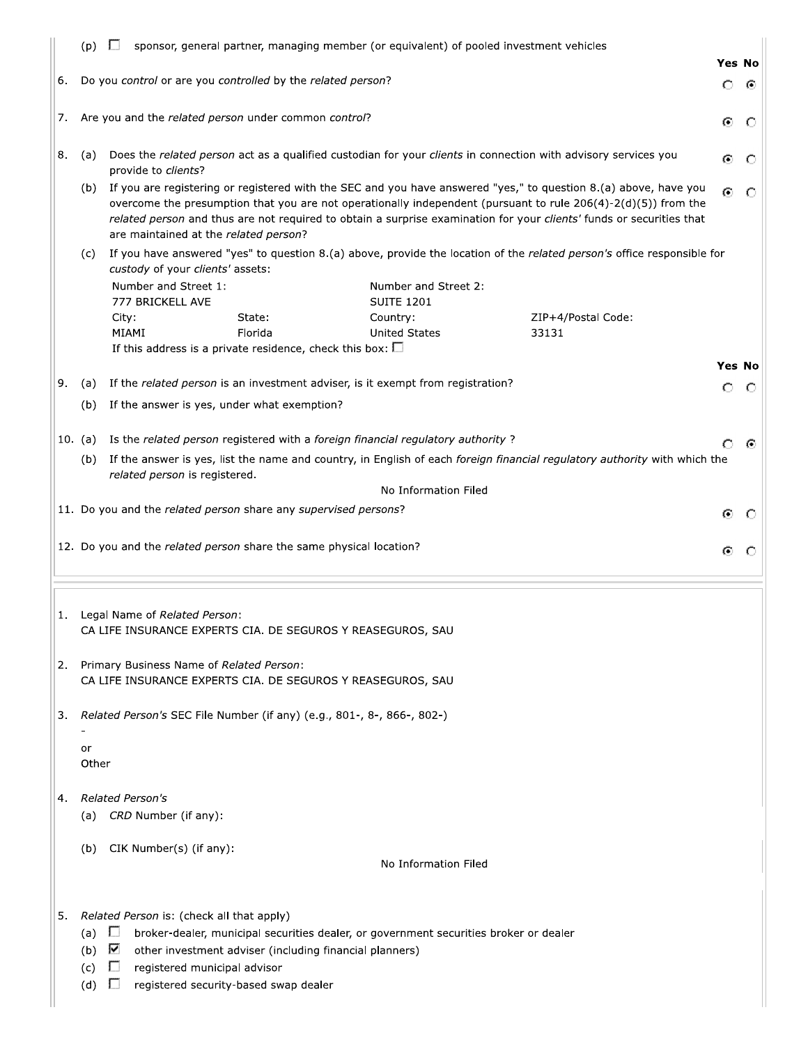|    | (p)        | U                                                                                                       |                                                         | sponsor, general partner, managing member (or equivalent) of pooled investment vehicles |                                                                                                                                                                                                                                                                                                                                                            |               |         |
|----|------------|---------------------------------------------------------------------------------------------------------|---------------------------------------------------------|-----------------------------------------------------------------------------------------|------------------------------------------------------------------------------------------------------------------------------------------------------------------------------------------------------------------------------------------------------------------------------------------------------------------------------------------------------------|---------------|---------|
|    |            |                                                                                                         |                                                         |                                                                                         |                                                                                                                                                                                                                                                                                                                                                            | Yes No        |         |
| 6. |            | Do you control or are you controlled by the related person?                                             |                                                         |                                                                                         |                                                                                                                                                                                                                                                                                                                                                            | $\circ$       | ⊙       |
| 7. |            | Are you and the related person under common control?                                                    |                                                         |                                                                                         |                                                                                                                                                                                                                                                                                                                                                            | ⊙             | $\circ$ |
| 8. | (a)        | provide to clients?                                                                                     |                                                         |                                                                                         | Does the related person act as a qualified custodian for your clients in connection with advisory services you                                                                                                                                                                                                                                             | ⊙             |         |
|    | (b)        | are maintained at the related person?                                                                   |                                                         |                                                                                         | If you are registering or registered with the SEC and you have answered "yes," to question 8.(a) above, have you<br>overcome the presumption that you are not operationally independent (pursuant to rule 206(4)-2(d)(5)) from the<br>related person and thus are not required to obtain a surprise examination for your clients' funds or securities that | О             | C       |
|    | (c)        | custody of your clients' assets:                                                                        |                                                         |                                                                                         | If you have answered "yes" to question 8.(a) above, provide the location of the related person's office responsible for                                                                                                                                                                                                                                    |               |         |
|    |            | Number and Street 1:<br>777 BRICKELL AVE                                                                |                                                         | Number and Street 2:<br><b>SUITE 1201</b>                                               |                                                                                                                                                                                                                                                                                                                                                            |               |         |
|    |            | City:                                                                                                   | State:                                                  | Country:                                                                                | ZIP+4/Postal Code:                                                                                                                                                                                                                                                                                                                                         |               |         |
|    |            | MIAMI                                                                                                   | Florida                                                 | <b>United States</b>                                                                    | 33131                                                                                                                                                                                                                                                                                                                                                      |               |         |
|    |            | If this address is a private residence, check this box: $\square$                                       |                                                         |                                                                                         |                                                                                                                                                                                                                                                                                                                                                            | <b>Yes No</b> |         |
| 9. | (a)        |                                                                                                         |                                                         | If the related person is an investment adviser, is it exempt from registration?         |                                                                                                                                                                                                                                                                                                                                                            |               |         |
|    | (b)        | If the answer is yes, under what exemption?                                                             |                                                         |                                                                                         |                                                                                                                                                                                                                                                                                                                                                            | Ω             | O       |
|    |            |                                                                                                         |                                                         |                                                                                         |                                                                                                                                                                                                                                                                                                                                                            |               |         |
|    | 10. (a)    |                                                                                                         |                                                         | Is the related person registered with a foreign financial regulatory authority?         |                                                                                                                                                                                                                                                                                                                                                            |               | ⊙       |
|    | (b)        |                                                                                                         |                                                         |                                                                                         | If the answer is yes, list the name and country, in English of each foreign financial regulatory authority with which the                                                                                                                                                                                                                                  |               |         |
|    |            | related person is registered.                                                                           |                                                         | No Information Filed                                                                    |                                                                                                                                                                                                                                                                                                                                                            |               |         |
|    |            | 11. Do you and the related person share any supervised persons?                                         |                                                         |                                                                                         |                                                                                                                                                                                                                                                                                                                                                            |               |         |
|    |            |                                                                                                         |                                                         |                                                                                         |                                                                                                                                                                                                                                                                                                                                                            | Θ             |         |
|    |            | 12. Do you and the related person share the same physical location?                                     |                                                         |                                                                                         |                                                                                                                                                                                                                                                                                                                                                            | ⊙             |         |
| 1. |            | Legal Name of Related Person:<br>CA LIFE INSURANCE EXPERTS CIA. DE SEGUROS Y REASEGUROS, SAU            |                                                         |                                                                                         |                                                                                                                                                                                                                                                                                                                                                            |               |         |
| 2. |            | Primary Business Name of Related Person:<br>CA LIFE INSURANCE EXPERTS CIA. DE SEGUROS Y REASEGUROS, SAU |                                                         |                                                                                         |                                                                                                                                                                                                                                                                                                                                                            |               |         |
| 3. |            | Related Person's SEC File Number (if any) (e.g., 801-, 8-, 866-, 802-)                                  |                                                         |                                                                                         |                                                                                                                                                                                                                                                                                                                                                            |               |         |
|    | or         |                                                                                                         |                                                         |                                                                                         |                                                                                                                                                                                                                                                                                                                                                            |               |         |
|    | Other      |                                                                                                         |                                                         |                                                                                         |                                                                                                                                                                                                                                                                                                                                                            |               |         |
| 4. | (a)        | <b>Related Person's</b><br>CRD Number (if any):                                                         |                                                         |                                                                                         |                                                                                                                                                                                                                                                                                                                                                            |               |         |
|    |            |                                                                                                         |                                                         |                                                                                         |                                                                                                                                                                                                                                                                                                                                                            |               |         |
|    | (b)        | CIK Number(s) (if any):                                                                                 |                                                         |                                                                                         |                                                                                                                                                                                                                                                                                                                                                            |               |         |
|    |            |                                                                                                         |                                                         | No Information Filed                                                                    |                                                                                                                                                                                                                                                                                                                                                            |               |         |
| 5. |            | Related Person is: (check all that apply)                                                               |                                                         |                                                                                         |                                                                                                                                                                                                                                                                                                                                                            |               |         |
|    | (a) $\Box$ |                                                                                                         |                                                         | broker-dealer, municipal securities dealer, or government securities broker or dealer   |                                                                                                                                                                                                                                                                                                                                                            |               |         |
|    | (b)        | M                                                                                                       | other investment adviser (including financial planners) |                                                                                         |                                                                                                                                                                                                                                                                                                                                                            |               |         |
|    | (c)        | registered municipal advisor<br>$\mathbf{L}$                                                            |                                                         |                                                                                         |                                                                                                                                                                                                                                                                                                                                                            |               |         |
|    | (d)        | ш<br>registered security-based swap dealer                                                              |                                                         |                                                                                         |                                                                                                                                                                                                                                                                                                                                                            |               |         |
|    |            |                                                                                                         |                                                         |                                                                                         |                                                                                                                                                                                                                                                                                                                                                            |               |         |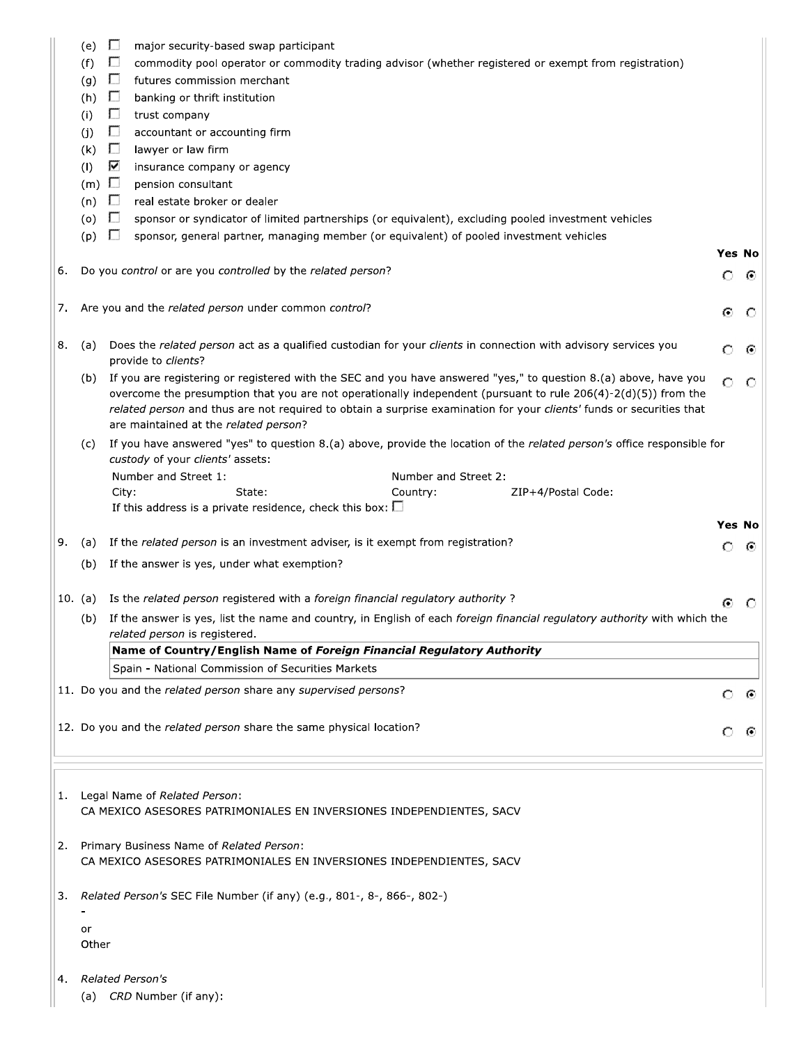|    | (e)<br>(f)<br>(g)<br>(h)<br>(i)<br>(j)<br>(k)<br>(1)<br>$(m)$ $\Box$<br>(n)<br>(0)<br>(p) | $\Box$<br>major security-based swap participant<br>$\Box$<br>commodity pool operator or commodity trading advisor (whether registered or exempt from registration)<br>$\Box$<br>futures commission merchant<br>П<br>banking or thrift institution<br>П<br>trust company<br>П<br>accountant or accounting firm<br>$\Box$<br>lawyer or law firm<br>⊽<br>insurance company or agency<br>pension consultant<br>$\Box$<br>real estate broker or dealer<br>$\Box$<br>sponsor or syndicator of limited partnerships (or equivalent), excluding pooled investment vehicles<br>$\Box$<br>sponsor, general partner, managing member (or equivalent) of pooled investment vehicles |                    |        |
|----|-------------------------------------------------------------------------------------------|-------------------------------------------------------------------------------------------------------------------------------------------------------------------------------------------------------------------------------------------------------------------------------------------------------------------------------------------------------------------------------------------------------------------------------------------------------------------------------------------------------------------------------------------------------------------------------------------------------------------------------------------------------------------------|--------------------|--------|
| 6. |                                                                                           | Do you control or are you controlled by the related person?                                                                                                                                                                                                                                                                                                                                                                                                                                                                                                                                                                                                             | <b>Yes No</b><br>O | ⊙      |
| 7. |                                                                                           | Are you and the related person under common control?                                                                                                                                                                                                                                                                                                                                                                                                                                                                                                                                                                                                                    | ⊙                  | O      |
| 8. | (a)<br>(b)                                                                                | Does the related person act as a qualified custodian for your clients in connection with advisory services you<br>provide to clients?<br>If you are registering or registered with the SEC and you have answered "yes," to question 8.(a) above, have you<br>overcome the presumption that you are not operationally independent (pursuant to rule $206(4)-2(d)(5)$ ) from the                                                                                                                                                                                                                                                                                          | $\circ$<br>O       | ⊙<br>Ω |
|    |                                                                                           | related person and thus are not required to obtain a surprise examination for your clients' funds or securities that<br>are maintained at the related person?                                                                                                                                                                                                                                                                                                                                                                                                                                                                                                           |                    |        |
|    | (c)                                                                                       | If you have answered "yes" to question 8.(a) above, provide the location of the related person's office responsible for<br>custody of your clients' assets:<br>Number and Street 1:<br>Number and Street 2:<br>City:<br>State:<br>Country:<br>ZIP+4/Postal Code:<br>If this address is a private residence, check this box: $\square$                                                                                                                                                                                                                                                                                                                                   |                    |        |
|    |                                                                                           |                                                                                                                                                                                                                                                                                                                                                                                                                                                                                                                                                                                                                                                                         |                    | Yes No |
| 9. | (a)                                                                                       | If the related person is an investment adviser, is it exempt from registration?                                                                                                                                                                                                                                                                                                                                                                                                                                                                                                                                                                                         | О                  | ⊛      |
|    |                                                                                           |                                                                                                                                                                                                                                                                                                                                                                                                                                                                                                                                                                                                                                                                         |                    |        |
|    | (b)                                                                                       | If the answer is yes, under what exemption?                                                                                                                                                                                                                                                                                                                                                                                                                                                                                                                                                                                                                             |                    |        |
|    |                                                                                           | 10. (a) Is the related person registered with a foreign financial regulatory authority?                                                                                                                                                                                                                                                                                                                                                                                                                                                                                                                                                                                 | ⊙                  | O      |
|    | (b)                                                                                       | If the answer is yes, list the name and country, in English of each foreign financial regulatory authority with which the<br>related person is registered.                                                                                                                                                                                                                                                                                                                                                                                                                                                                                                              |                    |        |
|    |                                                                                           | Name of Country/English Name of Foreign Financial Regulatory Authority                                                                                                                                                                                                                                                                                                                                                                                                                                                                                                                                                                                                  |                    |        |
|    |                                                                                           | Spain - National Commission of Securities Markets                                                                                                                                                                                                                                                                                                                                                                                                                                                                                                                                                                                                                       |                    |        |
|    |                                                                                           | 11. Do you and the related person share any supervised persons?                                                                                                                                                                                                                                                                                                                                                                                                                                                                                                                                                                                                         | O                  | ⊙      |
|    |                                                                                           | 12. Do you and the related person share the same physical location?                                                                                                                                                                                                                                                                                                                                                                                                                                                                                                                                                                                                     | Ω                  | ⊙      |
| 1. |                                                                                           | Legal Name of Related Person:<br>CA MEXICO ASESORES PATRIMONIALES EN INVERSIONES INDEPENDIENTES, SACV                                                                                                                                                                                                                                                                                                                                                                                                                                                                                                                                                                   |                    |        |
| 2. |                                                                                           | Primary Business Name of Related Person:<br>CA MEXICO ASESORES PATRIMONIALES EN INVERSIONES INDEPENDIENTES, SACV                                                                                                                                                                                                                                                                                                                                                                                                                                                                                                                                                        |                    |        |
| 3. |                                                                                           | Related Person's SEC File Number (if any) (e.g., 801-, 8-, 866-, 802-)                                                                                                                                                                                                                                                                                                                                                                                                                                                                                                                                                                                                  |                    |        |
|    | or<br>Other                                                                               |                                                                                                                                                                                                                                                                                                                                                                                                                                                                                                                                                                                                                                                                         |                    |        |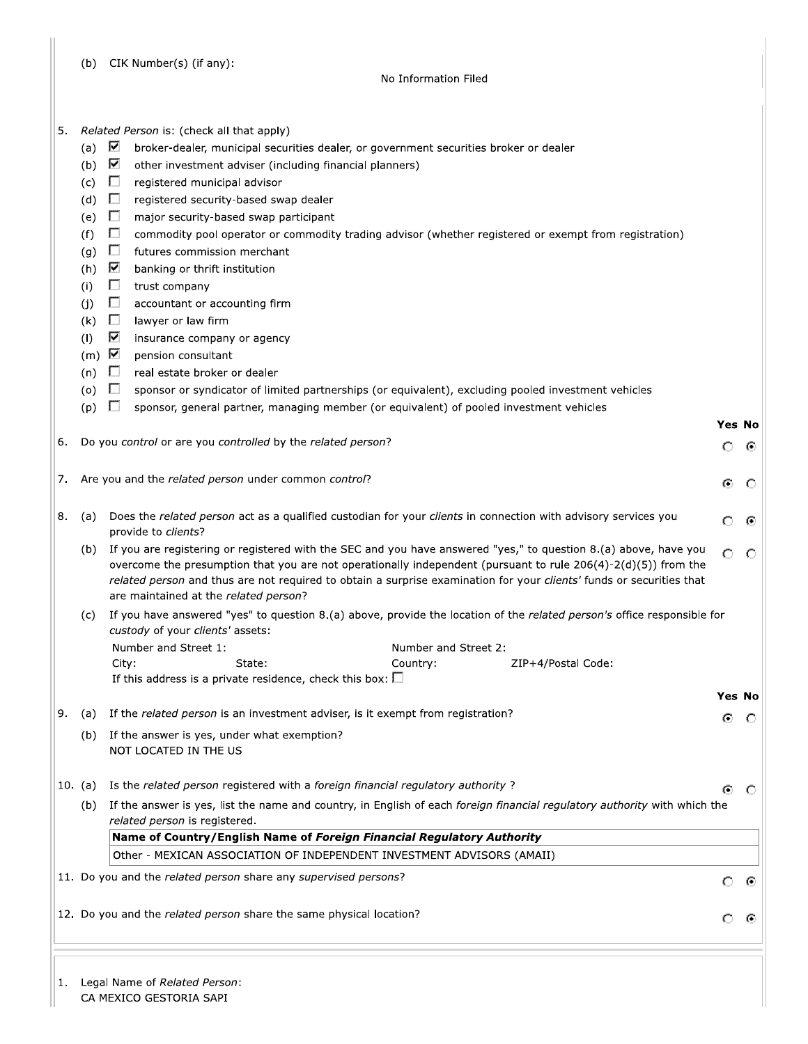|  |  | (b) CIK Number(s) (if any): |  |
|--|--|-----------------------------|--|
|--|--|-----------------------------|--|

#### No Information Filed

| 5. Related Person is: (check all that apply) |  |  |
|----------------------------------------------|--|--|
|----------------------------------------------|--|--|

- (a)  $\nabla$ broker-dealer, municipal securities dealer, or government securities broker or dealer
- (b)  $\overline{\mathbf{V}}$ other investment adviser (including financial planners)
- (c)  $\Box$ registered municipal advisor
- (d)  $\Box$ registered security-based swap dealer
- $(e)$  $\Box$ major security-based swap participant
- $(f)$ L. commodity pool operator or commodity trading advisor (whether registered or exempt from registration)
- $(g)$  $\Box$ futures commission merchant
- (h)  $\nabla$ banking or thrift institution
- $(i)$  $\Box$ trust company
- accountant or accounting firm  $(i)$  $\Box$
- $(k)$  $\Box$ lawyer or law firm
- Z  $(1)$ insurance company or agency
- $(m)$   $\nabla$ pension consultant
- $\Box$  real estate broker or dealer  $(n)$
- $(o)$  $\Box$ sponsor or syndicator of limited partnerships (or equivalent), excluding pooled investment vehicles
- $(p)$   $\Box$ sponsor, general partner, managing member (or equivalent) of pooled investment vehicles

|  |  |  |  | 6. Do you control or are you controlled by the related person? |  |  |  |  |
|--|--|--|--|----------------------------------------------------------------|--|--|--|--|
|--|--|--|--|----------------------------------------------------------------|--|--|--|--|

Yes No  $\odot$ ◠

⊙  $\circ$ 

Yes No  $\odot$   $\odot$ 

> ⊙ - 0

> $\circ$  $\odot$

> O - 0

|  |  |  | Are you and the related person under common control? |  |
|--|--|--|------------------------------------------------------|--|

| 8. (a) |  | Does the related person act as a qualified custodian for your clients in connection with advisory services you<br>provide to <i>clients</i> ? | ் - @         |  |
|--------|--|-----------------------------------------------------------------------------------------------------------------------------------------------|---------------|--|
|        |  | If you are registering or registered with the SEC and you have answered "yes," to question 8.(a) above, have you                              | $\sim$ $\sim$ |  |

- $\circ$ O overcome the presumption that you are not operationally independent (pursuant to rule 206(4)-2(d)(5)) from the related person and thus are not required to obtain a surprise examination for your clients' funds or securities that are maintained at the related person?
- (c) If you have answered "yes" to question 8.(a) above, provide the location of the related person's office responsible for custody of your clients' assets: Number and Ctreet 1. Number and Street 2:

| NUTTUCI UNU JUCCI 1. |        | NUTTUCI UNU JUCCI 2. |                    |
|----------------------|--------|----------------------|--------------------|
| Citv:                | State: | Country:             | ZIP+4/Postal Code: |
|                      |        |                      |                    |

If this address is a private residence, check this box:  $\square$ 

|  | $\vert$ 9. (a) If the <i>related person</i> is an investment adviser, is it exempt from registration? |
|--|-------------------------------------------------------------------------------------------------------|
|  | (b) If the answer is yes, under what exemption?                                                       |

- NOT LOCATED IN THE US
- 10. (a) Is the related person registered with a foreign financial regulatory authority?
	- (b) If the answer is yes, list the name and country, in English of each foreign financial regulatory authority with which the related person is registered.

Name of Country/English Name of Foreign Financial Regulatory Authority Other - MEXICAN ASSOCIATION OF INDEPENDENT INVESTMENT ADVISORS (AMAII)

11. Do you and the related person share any supervised persons?

12. Do you and the related person share the same physical location?

1. Legal Name of Related Person:

CA MEXICO GESTORIA SAPI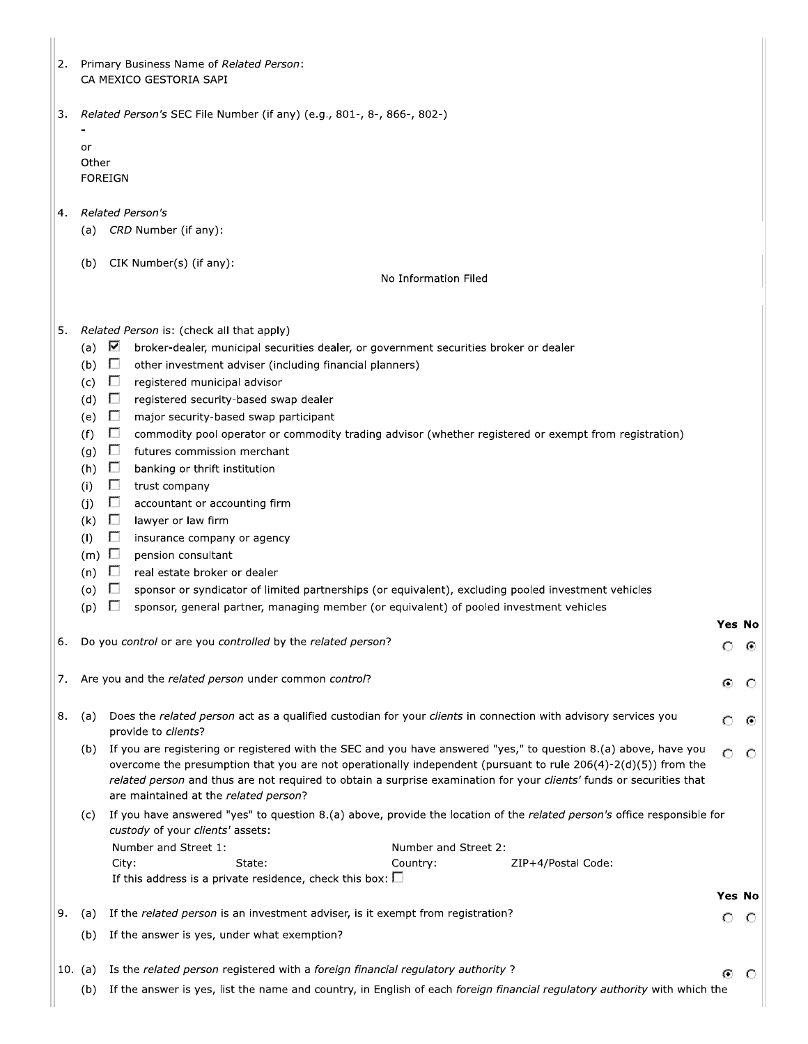| 2.        | Primary Business Name of Related Person:<br>CA MEXICO GESTORIA SAPI                                                                                                                                                                                                                                                                                                                                                        |         |  |
|-----------|----------------------------------------------------------------------------------------------------------------------------------------------------------------------------------------------------------------------------------------------------------------------------------------------------------------------------------------------------------------------------------------------------------------------------|---------|--|
|           |                                                                                                                                                                                                                                                                                                                                                                                                                            |         |  |
| 3.        | Related Person's SEC File Number (if any) (e.g., 801-, 8-, 866-, 802-)                                                                                                                                                                                                                                                                                                                                                     |         |  |
|           | or<br>Other<br><b>FOREIGN</b>                                                                                                                                                                                                                                                                                                                                                                                              |         |  |
| 4.        | <b>Related Person's</b><br>(a) CRD Number (if any):                                                                                                                                                                                                                                                                                                                                                                        |         |  |
|           | CIK Number(s) (if any):<br>(b)<br>No Information Filed                                                                                                                                                                                                                                                                                                                                                                     |         |  |
| 5.        | Related Person is: (check all that apply)<br>⊽<br>(a)<br>broker-dealer, municipal securities dealer, or government securities broker or dealer<br>(b)<br>$\Box$<br>other investment adviser (including financial planners)<br>$\Box$<br>(c)<br>registered municipal advisor<br>$\Box$<br>(d)<br>registered security-based swap dealer<br>Ð<br>(e)<br>major security-based swap participant                                 |         |  |
|           | $\Box$<br>(f)<br>commodity pool operator or commodity trading advisor (whether registered or exempt from registration)<br>(g)<br>$\Box$<br>futures commission merchant<br>$\Box$<br>(h)<br>banking or thrift institution<br>$\Box$<br>(i)<br>trust company<br>П<br>(i)<br>accountant or accounting firm<br>П<br>(k)<br>lawyer or law firm<br>П<br>(1)<br>insurance company or agency<br>$(m)$ $\Box$<br>pension consultant |         |  |
|           | П<br>(n)<br>real estate broker or dealer<br>Ш<br>sponsor or syndicator of limited partnerships (or equivalent), excluding pooled investment vehicles<br>(o)<br>sponsor, general partner, managing member (or equivalent) of pooled investment vehicles<br>ш<br>(p)                                                                                                                                                         |         |  |
| 6.        | Yes No<br>Do you control or are you controlled by the related person?<br>Ω                                                                                                                                                                                                                                                                                                                                                 | ⊙       |  |
| 7.        | Are you and the related person under common control?<br>⊙                                                                                                                                                                                                                                                                                                                                                                  | $\circ$ |  |
| 8.        | Does the related person act as a qualified custodian for your clients in connection with advisory services you<br>(a)<br>Ω<br>provide to clients?                                                                                                                                                                                                                                                                          | ⊙       |  |
|           | If you are registering or registered with the SEC and you have answered "yes," to question 8.(a) above, have you<br>(b)<br>O<br>overcome the presumption that you are not operationally independent (pursuant to rule 206(4)-2(d)(5)) from the<br>related person and thus are not required to obtain a surprise examination for your clients' funds or securities that<br>are maintained at the related person?            | O       |  |
|           | If you have answered "yes" to question 8.(a) above, provide the location of the related person's office responsible for<br>(c)<br>custody of your clients' assets:                                                                                                                                                                                                                                                         |         |  |
|           | Number and Street 1:<br>Number and Street 2:<br>City:<br>State:<br>Country:<br>ZIP+4/Postal Code:<br>If this address is a private residence, check this box: $\square$                                                                                                                                                                                                                                                     |         |  |
|           | Yes No                                                                                                                                                                                                                                                                                                                                                                                                                     |         |  |
| 9.        | If the related person is an investment adviser, is it exempt from registration?<br>(a)<br>Ω<br>If the answer is yes, under what exemption?<br>(b)                                                                                                                                                                                                                                                                          | O       |  |
| $10.$ (a) | Is the related person registered with a foreign financial regulatory authority?<br>Θ                                                                                                                                                                                                                                                                                                                                       |         |  |
|           | If the answer is yes, list the name and country, in English of each foreign financial regulatory authority with which the<br>(b)                                                                                                                                                                                                                                                                                           | O       |  |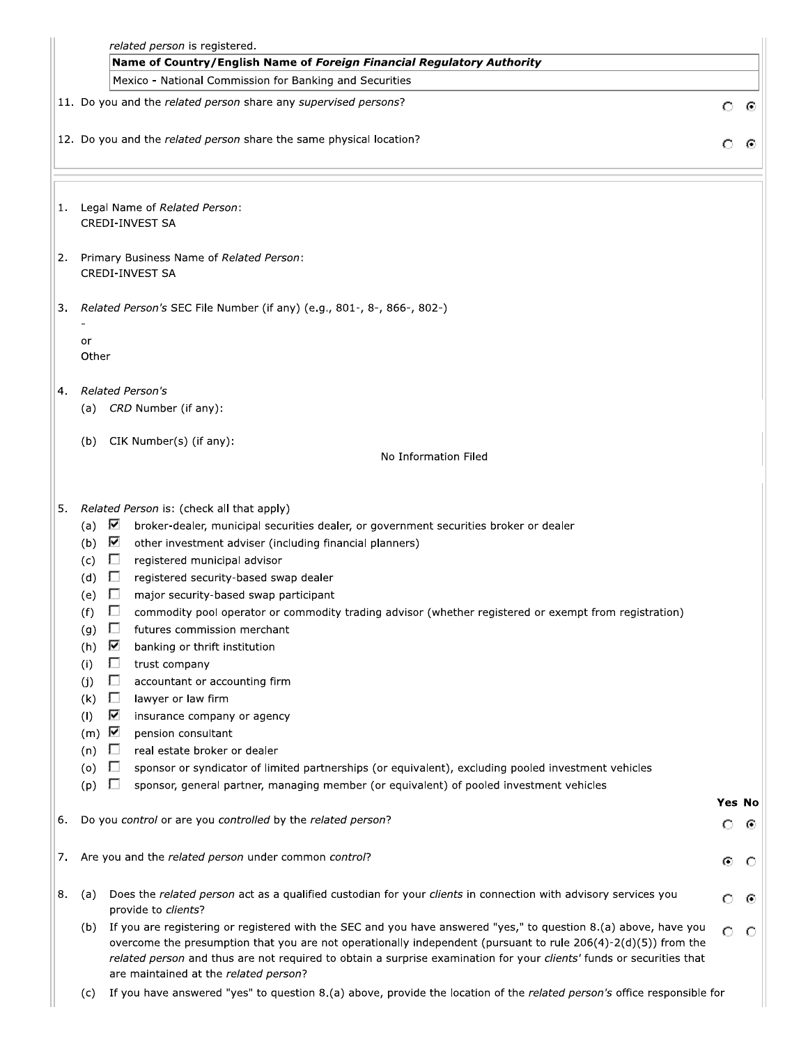|    | related person is registered.                                                                                |                                                                                                                                                                                                                                                                                                                                                                                                                                                                                                                                                                                                                                                                                                                                                                                                                                                                                                            |               |   |
|----|--------------------------------------------------------------------------------------------------------------|------------------------------------------------------------------------------------------------------------------------------------------------------------------------------------------------------------------------------------------------------------------------------------------------------------------------------------------------------------------------------------------------------------------------------------------------------------------------------------------------------------------------------------------------------------------------------------------------------------------------------------------------------------------------------------------------------------------------------------------------------------------------------------------------------------------------------------------------------------------------------------------------------------|---------------|---|
|    |                                                                                                              | Name of Country/English Name of Foreign Financial Regulatory Authority                                                                                                                                                                                                                                                                                                                                                                                                                                                                                                                                                                                                                                                                                                                                                                                                                                     |               |   |
|    |                                                                                                              | Mexico - National Commission for Banking and Securities                                                                                                                                                                                                                                                                                                                                                                                                                                                                                                                                                                                                                                                                                                                                                                                                                                                    |               |   |
|    |                                                                                                              | 11. Do you and the related person share any supervised persons?                                                                                                                                                                                                                                                                                                                                                                                                                                                                                                                                                                                                                                                                                                                                                                                                                                            | $\circ$       | ⊙ |
|    |                                                                                                              | 12. Do you and the related person share the same physical location?                                                                                                                                                                                                                                                                                                                                                                                                                                                                                                                                                                                                                                                                                                                                                                                                                                        | О             |   |
| 1. |                                                                                                              | Legal Name of Related Person:<br><b>CREDI-INVEST SA</b>                                                                                                                                                                                                                                                                                                                                                                                                                                                                                                                                                                                                                                                                                                                                                                                                                                                    |               |   |
| 2. |                                                                                                              | Primary Business Name of Related Person:<br><b>CREDI-INVEST SA</b>                                                                                                                                                                                                                                                                                                                                                                                                                                                                                                                                                                                                                                                                                                                                                                                                                                         |               |   |
| 3. |                                                                                                              | Related Person's SEC File Number (if any) (e.g., 801-, 8-, 866-, 802-)                                                                                                                                                                                                                                                                                                                                                                                                                                                                                                                                                                                                                                                                                                                                                                                                                                     |               |   |
|    | or<br>Other                                                                                                  |                                                                                                                                                                                                                                                                                                                                                                                                                                                                                                                                                                                                                                                                                                                                                                                                                                                                                                            |               |   |
| 4. |                                                                                                              | <b>Related Person's</b>                                                                                                                                                                                                                                                                                                                                                                                                                                                                                                                                                                                                                                                                                                                                                                                                                                                                                    |               |   |
|    |                                                                                                              | (a) CRD Number (if any):                                                                                                                                                                                                                                                                                                                                                                                                                                                                                                                                                                                                                                                                                                                                                                                                                                                                                   |               |   |
|    | (b)                                                                                                          | CIK Number(s) (if any):<br>No Information Filed                                                                                                                                                                                                                                                                                                                                                                                                                                                                                                                                                                                                                                                                                                                                                                                                                                                            |               |   |
|    |                                                                                                              |                                                                                                                                                                                                                                                                                                                                                                                                                                                                                                                                                                                                                                                                                                                                                                                                                                                                                                            |               |   |
|    | (a)<br>(b)<br>(c)<br>(d)<br>(e)<br>(f)<br>(g)<br>(h)<br>(i)<br>(i)<br>(k)<br>(1)<br>(m)<br>(n)<br>(o)<br>(p) | ⊽<br>broker-dealer, municipal securities dealer, or government securities broker or dealer<br>☑<br>other investment adviser (including financial planners)<br>$\Box$<br>registered municipal advisor<br>$\Box$<br>registered security-based swap dealer<br>$\Box$<br>major security-based swap participant<br>commodity pool operator or commodity trading advisor (whether registered or exempt from registration)<br>futures commission merchant<br>L.<br>⊽<br>banking or thrift institution<br>$\Box$<br>trust company<br>$\Box$<br>accountant or accounting firm<br>П<br>lawyer or law firm<br>⊽<br>insurance company or agency<br>pension consultant<br>real estate broker or dealer<br>Ш<br>U<br>sponsor or syndicator of limited partnerships (or equivalent), excluding pooled investment vehicles<br>Ш<br>sponsor, general partner, managing member (or equivalent) of pooled investment vehicles | <b>Yes No</b> |   |
| 6. |                                                                                                              | Do you control or are you controlled by the related person?                                                                                                                                                                                                                                                                                                                                                                                                                                                                                                                                                                                                                                                                                                                                                                                                                                                | O             | ⊙ |
| 7. |                                                                                                              | Are you and the related person under common control?                                                                                                                                                                                                                                                                                                                                                                                                                                                                                                                                                                                                                                                                                                                                                                                                                                                       | ⊙             | O |
| 8. | (a)                                                                                                          | Does the related person act as a qualified custodian for your clients in connection with advisory services you<br>provide to clients?                                                                                                                                                                                                                                                                                                                                                                                                                                                                                                                                                                                                                                                                                                                                                                      | O             | ⊙ |
|    | (b)                                                                                                          | If you are registering or registered with the SEC and you have answered "yes," to question 8.(a) above, have you<br>overcome the presumption that you are not operationally independent (pursuant to rule 206(4)-2(d)(5)) from the<br>related person and thus are not required to obtain a surprise examination for your clients' funds or securities that<br>are maintained at the related person?                                                                                                                                                                                                                                                                                                                                                                                                                                                                                                        | O             | O |
|    | (c)                                                                                                          | If you have answered "yes" to question 8.(a) above, provide the location of the related person's office responsible for                                                                                                                                                                                                                                                                                                                                                                                                                                                                                                                                                                                                                                                                                                                                                                                    |               |   |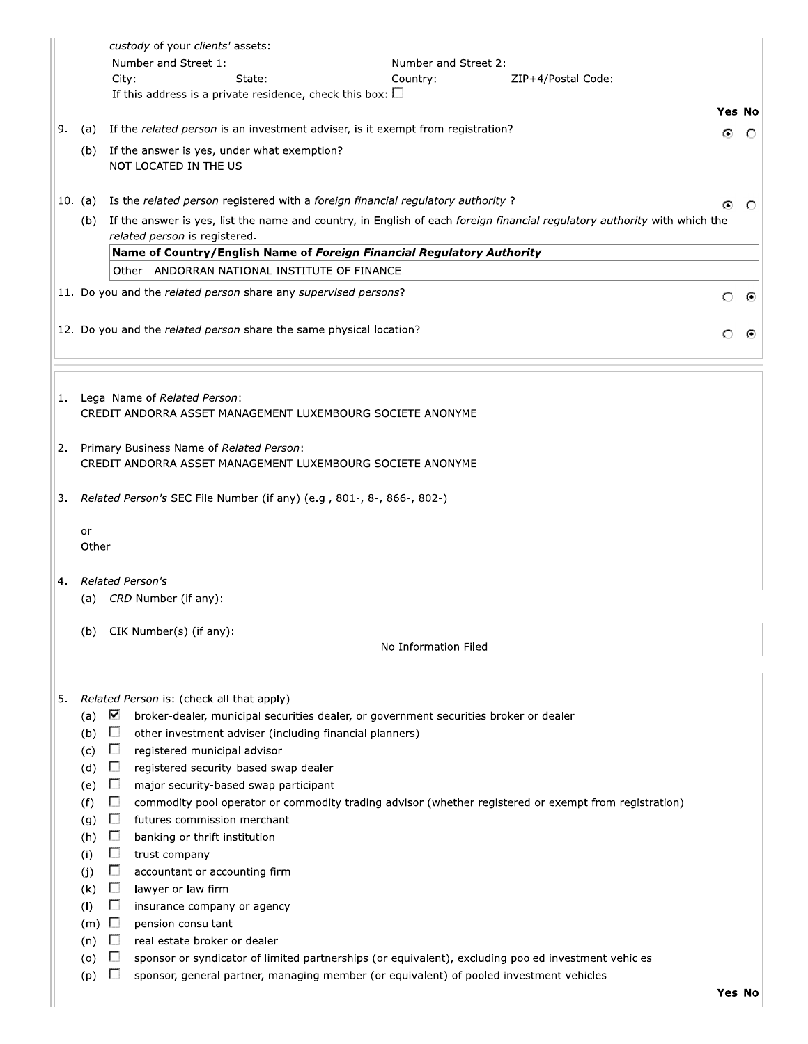|    |                                                                                         | custody of your clients' assets:<br>Number and Street 1:<br>Number and Street 2:<br>State:<br>City:<br>Country:<br>ZIP+4/Postal Code:<br>If this address is a private residence, check this box: $\square$                                                                                                                                                                                                                                                                                                                                                                                                                                                                                                                                |         |   |
|----|-----------------------------------------------------------------------------------------|-------------------------------------------------------------------------------------------------------------------------------------------------------------------------------------------------------------------------------------------------------------------------------------------------------------------------------------------------------------------------------------------------------------------------------------------------------------------------------------------------------------------------------------------------------------------------------------------------------------------------------------------------------------------------------------------------------------------------------------------|---------|---|
|    |                                                                                         |                                                                                                                                                                                                                                                                                                                                                                                                                                                                                                                                                                                                                                                                                                                                           | Yes No  |   |
| 9. | (a)                                                                                     | If the related person is an investment adviser, is it exempt from registration?                                                                                                                                                                                                                                                                                                                                                                                                                                                                                                                                                                                                                                                           | ⊙       | O |
|    |                                                                                         | (b) If the answer is yes, under what exemption?<br>NOT LOCATED IN THE US                                                                                                                                                                                                                                                                                                                                                                                                                                                                                                                                                                                                                                                                  |         |   |
|    | 10. (a)                                                                                 | Is the related person registered with a foreign financial regulatory authority?                                                                                                                                                                                                                                                                                                                                                                                                                                                                                                                                                                                                                                                           | ⊙       | C |
|    | (b)                                                                                     | If the answer is yes, list the name and country, in English of each foreign financial regulatory authority with which the<br>related person is registered.                                                                                                                                                                                                                                                                                                                                                                                                                                                                                                                                                                                |         |   |
|    |                                                                                         | Name of Country/English Name of Foreign Financial Regulatory Authority                                                                                                                                                                                                                                                                                                                                                                                                                                                                                                                                                                                                                                                                    |         |   |
|    |                                                                                         | Other - ANDORRAN NATIONAL INSTITUTE OF FINANCE                                                                                                                                                                                                                                                                                                                                                                                                                                                                                                                                                                                                                                                                                            |         |   |
|    |                                                                                         | 11. Do you and the related person share any supervised persons?                                                                                                                                                                                                                                                                                                                                                                                                                                                                                                                                                                                                                                                                           | $\circ$ | ⊙ |
|    |                                                                                         | 12. Do you and the related person share the same physical location?                                                                                                                                                                                                                                                                                                                                                                                                                                                                                                                                                                                                                                                                       |         |   |
|    |                                                                                         | 1. Legal Name of Related Person:<br>CREDIT ANDORRA ASSET MANAGEMENT LUXEMBOURG SOCIETE ANONYME                                                                                                                                                                                                                                                                                                                                                                                                                                                                                                                                                                                                                                            |         |   |
| 2. |                                                                                         | Primary Business Name of Related Person:<br>CREDIT ANDORRA ASSET MANAGEMENT LUXEMBOURG SOCIETE ANONYME                                                                                                                                                                                                                                                                                                                                                                                                                                                                                                                                                                                                                                    |         |   |
| 3. |                                                                                         | Related Person's SEC File Number (if any) (e.g., 801-, 8-, 866-, 802-)                                                                                                                                                                                                                                                                                                                                                                                                                                                                                                                                                                                                                                                                    |         |   |
|    | or<br>Other                                                                             |                                                                                                                                                                                                                                                                                                                                                                                                                                                                                                                                                                                                                                                                                                                                           |         |   |
| 4. |                                                                                         | Related Person's<br>(a) CRD Number (if any):                                                                                                                                                                                                                                                                                                                                                                                                                                                                                                                                                                                                                                                                                              |         |   |
|    | (b)                                                                                     | CIK Number(s) (if any):<br>No Information Filed                                                                                                                                                                                                                                                                                                                                                                                                                                                                                                                                                                                                                                                                                           |         |   |
| 5. | (a)<br>(b)<br>(c)<br>(d)<br>(e)<br>(f)<br>(g)<br>(h)<br>(i)<br>(j)<br>(k)<br>(1)<br>(m) | Related Person is: (check all that apply)<br>⊽<br>broker-dealer, municipal securities dealer, or government securities broker or dealer<br>$\Box$<br>other investment adviser (including financial planners)<br>Ш<br>registered municipal advisor<br>$\Box$<br>registered security-based swap dealer<br>$\Box$<br>major security-based swap participant<br>U<br>commodity pool operator or commodity trading advisor (whether registered or exempt from registration)<br>$\Box$<br>futures commission merchant<br>Ш<br>banking or thrift institution<br>$\mathbf{L}$<br>trust company<br>$\Box$<br>accountant or accounting firm<br>$\Box$<br>lawyer or law firm<br>$\Box$<br>insurance company or agency<br>$\Box$<br>pension consultant |         |   |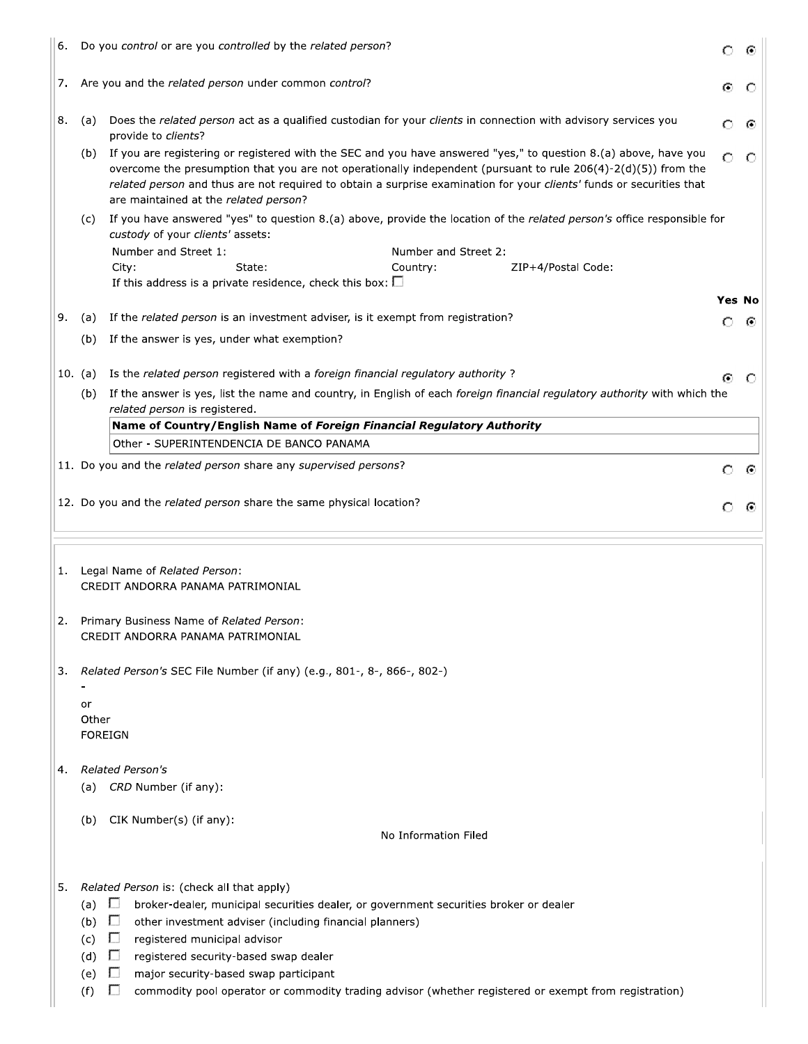| 6. | Do you control or are you controlled by the related person?         |                                                                                                                                                                                                                                                                                                                                                                                                                                                                                                                                                                                                                                                                                                                                                                                                                                                                                                                                                                                                                                                                                                              |   |   |  |  |
|----|---------------------------------------------------------------------|--------------------------------------------------------------------------------------------------------------------------------------------------------------------------------------------------------------------------------------------------------------------------------------------------------------------------------------------------------------------------------------------------------------------------------------------------------------------------------------------------------------------------------------------------------------------------------------------------------------------------------------------------------------------------------------------------------------------------------------------------------------------------------------------------------------------------------------------------------------------------------------------------------------------------------------------------------------------------------------------------------------------------------------------------------------------------------------------------------------|---|---|--|--|
| 7. |                                                                     | Are you and the related person under common control?                                                                                                                                                                                                                                                                                                                                                                                                                                                                                                                                                                                                                                                                                                                                                                                                                                                                                                                                                                                                                                                         | Θ | C |  |  |
| 8. | (a)                                                                 | Does the related person act as a qualified custodian for your clients in connection with advisory services you<br>provide to clients?                                                                                                                                                                                                                                                                                                                                                                                                                                                                                                                                                                                                                                                                                                                                                                                                                                                                                                                                                                        | O | C |  |  |
|    | (b)                                                                 | If you are registering or registered with the SEC and you have answered "yes," to question 8.(a) above, have you<br>overcome the presumption that you are not operationally independent (pursuant to rule 206(4)-2(d)(5)) from the<br>related person and thus are not required to obtain a surprise examination for your clients' funds or securities that<br>are maintained at the related person?                                                                                                                                                                                                                                                                                                                                                                                                                                                                                                                                                                                                                                                                                                          | o | C |  |  |
|    | (c)                                                                 | custody of your clients' assets:                                                                                                                                                                                                                                                                                                                                                                                                                                                                                                                                                                                                                                                                                                                                                                                                                                                                                                                                                                                                                                                                             |   |   |  |  |
|    |                                                                     | Number and Street 1:<br>Number and Street 2:                                                                                                                                                                                                                                                                                                                                                                                                                                                                                                                                                                                                                                                                                                                                                                                                                                                                                                                                                                                                                                                                 |   |   |  |  |
|    |                                                                     |                                                                                                                                                                                                                                                                                                                                                                                                                                                                                                                                                                                                                                                                                                                                                                                                                                                                                                                                                                                                                                                                                                              |   |   |  |  |
|    |                                                                     |                                                                                                                                                                                                                                                                                                                                                                                                                                                                                                                                                                                                                                                                                                                                                                                                                                                                                                                                                                                                                                                                                                              |   |   |  |  |
| 9. | (a)                                                                 | If the related person is an investment adviser, is it exempt from registration?                                                                                                                                                                                                                                                                                                                                                                                                                                                                                                                                                                                                                                                                                                                                                                                                                                                                                                                                                                                                                              | Ω | O |  |  |
|    | (b)                                                                 | If the answer is yes, under what exemption?                                                                                                                                                                                                                                                                                                                                                                                                                                                                                                                                                                                                                                                                                                                                                                                                                                                                                                                                                                                                                                                                  |   |   |  |  |
|    | 10. (a)                                                             |                                                                                                                                                                                                                                                                                                                                                                                                                                                                                                                                                                                                                                                                                                                                                                                                                                                                                                                                                                                                                                                                                                              |   | C |  |  |
|    | (b)                                                                 |                                                                                                                                                                                                                                                                                                                                                                                                                                                                                                                                                                                                                                                                                                                                                                                                                                                                                                                                                                                                                                                                                                              |   |   |  |  |
|    |                                                                     | related person is registered.                                                                                                                                                                                                                                                                                                                                                                                                                                                                                                                                                                                                                                                                                                                                                                                                                                                                                                                                                                                                                                                                                |   |   |  |  |
|    |                                                                     |                                                                                                                                                                                                                                                                                                                                                                                                                                                                                                                                                                                                                                                                                                                                                                                                                                                                                                                                                                                                                                                                                                              |   |   |  |  |
|    |                                                                     |                                                                                                                                                                                                                                                                                                                                                                                                                                                                                                                                                                                                                                                                                                                                                                                                                                                                                                                                                                                                                                                                                                              |   |   |  |  |
|    |                                                                     |                                                                                                                                                                                                                                                                                                                                                                                                                                                                                                                                                                                                                                                                                                                                                                                                                                                                                                                                                                                                                                                                                                              |   | ⊙ |  |  |
|    | 12. Do you and the related person share the same physical location? |                                                                                                                                                                                                                                                                                                                                                                                                                                                                                                                                                                                                                                                                                                                                                                                                                                                                                                                                                                                                                                                                                                              |   |   |  |  |
|    |                                                                     |                                                                                                                                                                                                                                                                                                                                                                                                                                                                                                                                                                                                                                                                                                                                                                                                                                                                                                                                                                                                                                                                                                              |   |   |  |  |
| 1. |                                                                     | Legal Name of Related Person:<br>CREDIT ANDORRA PANAMA PATRIMONIAL                                                                                                                                                                                                                                                                                                                                                                                                                                                                                                                                                                                                                                                                                                                                                                                                                                                                                                                                                                                                                                           |   |   |  |  |
| 2. |                                                                     | Primary Business Name of Related Person.<br>CREDIT ANDORRA PANAMA PATRIMONIAL                                                                                                                                                                                                                                                                                                                                                                                                                                                                                                                                                                                                                                                                                                                                                                                                                                                                                                                                                                                                                                |   |   |  |  |
| 3. |                                                                     | Related Person's SEC File Number (if any) (e.g., 801-, 8-, 866-, 802-)                                                                                                                                                                                                                                                                                                                                                                                                                                                                                                                                                                                                                                                                                                                                                                                                                                                                                                                                                                                                                                       |   |   |  |  |
|    | or                                                                  |                                                                                                                                                                                                                                                                                                                                                                                                                                                                                                                                                                                                                                                                                                                                                                                                                                                                                                                                                                                                                                                                                                              |   |   |  |  |
|    | Other<br><b>FOREIGN</b>                                             |                                                                                                                                                                                                                                                                                                                                                                                                                                                                                                                                                                                                                                                                                                                                                                                                                                                                                                                                                                                                                                                                                                              |   |   |  |  |
|    |                                                                     |                                                                                                                                                                                                                                                                                                                                                                                                                                                                                                                                                                                                                                                                                                                                                                                                                                                                                                                                                                                                                                                                                                              |   |   |  |  |
| 4. |                                                                     | <b>Related Person's</b>                                                                                                                                                                                                                                                                                                                                                                                                                                                                                                                                                                                                                                                                                                                                                                                                                                                                                                                                                                                                                                                                                      |   |   |  |  |
|    | (a)                                                                 |                                                                                                                                                                                                                                                                                                                                                                                                                                                                                                                                                                                                                                                                                                                                                                                                                                                                                                                                                                                                                                                                                                              |   |   |  |  |
|    | (b)                                                                 | CIK Number(s) (if any):                                                                                                                                                                                                                                                                                                                                                                                                                                                                                                                                                                                                                                                                                                                                                                                                                                                                                                                                                                                                                                                                                      |   |   |  |  |
|    |                                                                     | No Information Filed                                                                                                                                                                                                                                                                                                                                                                                                                                                                                                                                                                                                                                                                                                                                                                                                                                                                                                                                                                                                                                                                                         |   |   |  |  |
|    |                                                                     |                                                                                                                                                                                                                                                                                                                                                                                                                                                                                                                                                                                                                                                                                                                                                                                                                                                                                                                                                                                                                                                                                                              |   |   |  |  |
| 5. |                                                                     | Related Person is: (check all that apply)                                                                                                                                                                                                                                                                                                                                                                                                                                                                                                                                                                                                                                                                                                                                                                                                                                                                                                                                                                                                                                                                    |   |   |  |  |
|    | (a)                                                                 | If you have answered "yes" to question 8.(a) above, provide the location of the related person's office responsible for<br>City:<br>State:<br>Country:<br>ZIP+4/Postal Code:<br>If this address is a private residence, check this box: $\square$<br><b>Yes No</b><br>Is the related person registered with a foreign financial regulatory authority?<br>⊙<br>If the answer is yes, list the name and country, in English of each foreign financial regulatory authority with which the<br>Name of Country/English Name of Foreign Financial Regulatory Authority<br>Other - SUPERINTENDENCIA DE BANCO PANAMA<br>11. Do you and the related person share any supervised persons?<br>О<br>O<br>⊙<br>CRD Number (if any):<br>broker-dealer, municipal securities dealer, or government securities broker or dealer<br>-U<br>other investment adviser (including financial planners)<br>registered municipal advisor<br>registered security-based swap dealer<br>major security-based swap participant<br>commodity pool operator or commodity trading advisor (whether registered or exempt from registration) |   |   |  |  |
|    | (b)                                                                 | U                                                                                                                                                                                                                                                                                                                                                                                                                                                                                                                                                                                                                                                                                                                                                                                                                                                                                                                                                                                                                                                                                                            |   |   |  |  |
|    | (c)<br>(d)                                                          | Ш<br>U                                                                                                                                                                                                                                                                                                                                                                                                                                                                                                                                                                                                                                                                                                                                                                                                                                                                                                                                                                                                                                                                                                       |   |   |  |  |
|    | (e)                                                                 | Ш                                                                                                                                                                                                                                                                                                                                                                                                                                                                                                                                                                                                                                                                                                                                                                                                                                                                                                                                                                                                                                                                                                            |   |   |  |  |
|    | (f)                                                                 | U                                                                                                                                                                                                                                                                                                                                                                                                                                                                                                                                                                                                                                                                                                                                                                                                                                                                                                                                                                                                                                                                                                            |   |   |  |  |
|    |                                                                     |                                                                                                                                                                                                                                                                                                                                                                                                                                                                                                                                                                                                                                                                                                                                                                                                                                                                                                                                                                                                                                                                                                              |   |   |  |  |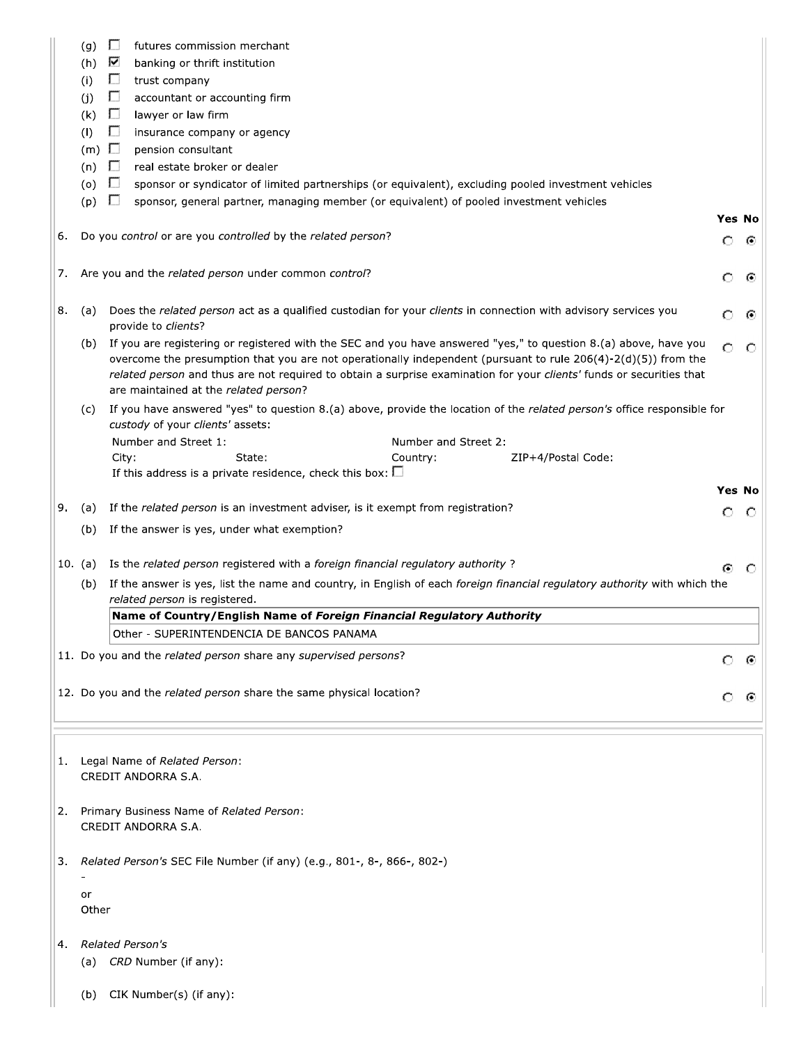|    |              |                                                                                                                                                             |         | Yes No<br>О<br>⊙<br>⊙<br>⊙<br>$\circ$<br><b>Yes No</b><br>$\circ$<br>O<br>O<br>⊙<br>$\odot$ |
|----|--------------|-------------------------------------------------------------------------------------------------------------------------------------------------------------|---------|---------------------------------------------------------------------------------------------|
|    | (g)<br>(h)   | $\Box$<br>futures commission merchant<br>⊽<br>banking or thrift institution                                                                                 |         |                                                                                             |
|    | (i)          | $\Box$<br>trust company                                                                                                                                     |         |                                                                                             |
|    | (i)          | $\Box$<br>accountant or accounting firm                                                                                                                     |         |                                                                                             |
|    | (k)          | $\Box$<br>lawyer or law firm                                                                                                                                |         |                                                                                             |
|    | (1)          | П<br>insurance company or agency                                                                                                                            |         |                                                                                             |
|    | $(m)$ $\Box$ | pension consultant                                                                                                                                          |         |                                                                                             |
|    | $(n)$ $\Box$ | real estate broker or dealer                                                                                                                                |         |                                                                                             |
|    | $(0)$ $\Box$ | sponsor or syndicator of limited partnerships (or equivalent), excluding pooled investment vehicles                                                         |         |                                                                                             |
|    | (p)          | $\Box$<br>sponsor, general partner, managing member (or equivalent) of pooled investment vehicles                                                           |         |                                                                                             |
|    |              |                                                                                                                                                             |         |                                                                                             |
| 6. |              | Do you control or are you controlled by the related person?                                                                                                 |         |                                                                                             |
|    |              |                                                                                                                                                             |         |                                                                                             |
|    |              | Are you and the related person under common control?                                                                                                        |         |                                                                                             |
| 7. |              |                                                                                                                                                             | О       |                                                                                             |
|    |              |                                                                                                                                                             |         |                                                                                             |
| 8. | (a)          | Does the related person act as a qualified custodian for your clients in connection with advisory services you<br>provide to clients?                       | О       |                                                                                             |
|    | (b)          | If you are registering or registered with the SEC and you have answered "yes," to question 8.(a) above, have you                                            | $\circ$ |                                                                                             |
|    |              | overcome the presumption that you are not operationally independent (pursuant to rule $206(4)-2(d)(5)$ ) from the                                           |         |                                                                                             |
|    |              | related person and thus are not required to obtain a surprise examination for your clients' funds or securities that                                        |         |                                                                                             |
|    |              | are maintained at the related person?                                                                                                                       |         |                                                                                             |
|    | (C)          | If you have answered "yes" to question 8.(a) above, provide the location of the related person's office responsible for<br>custody of your clients' assets: |         |                                                                                             |
|    |              | Number and Street 1:<br>Number and Street 2:                                                                                                                |         |                                                                                             |
|    |              | City:<br>State:<br>Country:<br>ZIP+4/Postal Code:                                                                                                           |         |                                                                                             |
|    |              | If this address is a private residence, check this box: $\square$                                                                                           |         |                                                                                             |
|    |              |                                                                                                                                                             |         |                                                                                             |
| 9. | (a)          | If the related person is an investment adviser, is it exempt from registration?                                                                             | О       |                                                                                             |
|    | (b)          | If the answer is yes, under what exemption?                                                                                                                 |         |                                                                                             |
|    |              |                                                                                                                                                             |         |                                                                                             |
|    | 10. (a)      | Is the related person registered with a foreign financial regulatory authority?                                                                             | ⊙       |                                                                                             |
|    | (b)          | If the answer is yes, list the name and country, in English of each foreign financial regulatory authority with which the                                   |         |                                                                                             |
|    |              | related person is registered.                                                                                                                               |         |                                                                                             |
|    |              | Name of Country/English Name of Foreign Financial Regulatory Authority                                                                                      |         |                                                                                             |
|    |              | Other - SUPERINTENDENCIA DE BANCOS PANAMA                                                                                                                   |         |                                                                                             |
|    |              | 11. Do you and the related person share any supervised persons?                                                                                             |         |                                                                                             |
|    |              |                                                                                                                                                             |         |                                                                                             |
|    |              | 12. Do you and the related person share the same physical location?                                                                                         |         |                                                                                             |
|    |              |                                                                                                                                                             |         |                                                                                             |
|    |              |                                                                                                                                                             |         |                                                                                             |
|    |              |                                                                                                                                                             |         |                                                                                             |
| 1. |              | Legal Name of Related Person:                                                                                                                               |         |                                                                                             |
|    |              | CREDIT ANDORRA S.A.                                                                                                                                         |         |                                                                                             |
|    |              |                                                                                                                                                             |         |                                                                                             |
| 2. |              | Primary Business Name of Related Person:                                                                                                                    |         |                                                                                             |
|    |              | CREDIT ANDORRA S.A.                                                                                                                                         |         |                                                                                             |
|    |              |                                                                                                                                                             |         |                                                                                             |
| 3. |              | Related Person's SEC File Number (if any) (e.g., 801-, 8-, 866-, 802-)                                                                                      |         |                                                                                             |
|    |              |                                                                                                                                                             |         |                                                                                             |
|    | or           |                                                                                                                                                             |         |                                                                                             |
|    | Other        |                                                                                                                                                             |         |                                                                                             |
|    |              |                                                                                                                                                             |         |                                                                                             |
| 4. |              | <b>Related Person's</b>                                                                                                                                     |         |                                                                                             |
|    |              | (a) CRD Number (if any):                                                                                                                                    |         |                                                                                             |
|    |              |                                                                                                                                                             |         |                                                                                             |
|    | (b)          | CIK Number(s) (if any):                                                                                                                                     |         |                                                                                             |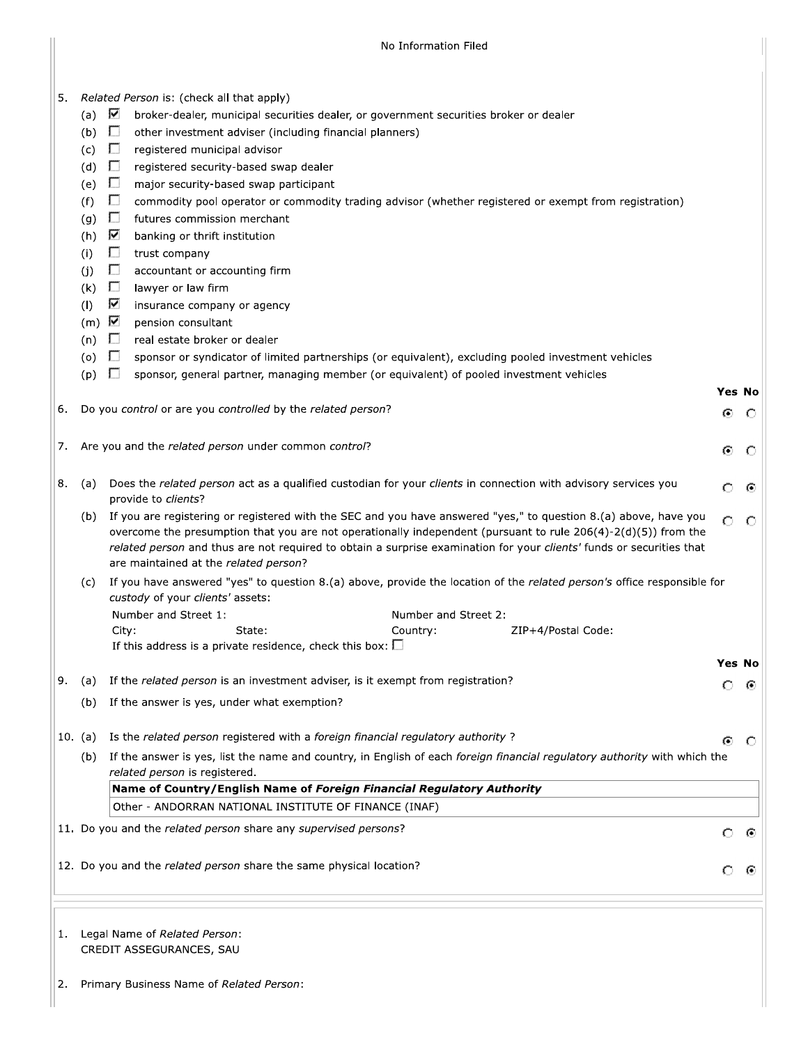|    |                                                            |                                              | No Information Filed                                                                                                                  |    |         |  |  |  |  |
|----|------------------------------------------------------------|----------------------------------------------|---------------------------------------------------------------------------------------------------------------------------------------|----|---------|--|--|--|--|
|    |                                                            |                                              |                                                                                                                                       |    |         |  |  |  |  |
|    |                                                            |                                              |                                                                                                                                       |    |         |  |  |  |  |
| 5. |                                                            | (a) $\nabla$                                 | Related Person is: (check all that apply)<br>broker-dealer, municipal securities dealer, or government securities broker or dealer    |    |         |  |  |  |  |
|    |                                                            | $(b)$ $\Box$                                 | other investment adviser (including financial planners)                                                                               |    |         |  |  |  |  |
|    |                                                            | (c)                                          | Ð<br>registered municipal advisor                                                                                                     |    |         |  |  |  |  |
|    |                                                            | (d) $\Box$                                   | registered security-based swap dealer                                                                                                 |    |         |  |  |  |  |
|    |                                                            | (e)                                          | $\Box$<br>major security-based swap participant                                                                                       |    |         |  |  |  |  |
|    |                                                            | (f)                                          | $\Box$<br>commodity pool operator or commodity trading advisor (whether registered or exempt from registration)                       |    |         |  |  |  |  |
|    |                                                            | $\Box$<br>(g)<br>futures commission merchant |                                                                                                                                       |    |         |  |  |  |  |
|    |                                                            | (h)                                          | ⊽<br>banking or thrift institution                                                                                                    |    |         |  |  |  |  |
|    |                                                            | (i)                                          | $\Box$<br>trust company                                                                                                               |    |         |  |  |  |  |
|    |                                                            | (i)                                          | $\Box$<br>accountant or accounting firm                                                                                               |    |         |  |  |  |  |
|    |                                                            | (k)                                          | $\Box$<br>lawyer or law firm                                                                                                          |    |         |  |  |  |  |
|    |                                                            | (1)                                          | ⊽<br>insurance company or agency                                                                                                      |    |         |  |  |  |  |
|    |                                                            | $(m)$ $\overline{\mathbf{V}}$                | pension consultant                                                                                                                    |    |         |  |  |  |  |
|    |                                                            | $(n)$ $\Box$                                 | real estate broker or dealer                                                                                                          |    |         |  |  |  |  |
|    |                                                            | $\overline{a}$ (o) $\overline{a}$            | sponsor or syndicator of limited partnerships (or equivalent), excluding pooled investment vehicles                                   |    |         |  |  |  |  |
|    |                                                            | (p)                                          | $\Box$<br>sponsor, general partner, managing member (or equivalent) of pooled investment vehicles                                     |    |         |  |  |  |  |
|    |                                                            |                                              |                                                                                                                                       |    | Yes No  |  |  |  |  |
| 6. |                                                            |                                              | Do you control or are you controlled by the related person?                                                                           | Θ. | - 0-    |  |  |  |  |
|    | Are you and the related person under common control?<br>7. |                                              |                                                                                                                                       |    |         |  |  |  |  |
|    |                                                            |                                              |                                                                                                                                       | Θ. | O       |  |  |  |  |
|    |                                                            |                                              |                                                                                                                                       |    |         |  |  |  |  |
| 8. |                                                            | (a)                                          | Does the related person act as a qualified custodian for your clients in connection with advisory services you<br>provide to clients? | Ω  | ⊙       |  |  |  |  |
|    |                                                            | (b)                                          | If you are registering or registered with the SEC and you have answered "yes," to question 8.(a) above, have you                      | Ο  | $\circ$ |  |  |  |  |
|    |                                                            |                                              | overcome the presumption that you are not operationally independent (pursuant to rule 206(4)-2(d)(5)) from the                        |    |         |  |  |  |  |
|    |                                                            |                                              | related person and thus are not required to obtain a surprise examination for your clients' funds or securities that                  |    |         |  |  |  |  |
|    |                                                            |                                              | are maintained at the related person?                                                                                                 |    |         |  |  |  |  |
|    |                                                            | (c)                                          | If you have answered "yes" to question 8.(a) above, provide the location of the related person's office responsible for               |    |         |  |  |  |  |
|    |                                                            |                                              | custody of your clients' assets:                                                                                                      |    |         |  |  |  |  |
|    |                                                            |                                              | Number and Street 1:<br>Number and Street 2:<br>ZIP+4/Postal Code:<br>City:<br>State:<br>Country:                                     |    |         |  |  |  |  |
|    |                                                            |                                              | If this address is a private residence, check this box: $\square$                                                                     |    |         |  |  |  |  |
|    |                                                            |                                              |                                                                                                                                       |    | Yes No  |  |  |  |  |
| 9. |                                                            | (a)                                          | If the related person is an investment adviser, is it exempt from registration?                                                       | Ω  | ⊙       |  |  |  |  |
|    |                                                            | (b)                                          | If the answer is yes, under what exemption?                                                                                           |    |         |  |  |  |  |
|    |                                                            |                                              |                                                                                                                                       |    |         |  |  |  |  |
|    |                                                            | 10. (a)                                      | Is the related person registered with a foreign financial regulatory authority?                                                       | ⊙  | O       |  |  |  |  |
|    |                                                            | (b)                                          | If the answer is yes, list the name and country, in English of each foreign financial regulatory authority with which the             |    |         |  |  |  |  |
|    |                                                            |                                              | related person is registered.                                                                                                         |    |         |  |  |  |  |
|    |                                                            |                                              | Name of Country/English Name of Foreign Financial Regulatory Authority                                                                |    |         |  |  |  |  |
|    |                                                            |                                              | Other - ANDORRAN NATIONAL INSTITUTE OF FINANCE (INAF)                                                                                 |    |         |  |  |  |  |
|    |                                                            |                                              | 11. Do you and the related person share any supervised persons?                                                                       | O  | ⊙       |  |  |  |  |
|    |                                                            |                                              |                                                                                                                                       |    |         |  |  |  |  |
|    |                                                            |                                              | 12. Do you and the related person share the same physical location?                                                                   |    |         |  |  |  |  |
|    |                                                            |                                              |                                                                                                                                       |    |         |  |  |  |  |
|    |                                                            |                                              |                                                                                                                                       |    |         |  |  |  |  |
|    |                                                            |                                              |                                                                                                                                       |    |         |  |  |  |  |
| 1. |                                                            |                                              | Legal Name of Related Person:                                                                                                         |    |         |  |  |  |  |
|    |                                                            |                                              | CREDIT ASSEGURANCES, SAU                                                                                                              |    |         |  |  |  |  |

2. Primary Business Name of Related Person: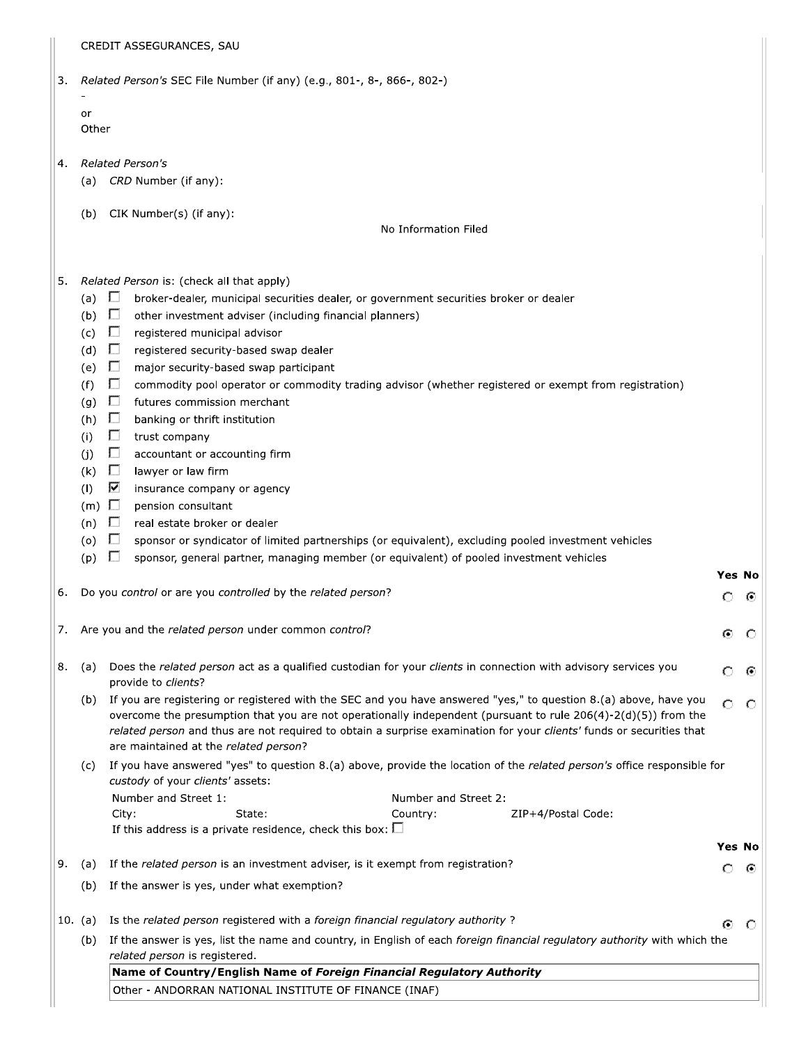|  | CREDIT ASSEGURANCES, SAU |  |
|--|--------------------------|--|
|--|--------------------------|--|

| 3. <i>Related Person's</i> SEC File Number (if any) (e.g., 801-, 8-, 866-, 802-) |  |  |  |
|----------------------------------------------------------------------------------|--|--|--|
|                                                                                  |  |  |  |

| or    |  |
|-------|--|
| Other |  |

- Related Person's  $4.$ 
	- (a) CRD Number (if any):
	- (b) CIK Number(s) (if any):

No Information Filed

#### 5. Related Person is: (check all that apply)

- (a)  $\Box$ broker-dealer, municipal securities dealer, or government securities broker or dealer
- $(b)$   $\Box$ other investment adviser (including financial planners)
- (c)  $\Box$ registered municipal advisor
- (d)  $\Box$ registered security-based swap dealer
- (e)  $\Box$ major security-based swap participant
- $(f)$  $\Box$ commodity pool operator or commodity trading advisor (whether registered or exempt from registration)
- (g)  $\Box$ futures commission merchant
- (h)  $\Box$ banking or thrift institution
- $\Box$  $(i)$ trust company
- $(j)$  $\Box$ accountant or accounting firm
- $(k)$   $\Box$ lawyer or law firm
- $(1)$ Z insurance company or agency
- (m)  $\Box$ pension consultant
- (n)  $\Box$ real estate broker or dealer
- (o)  $\Box$ sponsor or syndicator of limited partnerships (or equivalent), excluding pooled investment vehicles
- $(p)$   $\Box$ sponsor, general partner, managing member (or equivalent) of pooled investment vehicles
- 6. Do you control or are you controlled by the related person?
- Are you and the related person under common control? 7.
- (a) Does the related person act as a qualified custodian for your clients in connection with advisory services you 8. provide to clients?
	- (b) If you are registering or registered with the SEC and you have answered "yes," to question 8.(a) above, have you  $\circ$  $\circ$ overcome the presumption that you are not operationally independent (pursuant to rule 206(4)-2(d)(5)) from the related person and thus are not required to obtain a surprise examination for your clients' funds or securities that are maintained at the related person?

**Yes No** 

 $\circ$   $\circ$ 

 $\odot$  $\circ$ 

Ω ⊙

Yes No

⊙ ⊙

 $\circ$ - 0

(c) If you have answered "yes" to question 8.(a) above, provide the location of the related person's office responsible for custody of your clients' assets: نده د

| Number and Street 1: |                                                                | Number and Street 2: |                    |
|----------------------|----------------------------------------------------------------|----------------------|--------------------|
| Citv:                | State:                                                         | Country:             | ZIP+4/Postal Code: |
|                      | If this address is a private residence, check this box: $\Box$ |                      |                    |

# 9. (a) If the related person is an investment adviser, is it exempt from registration? (b) If the answer is yes, under what exemption?

- 10. (a) Is the related person registered with a foreign financial regulatory authority?
	- $(b)$ If the answer is yes, list the name and country, in English of each foreign financial regulatory authority with which the related person is registered.

Name of Country/English Name of Foreign Financial Regulatory Authority

Other - ANDORRAN NATIONAL INSTITUTE OF FINANCE (INAF)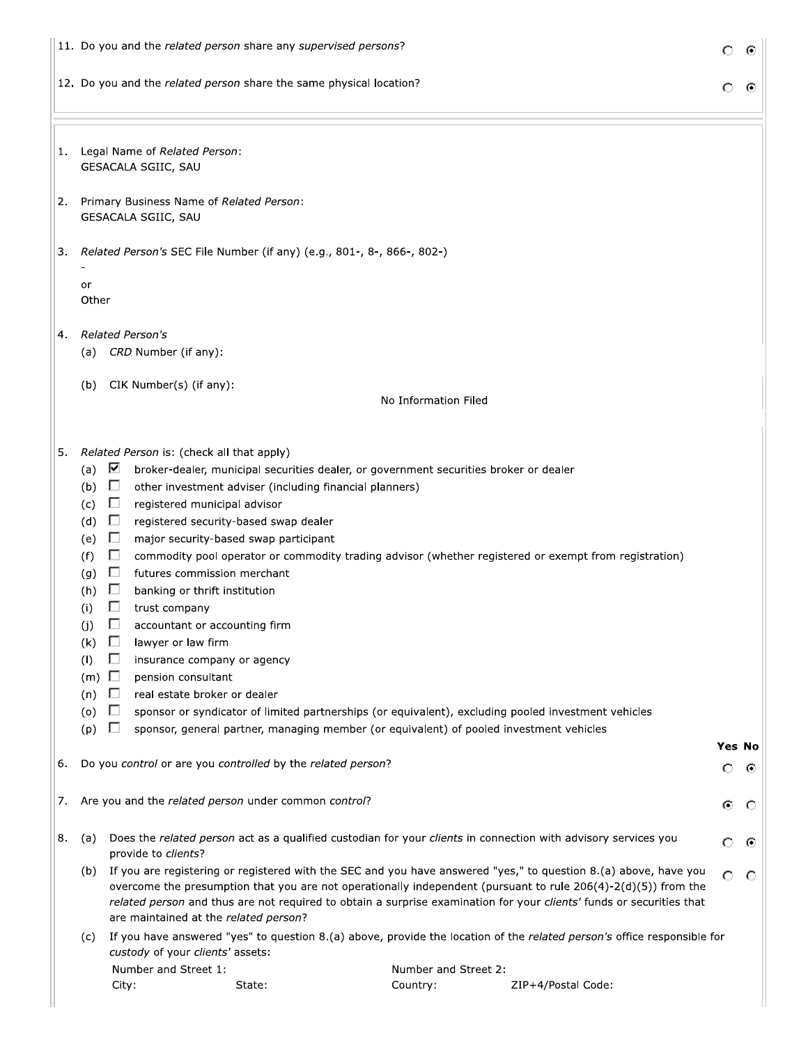|    |                                                                                                                       | 11. Do you and the related person share any supervised persons?                                                                                                                                                                                                                                                                                                                                                                                                                                                                                                                                                                                                                                                                                                                                                                                                                                                                                                               | О                  |   |
|----|-----------------------------------------------------------------------------------------------------------------------|-------------------------------------------------------------------------------------------------------------------------------------------------------------------------------------------------------------------------------------------------------------------------------------------------------------------------------------------------------------------------------------------------------------------------------------------------------------------------------------------------------------------------------------------------------------------------------------------------------------------------------------------------------------------------------------------------------------------------------------------------------------------------------------------------------------------------------------------------------------------------------------------------------------------------------------------------------------------------------|--------------------|---|
|    |                                                                                                                       | 12. Do you and the related person share the same physical location?                                                                                                                                                                                                                                                                                                                                                                                                                                                                                                                                                                                                                                                                                                                                                                                                                                                                                                           | О                  | C |
| 1. |                                                                                                                       | Legal Name of Related Person:<br>GESACALA SGIIC, SAU                                                                                                                                                                                                                                                                                                                                                                                                                                                                                                                                                                                                                                                                                                                                                                                                                                                                                                                          |                    |   |
| 2. |                                                                                                                       | Primary Business Name of Related Person:<br>GESACALA SGIIC, SAU                                                                                                                                                                                                                                                                                                                                                                                                                                                                                                                                                                                                                                                                                                                                                                                                                                                                                                               |                    |   |
| 3. | or                                                                                                                    | Related Person's SEC File Number (if any) (e.g., 801-, 8-, 866-, 802-)                                                                                                                                                                                                                                                                                                                                                                                                                                                                                                                                                                                                                                                                                                                                                                                                                                                                                                        |                    |   |
| 4. | Other                                                                                                                 | <b>Related Person's</b><br>(a) CRD Number (if any):                                                                                                                                                                                                                                                                                                                                                                                                                                                                                                                                                                                                                                                                                                                                                                                                                                                                                                                           |                    |   |
|    | (b)                                                                                                                   | CIK Number(s) (if any):<br>No Information Filed                                                                                                                                                                                                                                                                                                                                                                                                                                                                                                                                                                                                                                                                                                                                                                                                                                                                                                                               |                    |   |
| 5. | (a)<br>(b)<br>(c)<br>(d)<br>(e)<br>(f)<br>(g)<br>(h)<br>(i)<br>(j)<br>(k)<br>(1)<br>$(m)$ $\Box$<br>(n)<br>(0)<br>(p) | Related Person is: (check all that apply)<br>⊽<br>broker-dealer, municipal securities dealer, or government securities broker or dealer<br>$\Box$<br>other investment adviser (including financial planners)<br>Г.<br>registered municipal advisor<br>$\Box$<br>registered security-based swap dealer<br>$\Box$<br>major security-based swap participant<br>$\Box$<br>commodity pool operator or commodity trading advisor (whether registered or exempt from registration)<br>$\Box$<br>futures commission merchant<br>L.<br>banking or thrift institution<br>trust company<br>$\mathbf{L}$<br>accountant or accounting firm<br>$\Box$<br>lawyer or law firm<br>П<br>insurance company or agency<br>pension consultant<br>$\Box$<br>real estate broker or dealer<br>U<br>sponsor or syndicator of limited partnerships (or equivalent), excluding pooled investment vehicles<br>sponsor, general partner, managing member (or equivalent) of pooled investment vehicles<br>U |                    |   |
| 6. |                                                                                                                       | Do you control or are you controlled by the related person?                                                                                                                                                                                                                                                                                                                                                                                                                                                                                                                                                                                                                                                                                                                                                                                                                                                                                                                   | <b>Yes No</b><br>Ω | ⊙ |
| 7. |                                                                                                                       | Are you and the related person under common control?                                                                                                                                                                                                                                                                                                                                                                                                                                                                                                                                                                                                                                                                                                                                                                                                                                                                                                                          | ⊙                  | O |
| 8. | (a)                                                                                                                   | Does the related person act as a qualified custodian for your clients in connection with advisory services you<br>provide to clients?                                                                                                                                                                                                                                                                                                                                                                                                                                                                                                                                                                                                                                                                                                                                                                                                                                         | O                  | € |
|    | (b)                                                                                                                   | If you are registering or registered with the SEC and you have answered "yes," to question 8.(a) above, have you<br>overcome the presumption that you are not operationally independent (pursuant to rule 206(4)-2(d)(5)) from the<br>related person and thus are not required to obtain a surprise examination for your clients' funds or securities that<br>are maintained at the related person?                                                                                                                                                                                                                                                                                                                                                                                                                                                                                                                                                                           | O                  | O |
|    | (c)                                                                                                                   | If you have answered "yes" to question 8.(a) above, provide the location of the related person's office responsible for<br>custody of your clients' assets:                                                                                                                                                                                                                                                                                                                                                                                                                                                                                                                                                                                                                                                                                                                                                                                                                   |                    |   |
|    |                                                                                                                       | Number and Street 1:<br>Number and Street 2:<br>State:<br>Country:<br>ZIP+4/Postal Code:<br>City:                                                                                                                                                                                                                                                                                                                                                                                                                                                                                                                                                                                                                                                                                                                                                                                                                                                                             |                    |   |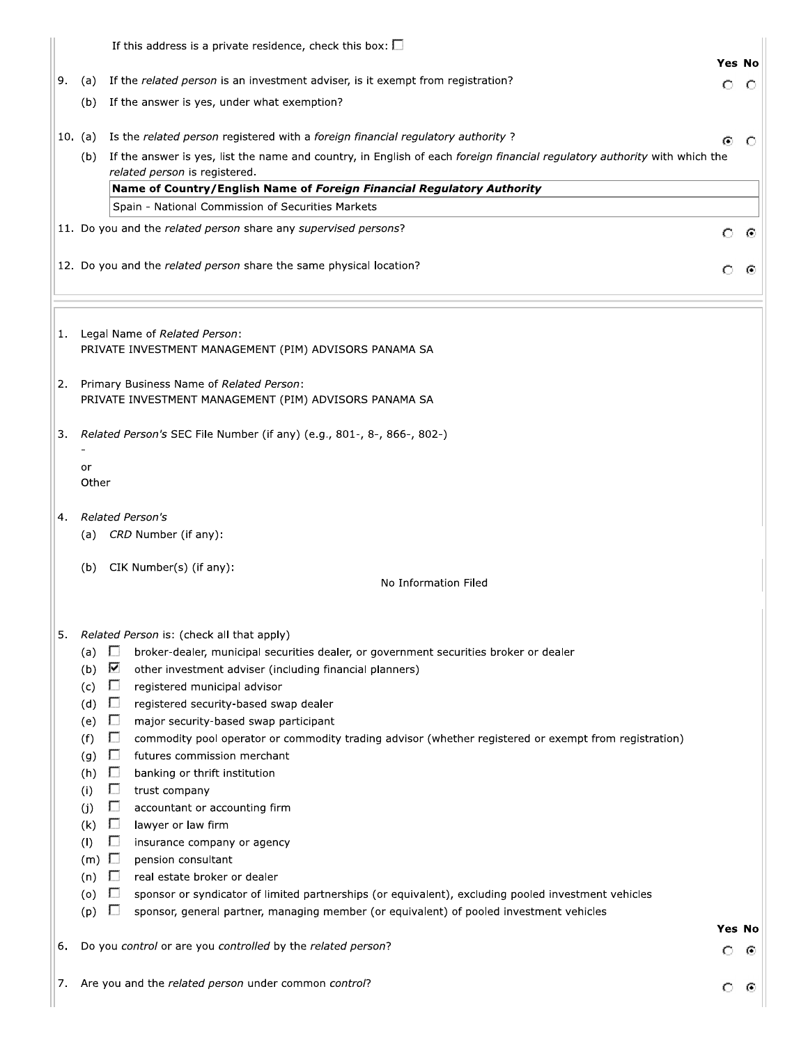|          |                 | If this address is a private residence, check this box: $\square$                                                                   |               |    |
|----------|-----------------|-------------------------------------------------------------------------------------------------------------------------------------|---------------|----|
|          |                 |                                                                                                                                     | <b>Yes No</b> |    |
| 9.       | (a)             | If the related person is an investment adviser, is it exempt from registration?                                                     | Ω             | O  |
|          | (b)             | If the answer is yes, under what exemption?                                                                                         |               |    |
|          | 10. (a)         | Is the related person registered with a foreign financial regulatory authority?                                                     | G             |    |
|          | (b)             | If the answer is yes, list the name and country, in English of each foreign financial regulatory authority with which the           |               |    |
|          |                 | related person is registered.                                                                                                       |               |    |
|          |                 | Name of Country/English Name of Foreign Financial Regulatory Authority<br>Spain - National Commission of Securities Markets         |               |    |
|          |                 | 11. Do you and the related person share any supervised persons?                                                                     |               |    |
|          |                 |                                                                                                                                     | О             | ⊙  |
|          |                 | 12. Do you and the related person share the same physical location?                                                                 |               |    |
| 1.<br>2. |                 | Legal Name of Related Person:<br>PRIVATE INVESTMENT MANAGEMENT (PIM) ADVISORS PANAMA SA<br>Primary Business Name of Related Person: |               |    |
|          |                 | PRIVATE INVESTMENT MANAGEMENT (PIM) ADVISORS PANAMA SA                                                                              |               |    |
| 3.       |                 | Related Person's SEC File Number (if any) (e.g., 801-, 8-, 866-, 802-)                                                              |               |    |
|          | or<br>Other     |                                                                                                                                     |               |    |
| 4.       |                 | <b>Related Person's</b>                                                                                                             |               |    |
|          | (a)             | CRD Number (if any):                                                                                                                |               |    |
|          | (b)             | CIK Number(s) (if any):                                                                                                             |               |    |
|          |                 | No Information Filed                                                                                                                |               |    |
|          |                 |                                                                                                                                     |               |    |
| 5.       |                 | Related Person is: (check all that apply)                                                                                           |               |    |
|          | (a) $\square$   | broker-dealer, municipal securities dealer, or government securities broker or dealer<br>⊽                                          |               |    |
|          | (b)<br>(c)      | other investment adviser (including financial planners)<br>П<br>registered municipal advisor                                        |               |    |
|          | (d)             | Г.<br>registered security-based swap dealer                                                                                         |               |    |
|          | (e)             | Г.<br>major security-based swap participant                                                                                         |               |    |
|          | (f)             | П<br>commodity pool operator or commodity trading advisor (whether registered or exempt from registration)                          |               |    |
|          | (g)             | Ð<br>futures commission merchant                                                                                                    |               |    |
|          | (h)             | П<br>banking or thrift institution                                                                                                  |               |    |
|          | (i)             | П<br>trust company                                                                                                                  |               |    |
|          | (j)             | П<br>accountant or accounting firm                                                                                                  |               |    |
|          | (k)<br>(1)      | П<br>lawyer or law firm<br>П<br>insurance company or agency                                                                         |               |    |
|          | $(m)$ $\square$ | pension consultant                                                                                                                  |               |    |
|          | (n)             | D<br>real estate broker or dealer                                                                                                   |               |    |
|          | (0)             | $\Box$<br>sponsor or syndicator of limited partnerships (or equivalent), excluding pooled investment vehicles                       |               |    |
|          | (p)             | Г.<br>sponsor, general partner, managing member (or equivalent) of pooled investment vehicles                                       |               |    |
|          |                 |                                                                                                                                     | Yes No        |    |
| 6.       |                 | Do you control or are you controlled by the related person?                                                                         | о             | -⊙ |
| 7.       |                 | Are you and the related person under common control?                                                                                |               |    |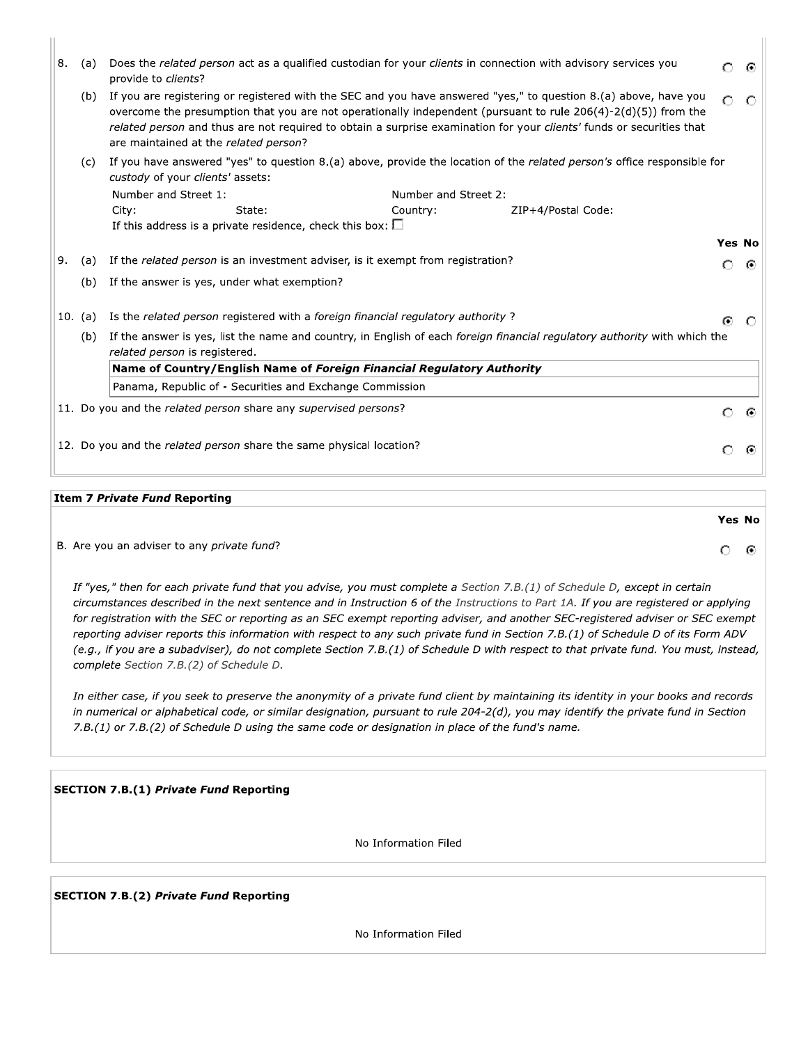| Does the related person act as a qualified custodian for your clients in connection with advisory services you<br>8.<br>(a)<br>O<br>provide to <i>clients</i> ? |                                                                                                                                                                    |                                                                                                                                                                                                                                                                                                                                                                                                                    |                                  |                    |        |   |  |  |
|-----------------------------------------------------------------------------------------------------------------------------------------------------------------|--------------------------------------------------------------------------------------------------------------------------------------------------------------------|--------------------------------------------------------------------------------------------------------------------------------------------------------------------------------------------------------------------------------------------------------------------------------------------------------------------------------------------------------------------------------------------------------------------|----------------------------------|--------------------|--------|---|--|--|
|                                                                                                                                                                 | (b)                                                                                                                                                                | If you are registering or registered with the SEC and you have answered "yes," to question 8.(a) above, have you<br>Ω<br>overcome the presumption that you are not operationally independent (pursuant to rule $206(4)-2(d)(5)$ ) from the<br>related person and thus are not required to obtain a surprise examination for your <i>clients'</i> funds or securities that<br>are maintained at the related person? |                                  |                    |        |   |  |  |
|                                                                                                                                                                 | If you have answered "yes" to question 8.(a) above, provide the location of the related person's office responsible for<br>(c)<br>custody of your clients' assets: |                                                                                                                                                                                                                                                                                                                                                                                                                    |                                  |                    |        |   |  |  |
|                                                                                                                                                                 |                                                                                                                                                                    | Number and Street 1:<br>State:<br>City:<br>If this address is a private residence, check this box: $\square$                                                                                                                                                                                                                                                                                                       | Number and Street 2:<br>Country: | ZIP+4/Postal Code: |        |   |  |  |
|                                                                                                                                                                 |                                                                                                                                                                    |                                                                                                                                                                                                                                                                                                                                                                                                                    |                                  |                    | Yes No |   |  |  |
| 9.                                                                                                                                                              | (a)                                                                                                                                                                | If the related person is an investment adviser, is it exempt from registration?                                                                                                                                                                                                                                                                                                                                    |                                  |                    | €      | ⊙ |  |  |
|                                                                                                                                                                 | (b)                                                                                                                                                                | If the answer is yes, under what exemption?                                                                                                                                                                                                                                                                                                                                                                        |                                  |                    |        |   |  |  |
|                                                                                                                                                                 | 10. (a)                                                                                                                                                            | Is the related person registered with a foreign financial regulatory authority?                                                                                                                                                                                                                                                                                                                                    |                                  |                    | G.     | C |  |  |
|                                                                                                                                                                 | (b)                                                                                                                                                                | If the answer is yes, list the name and country, in English of each foreign financial regulatory authority with which the<br>related person is registered.                                                                                                                                                                                                                                                         |                                  |                    |        |   |  |  |
|                                                                                                                                                                 |                                                                                                                                                                    | Name of Country/English Name of Foreign Financial Regulatory Authority                                                                                                                                                                                                                                                                                                                                             |                                  |                    |        |   |  |  |
|                                                                                                                                                                 |                                                                                                                                                                    | Panama, Republic of - Securities and Exchange Commission                                                                                                                                                                                                                                                                                                                                                           |                                  |                    |        |   |  |  |
| 11. Do you and the related person share any supervised persons?<br>O                                                                                            |                                                                                                                                                                    |                                                                                                                                                                                                                                                                                                                                                                                                                    |                                  |                    |        |   |  |  |
| 12. Do you and the related person share the same physical location?<br>€                                                                                        |                                                                                                                                                                    |                                                                                                                                                                                                                                                                                                                                                                                                                    |                                  |                    |        |   |  |  |

 $\vert\vert$ 

Yes No

 $O$   $\odot$ 

#### Item 7 Private Fund Reporting

| B. Are you an adviser to any private fund? |
|--------------------------------------------|
|                                            |

If "yes," then for each private fund that you advise, you must complete a Section 7.B.(1) of Schedule D, except in certain circumstances described in the next sentence and in Instruction 6 of the Instructions to Part 1A. If you are registered or applying for registration with the SEC or reporting as an SEC exempt reporting adviser, and another SEC-registered adviser or SEC exempt reporting adviser reports this information with respect to any such private fund in Section 7.B.(1) of Schedule D of its Form ADV (e.g., if you are a subadviser), do not complete Section 7.B.(1) of Schedule D with respect to that private fund. You must, instead, complete Section 7.B.(2) of Schedule D.

In either case, if you seek to preserve the anonymity of a private fund client by maintaining its identity in your books and records in numerical or alphabetical code, or similar designation, pursuant to rule 204-2(d), you may identify the private fund in Section 7.B.(1) or 7.B.(2) of Schedule D using the same code or designation in place of the fund's name.

**SECTION 7.B.(1) Private Fund Reporting** 

No Information Filed

**SECTION 7.B.(2) Private Fund Reporting** 

No Information Filed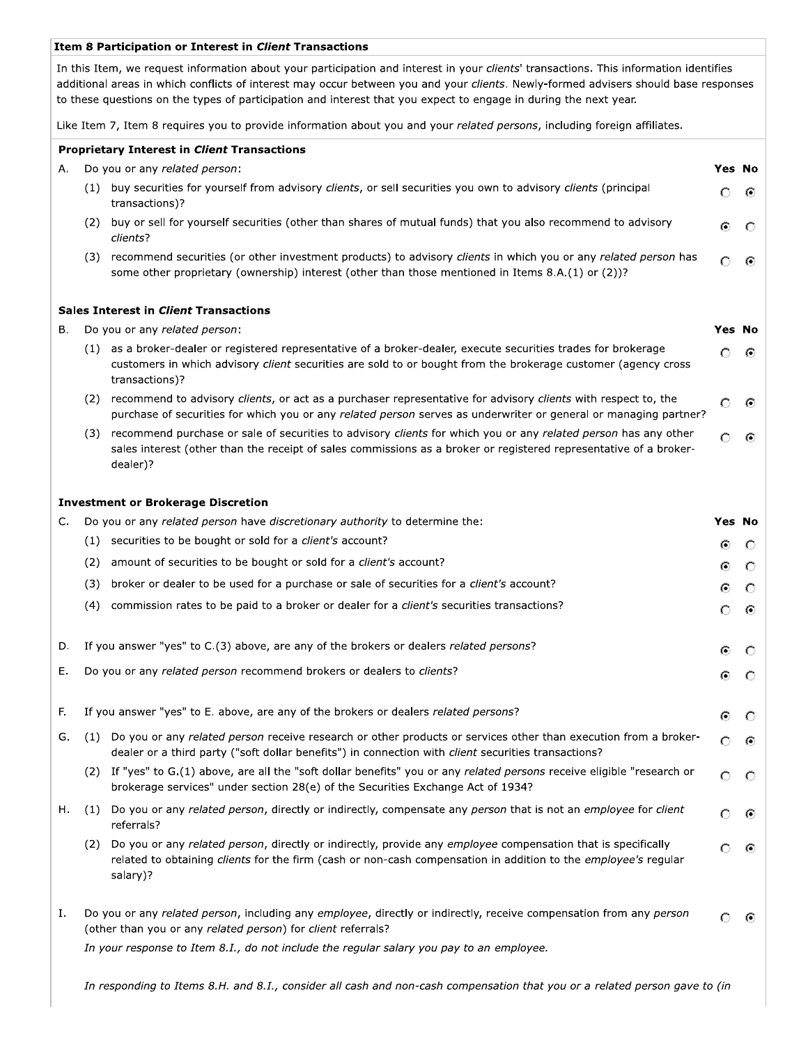#### Item 8 Participation or Interest in Client Transactions

In this Item, we request information about your participation and interest in your clients' transactions. This information identifies additional areas in which conflicts of interest may occur between you and your clients. Newly-formed advisers should base responses to these questions on the types of participation and interest that you expect to engage in during the next year.

Like Item 7, Item 8 requires you to provide information about you and your related persons, including foreign affiliates.

|    | <b>Proprietary Interest in Client Transactions</b>                                       |                                                                                                                                                                                                                                                    |               |     |  |  |
|----|------------------------------------------------------------------------------------------|----------------------------------------------------------------------------------------------------------------------------------------------------------------------------------------------------------------------------------------------------|---------------|-----|--|--|
| А. |                                                                                          | Do you or any related person:                                                                                                                                                                                                                      | <b>Yes No</b> |     |  |  |
|    |                                                                                          | (1) buy securities for yourself from advisory clients, or sell securities you own to advisory clients (principal<br>transactions)?                                                                                                                 | Ω             | ⊙   |  |  |
|    |                                                                                          | (2) buy or sell for yourself securities (other than shares of mutual funds) that you also recommend to advisory<br>clients?                                                                                                                        | Θ             |     |  |  |
|    |                                                                                          | (3) recommend securities (or other investment products) to advisory clients in which you or any related person has<br>some other proprietary (ownership) interest (other than those mentioned in Items 8.A.(1) or (2))?                            |               |     |  |  |
|    |                                                                                          | <b>Sales Interest in Client Transactions</b>                                                                                                                                                                                                       |               |     |  |  |
| в. |                                                                                          | Do you or any related person:                                                                                                                                                                                                                      | <b>Yes No</b> |     |  |  |
|    |                                                                                          | (1) as a broker-dealer or registered representative of a broker-dealer, execute securities trades for brokerage<br>customers in which advisory client securities are sold to or bought from the brokerage customer (agency cross<br>transactions)? | O             | ⊙   |  |  |
|    |                                                                                          | (2) recommend to advisory clients, or act as a purchaser representative for advisory clients with respect to, the<br>purchase of securities for which you or any related person serves as underwriter or general or managing partner?              | O             | ⊙   |  |  |
|    | (3)                                                                                      | recommend purchase or sale of securities to advisory clients for which you or any related person has any other<br>sales interest (other than the receipt of sales commissions as a broker or registered representative of a broker-<br>dealer)?    |               | C   |  |  |
|    |                                                                                          | <b>Investment or Brokerage Discretion</b>                                                                                                                                                                                                          |               |     |  |  |
| C. |                                                                                          | Do you or any related person have discretionary authority to determine the:                                                                                                                                                                        | Yes No        |     |  |  |
|    |                                                                                          | (1) securities to be bought or sold for a client's account?                                                                                                                                                                                        | ⊙             | O   |  |  |
|    | (2)                                                                                      | amount of securities to be bought or sold for a <i>client's</i> account?                                                                                                                                                                           | ⊙             | O   |  |  |
|    | (3)                                                                                      | broker or dealer to be used for a purchase or sale of securities for a client's account?                                                                                                                                                           | ⊙             | О.  |  |  |
|    | (4)                                                                                      | commission rates to be paid to a broker or dealer for a client's securities transactions?                                                                                                                                                          | О             | ⊙   |  |  |
| D. |                                                                                          | If you answer "yes" to C.(3) above, are any of the brokers or dealers related persons?                                                                                                                                                             | Θ             | O   |  |  |
| Е. |                                                                                          | Do you or any related person recommend brokers or dealers to clients?                                                                                                                                                                              | ⊙             | O   |  |  |
| F. |                                                                                          | If you answer "yes" to E. above, are any of the brokers or dealers related persons?                                                                                                                                                                |               |     |  |  |
| G. |                                                                                          | (1) Do you or any related person receive research or other products or services other than execution from a broker-<br>dealer or a third party ("soft dollar benefits") in connection with <i>client</i> securities transactions?                  | $\circ$       | ⊙   |  |  |
|    |                                                                                          | (2) If "yes" to G.(1) above, are all the "soft dollar benefits" you or any related persons receive eligible "research or<br>brokerage services" under section 28(e) of the Securities Exchange Act of 1934?                                        |               | - 0 |  |  |
| н. | (1)                                                                                      | Do you or any related person, directly or indirectly, compensate any person that is not an employee for client<br>referrals?                                                                                                                       |               | - 0 |  |  |
|    | (2)                                                                                      | Do you or any related person, directly or indirectly, provide any employee compensation that is specifically<br>related to obtaining clients for the firm (cash or non-cash compensation in addition to the employee's regular<br>salary)?         |               | ⊙   |  |  |
| Ι. |                                                                                          | Do you or any related person, including any employee, directly or indirectly, receive compensation from any person<br>(other than you or any related person) for client referrals?                                                                 |               | Θ   |  |  |
|    | In your response to Item 8.1., do not include the regular salary you pay to an employee. |                                                                                                                                                                                                                                                    |               |     |  |  |

In responding to Items 8.H. and 8.I., consider all cash and non-cash compensation that you or a related person gave to (in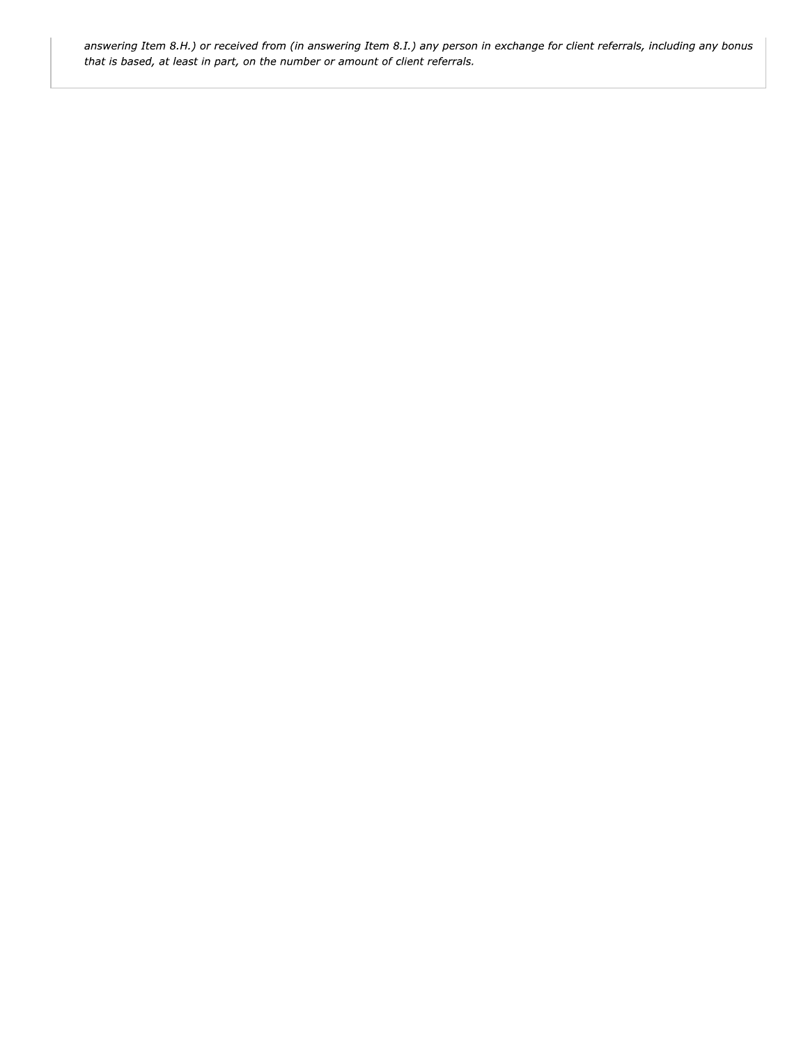answering Item 8.H.) or received from (in answering Item 8.I.) any person in exchange for client referrals, including any bonus that is based, at least in part, on the number or amount of client referrals.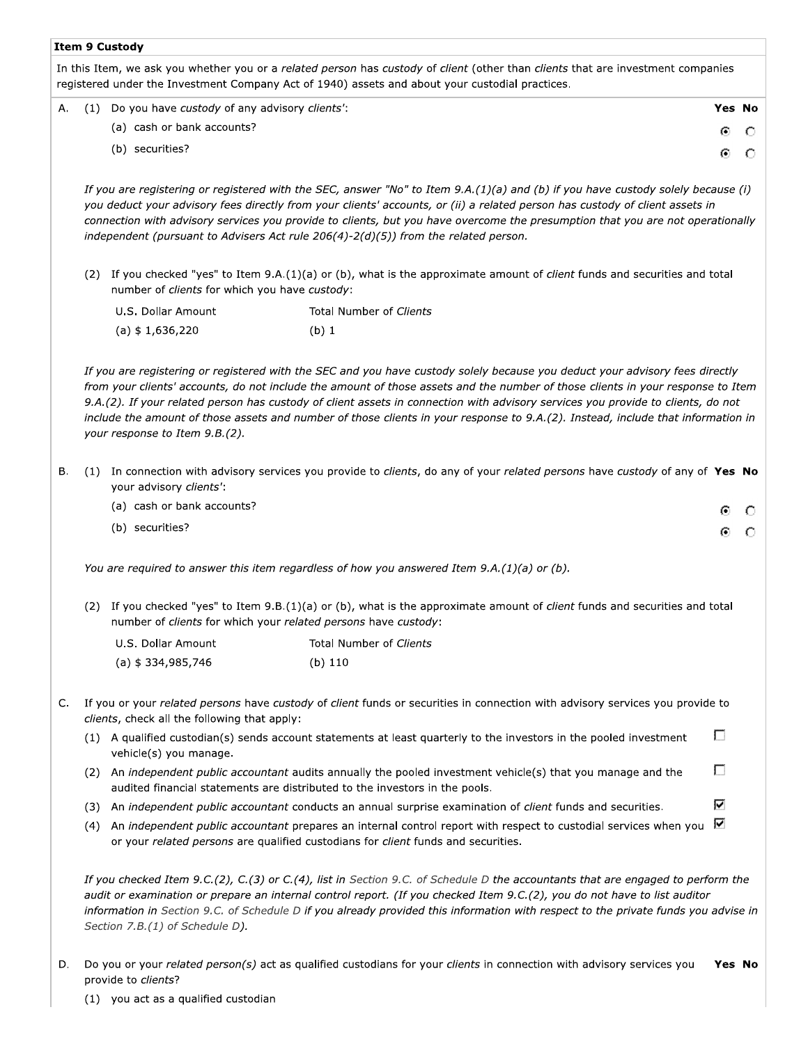#### **Item 9 Custody**

In this Item, we ask you whether you or a related person has custody of client (other than clients that are investment companies registered under the Investment Company Act of 1940) assets and about your custodial practices.

|  | A. (1) Do you have custody of any advisory clients': |   | <b>Yes No</b> |
|--|------------------------------------------------------|---|---------------|
|  | (a) cash or bank accounts?                           | ⊙ |               |
|  | (b) securities?                                      |   |               |

If you are registering or registered with the SEC, answer "No" to Item 9.A.(1)(a) and (b) if you have custody solely because (i) you deduct your advisory fees directly from your clients' accounts, or (ii) a related person has custody of client assets in connection with advisory services you provide to clients, but you have overcome the presumption that you are not operationally independent (pursuant to Advisers Act rule  $206(4)-2(d)(5)$ ) from the related person.

(2) If you checked "yes" to Item 9.A.(1)(a) or (b), what is the approximate amount of client funds and securities and total number of clients for which you have custody:

| U.S. Dollar Amount | Total Number of Clients |
|--------------------|-------------------------|
| (a) \$ 1,636,220   | (b)1                    |

If you are registering or registered with the SEC and you have custody solely because you deduct your advisory fees directly from your clients' accounts, do not include the amount of those assets and the number of those clients in your response to Item 9.A.(2). If your related person has custody of client assets in connection with advisory services you provide to clients, do not include the amount of those assets and number of those clients in your response to 9.A.(2). Instead, include that information in your response to Item 9.B.(2).

- В. (1) In connection with advisory services you provide to clients, do any of your related persons have custody of any of Yes No your advisory clients':
	- (a) cash or bank accounts? G. O (b) securities? ⊙  $\circ$

You are required to answer this item regardless of how you answered Item  $9.A.(1)(a)$  or (b).

(2) If you checked "yes" to Item 9.B.(1)(a) or (b), what is the approximate amount of client funds and securities and total number of clients for which your related persons have custody:

| U.S. Dollar Amount | Total Number of Clients |
|--------------------|-------------------------|
| (a) \$ 334,985,746 | (b) 110                 |

- C. If you or your related persons have custody of client funds or securities in connection with advisory services you provide to clients, check all the following that apply:
	- П (1) A qualified custodian(s) sends account statements at least quarterly to the investors in the pooled investment vehicle(s) you manage.
	- П (2) An independent public accountant audits annually the pooled investment vehicle(s) that you manage and the audited financial statements are distributed to the investors in the pools.
	- (3) An independent public accountant conducts an annual surprise examination of client funds and securities.
	- (4) An independent public accountant prepares an internal control report with respect to custodial services when you  $\blacksquare$ or your related persons are qualified custodians for client funds and securities.

If you checked Item 9.C.(2), C.(3) or C.(4), list in Section 9.C. of Schedule D the accountants that are engaged to perform the audit or examination or prepare an internal control report. (If you checked Item 9.C.(2), you do not have to list auditor information in Section 9.C. of Schedule D if you already provided this information with respect to the private funds you advise in Section 7.B.(1) of Schedule D).

⊽

D. Do you or your related person(s) act as qualified custodians for your clients in connection with advisory services you Yes No provide to clients?

(1) you act as a qualified custodian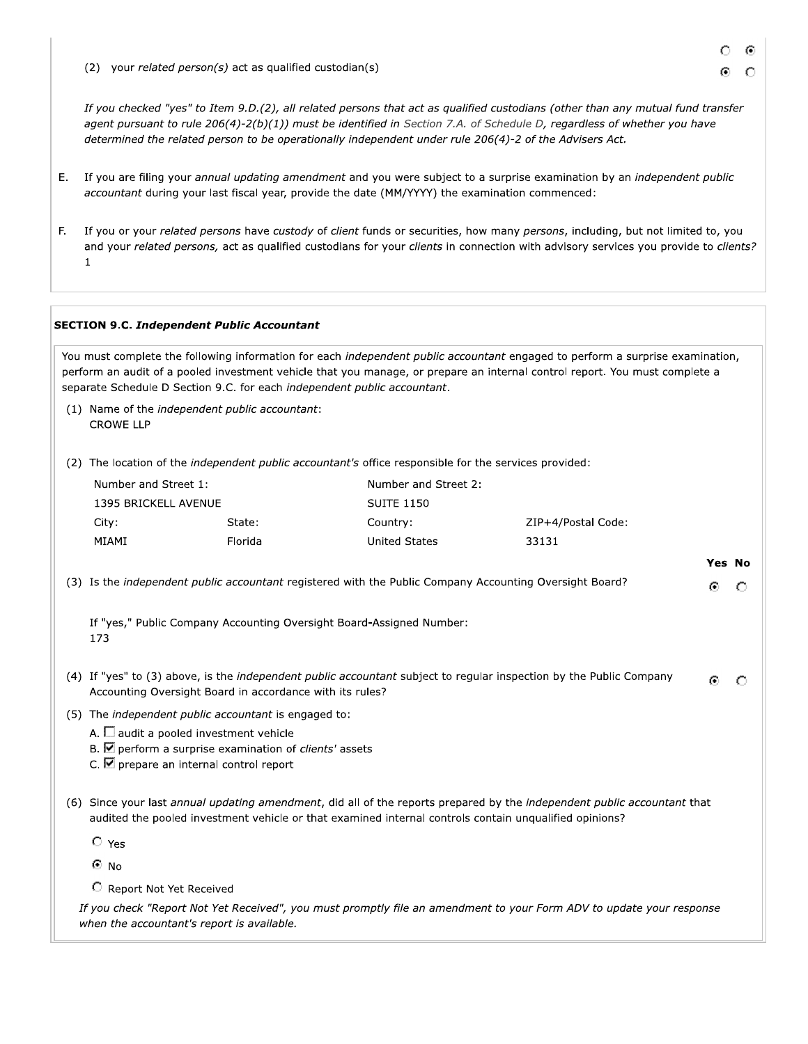(2) your related person(s) act as qualified custodian(s)

If you checked "yes" to Item 9.D.(2), all related persons that act as qualified custodians (other than any mutual fund transfer agent pursuant to rule 206(4)-2(b)(1)) must be identified in Section 7.A. of Schedule D, regardless of whether you have determined the related person to be operationally independent under rule 206(4)-2 of the Advisers Act.

- E. If you are filing your annual updating amendment and you were subject to a surprise examination by an independent public accountant during your last fiscal year, provide the date (MM/YYYY) the examination commenced:
- F. If you or your related persons have custody of client funds or securities, how many persons, including, but not limited to, you and your related persons, act as qualified custodians for your clients in connection with advisory services you provide to clients?  $\mathbf{1}$

#### **SECTION 9.C. Independent Public Accountant**

You must complete the following information for each independent public accountant engaged to perform a surprise examination, perform an audit of a pooled investment vehicle that you manage, or prepare an internal control report. You must complete a separate Schedule D Section 9.C. for each independent public accountant.

(1) Name of the independent public accountant: **CROWE LLP** 

(2) The location of the independent public accountant's office responsible for the services provided:

| Number and Street 1: |         | Number and Street 2: |                    |  |  |  |
|----------------------|---------|----------------------|--------------------|--|--|--|
| 1395 BRICKELL AVENUE |         | <b>SUITE 1150</b>    |                    |  |  |  |
| City:                | State:  | Country:             | ZIP+4/Postal Code: |  |  |  |
| MIAMI                | Florida | United States        | 33131              |  |  |  |

(3) Is the independent public accountant registered with the Public Company Accounting Oversight Board?

If "yes," Public Company Accounting Oversight Board-Assigned Number: 173

- (4) If "yes" to (3) above, is the independent public accountant subject to regular inspection by the Public Company G)  $\circ$ Accounting Oversight Board in accordance with its rules?
- (5) The independent public accountant is engaged to:
	- A.  $\Box$  audit a pooled investment vehicle
	- B.  $\blacksquare$  perform a surprise examination of *clients'* assets
	- C.  $\blacksquare$  prepare an internal control report
- (6) Since your last annual updating amendment, did all of the reports prepared by the independent public accountant that audited the pooled investment vehicle or that examined internal controls contain unqualified opinions?

 $C$  Yes

 $\bullet$  No

C Report Not Yet Received

If you check "Report Not Yet Received", you must promptly file an amendment to your Form ADV to update your response when the accountant's report is available.

**Yes No** 

€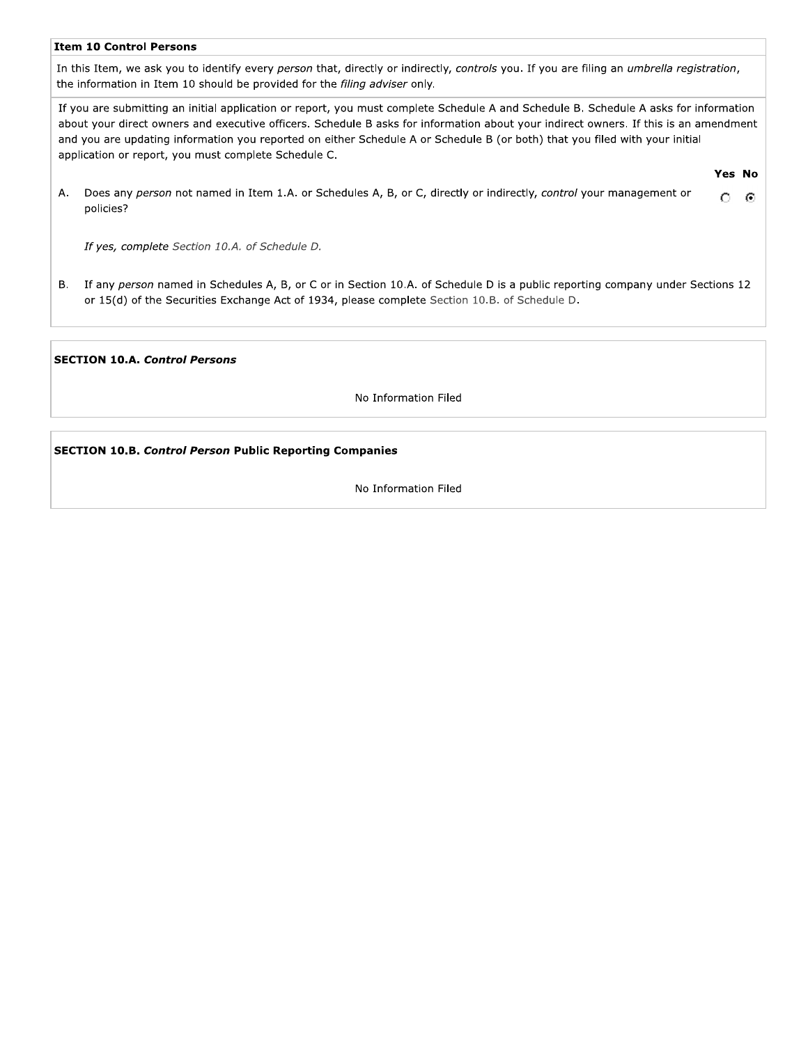#### **Item 10 Control Persons**

In this Item, we ask you to identify every person that, directly or indirectly, controls you. If you are filing an umbrella registration, the information in Item 10 should be provided for the filing adviser only.

If you are submitting an initial application or report, you must complete Schedule A and Schedule B. Schedule A asks for information about your direct owners and executive officers. Schedule B asks for information about your indirect owners. If this is an amendment and you are updating information you reported on either Schedule A or Schedule B (or both) that you filed with your initial application or report, you must complete Schedule C.

Yes No

Does any person not named in Item 1.A. or Schedules A, B, or C, directly or indirectly, control your management or Α.  $\circ$ - © policies?

If yes, complete Section 10.A. of Schedule D.

If any person named in Schedules A, B, or C or in Section 10.A. of Schedule D is a public reporting company under Sections 12 В. or 15(d) of the Securities Exchange Act of 1934, please complete Section 10.B. of Schedule D.

#### **SECTION 10.A. Control Persons**

No Information Filed

# **SECTION 10.B. Control Person Public Reporting Companies**

No Information Filed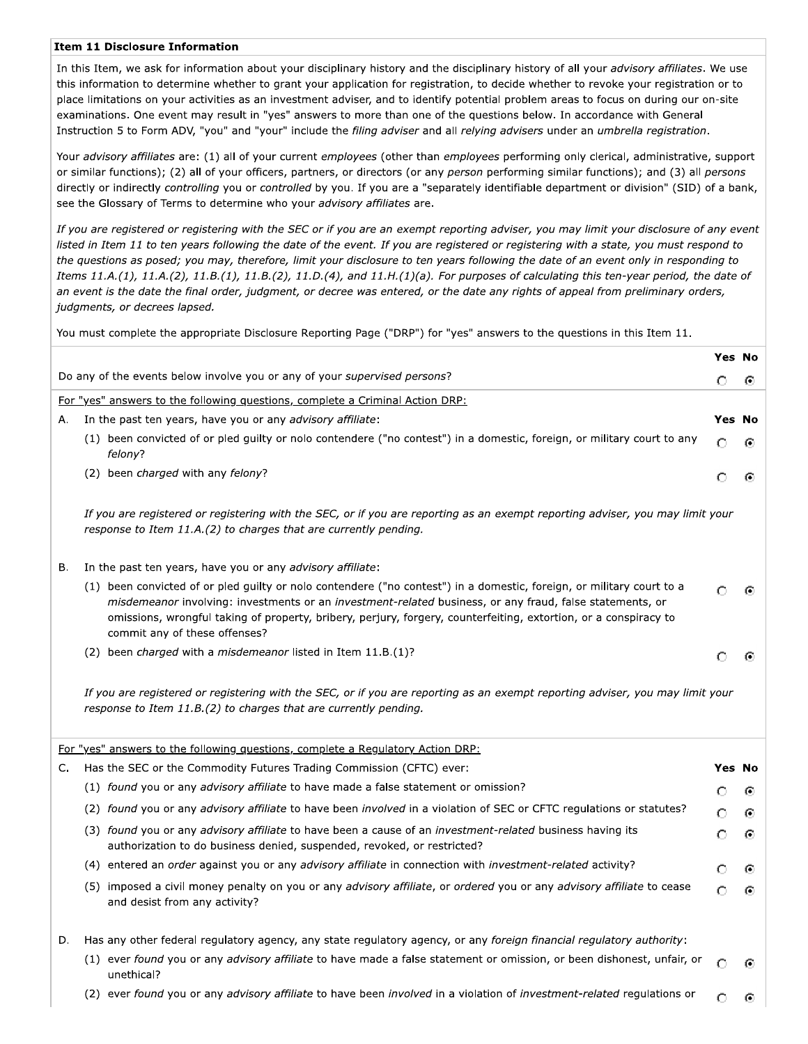#### **Item 11 Disclosure Information**

In this Item, we ask for information about your disciplinary history and the disciplinary history of all your advisory affiliates. We use this information to determine whether to grant your application for registration, to decide whether to revoke your registration or to place limitations on your activities as an investment adviser, and to identify potential problem areas to focus on during our on-site examinations. One event may result in "yes" answers to more than one of the questions below. In accordance with General Instruction 5 to Form ADV, "you" and "your" include the filing adviser and all relying advisers under an umbrella registration.

Your advisory affiliates are: (1) all of your current employees (other than employees performing only clerical, administrative, support or similar functions); (2) all of your officers, partners, or directors (or any person performing similar functions); and (3) all persons directly or indirectly controlling you or controlled by you. If you are a "separately identifiable department or division" (SID) of a bank, see the Glossary of Terms to determine who your advisory affiliates are.

If you are registered or registering with the SEC or if you are an exempt reporting adviser, you may limit your disclosure of any event listed in Item 11 to ten years following the date of the event. If you are registered or registering with a state, you must respond to the questions as posed; you may, therefore, limit your disclosure to ten years following the date of an event only in responding to Items  $11.A.(1), 11.A.(2), 11.B.(1), 11.B.(2), 11.D.(4), and 11.H.(1)(a). For purposes of calculating this ten-year period, the date of$ an event is the date the final order, judgment, or decree was entered, or the date any rights of appeal from preliminary orders, judgments, or decrees lapsed.

You must complete the appropriate Disclosure Reporting Page ("DRP") for "yes" answers to the questions in this Item 11.

|    |                                                                                                                                                                                                                                                                                                                                                                                        | Yes No |         |
|----|----------------------------------------------------------------------------------------------------------------------------------------------------------------------------------------------------------------------------------------------------------------------------------------------------------------------------------------------------------------------------------------|--------|---------|
|    | Do any of the events below involve you or any of your <i>supervised persons?</i>                                                                                                                                                                                                                                                                                                       | О      | ⊙       |
|    | For "yes" answers to the following questions, complete a Criminal Action DRP:                                                                                                                                                                                                                                                                                                          |        |         |
| Α. | In the past ten years, have you or any <i>advisory affiliate</i> :                                                                                                                                                                                                                                                                                                                     | Yes No |         |
|    | (1) been convicted of or pled guilty or nolo contendere ("no contest") in a domestic, foreign, or military court to any<br>felony?                                                                                                                                                                                                                                                     | Ο      | ⊙       |
|    | (2) been charged with any felony?                                                                                                                                                                                                                                                                                                                                                      | Ο      | ⊙       |
|    | If you are registered or registering with the SEC, or if you are reporting as an exempt reporting adviser, you may limit your<br>response to Item 11.A.(2) to charges that are currently pending.                                                                                                                                                                                      |        |         |
| В. | In the past ten years, have you or any advisory affiliate:                                                                                                                                                                                                                                                                                                                             |        |         |
|    | (1) been convicted of or pled guilty or nolo contendere ("no contest") in a domestic, foreign, or military court to a<br>misdemeanor involving: investments or an investment-related business, or any fraud, false statements, or<br>omissions, wrongful taking of property, bribery, perjury, forgery, counterfeiting, extortion, or a conspiracy to<br>commit any of these offenses? | Ω      | ⊙       |
|    | (2) been <i>charged</i> with a <i>misdemeanor</i> listed in Item $11.B.(1)$ ?                                                                                                                                                                                                                                                                                                          | О      | ⊙       |
|    | If you are registered or registering with the SEC, or if you are reporting as an exempt reporting adviser, you may limit your<br>response to Item 11.B.(2) to charges that are currently pending.                                                                                                                                                                                      |        |         |
|    | For "yes" answers to the following questions, complete a Regulatory Action DRP:                                                                                                                                                                                                                                                                                                        |        |         |
| C. | Has the SEC or the Commodity Futures Trading Commission (CFTC) ever:                                                                                                                                                                                                                                                                                                                   | Yes No |         |
|    | (1) found you or any <i>advisory affiliate</i> to have made a false statement or omission?                                                                                                                                                                                                                                                                                             | Ο      | ⊙       |
|    | (2) found you or any advisory affiliate to have been involved in a violation of SEC or CFTC regulations or statutes?                                                                                                                                                                                                                                                                   | Ω      | ⊙       |
|    | (3) found you or any advisory affiliate to have been a cause of an investment-related business having its<br>authorization to do business denied, suspended, revoked, or restricted?                                                                                                                                                                                                   | О      | Θ       |
|    | (4) entered an <i>order</i> against you or any <i>advisory affiliate</i> in connection with <i>investment-related</i> activity?                                                                                                                                                                                                                                                        | Ο      | ⊙       |
|    | (5) imposed a civil money penalty on you or any advisory affiliate, or ordered you or any advisory affiliate to cease<br>and desist from any activity?                                                                                                                                                                                                                                 | O      | $\odot$ |
| D. | Has any other federal regulatory agency, any state regulatory agency, or any foreign financial regulatory authority:                                                                                                                                                                                                                                                                   |        |         |
|    | (1) ever found you or any advisory affiliate to have made a false statement or omission, or been dishonest, unfair, or<br>unethical?                                                                                                                                                                                                                                                   | O      | O       |
|    | (2) ever found you or any advisory affiliate to have been involved in a violation of investment-related regulations or                                                                                                                                                                                                                                                                 | Ο      | ⊙       |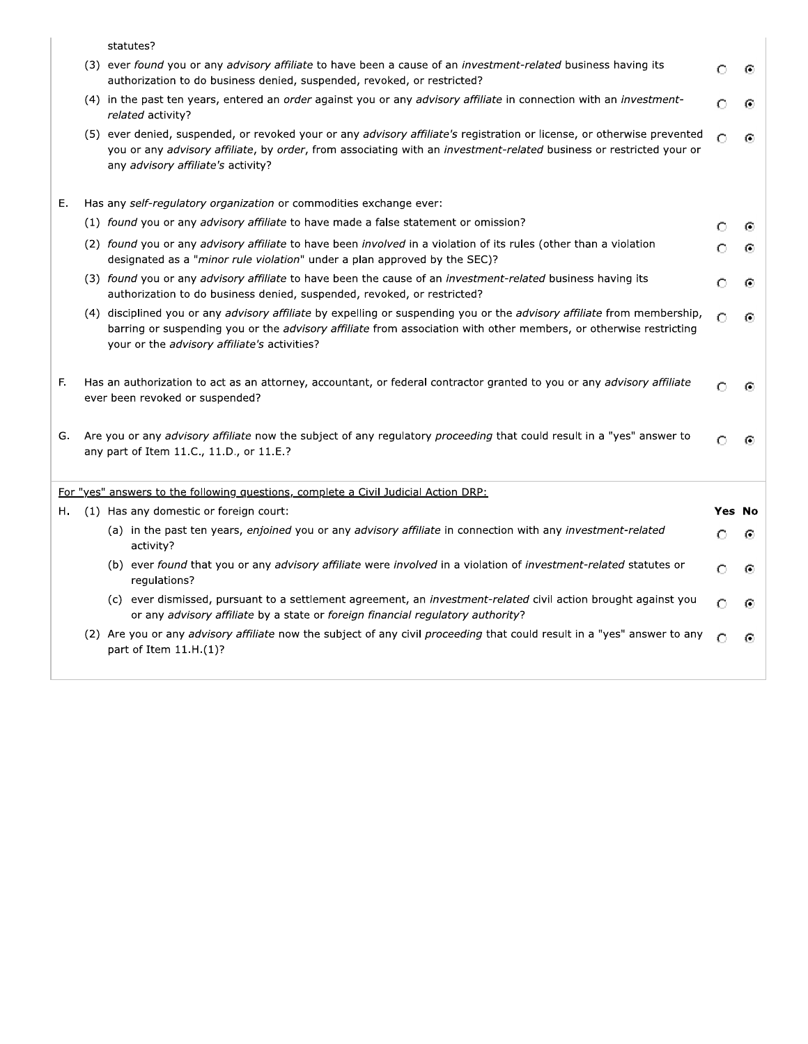|    | statutes?                                                                                                                                                                                                                                                                                    |        |   |
|----|----------------------------------------------------------------------------------------------------------------------------------------------------------------------------------------------------------------------------------------------------------------------------------------------|--------|---|
|    | (3) ever found you or any advisory affiliate to have been a cause of an <i>investment-related</i> business having its<br>authorization to do business denied, suspended, revoked, or restricted?                                                                                             | O      | ⊙ |
|    | (4) in the past ten years, entered an order against you or any <i>advisory affiliate</i> in connection with an <i>investment-</i><br>related activity?                                                                                                                                       | O      | Θ |
|    | (5) ever denied, suspended, or revoked your or any advisory affiliate's registration or license, or otherwise prevented<br>you or any advisory affiliate, by order, from associating with an investment-related business or restricted your or<br>any advisory affiliate's activity?         | Ω      | ⊙ |
| Ε. | Has any self-regulatory organization or commodities exchange ever:                                                                                                                                                                                                                           |        |   |
|    | (1) found you or any advisory affiliate to have made a false statement or omission?                                                                                                                                                                                                          | ∩      | G |
|    | (2) found you or any advisory affiliate to have been involved in a violation of its rules (other than a violation<br>designated as a "minor rule violation" under a plan approved by the SEC)?                                                                                               | O      | ⊙ |
|    | (3) found you or any advisory affiliate to have been the cause of an <i>investment-related</i> business having its<br>authorization to do business denied, suspended, revoked, or restricted?                                                                                                | O      | ⊙ |
|    | (4) disciplined you or any advisory affiliate by expelling or suspending you or the advisory affiliate from membership,<br>barring or suspending you or the advisory affiliate from association with other members, or otherwise restricting<br>your or the advisory affiliate's activities? | ∩      | ⊙ |
| F. | Has an authorization to act as an attorney, accountant, or federal contractor granted to you or any <i>advisory affiliate</i><br>ever been revoked or suspended?                                                                                                                             | Ω      | G |
| G. | Are you or any advisory affiliate now the subject of any regulatory proceeding that could result in a "yes" answer to<br>any part of Item 11.C., 11.D., or 11.E.?                                                                                                                            | O      | G |
|    | For "yes" answers to the following questions, complete a Civil Judicial Action DRP:                                                                                                                                                                                                          |        |   |
| н. | (1) Has any domestic or foreign court:                                                                                                                                                                                                                                                       | Yes No |   |
|    | (a) in the past ten years, enjoined you or any advisory affiliate in connection with any investment-related<br>activity?                                                                                                                                                                     | O      | ⊙ |
|    | (b) ever found that you or any advisory affiliate were involved in a violation of investment-related statutes or<br>regulations?                                                                                                                                                             | O      | ⊙ |
|    | (c) ever dismissed, pursuant to a settlement agreement, an investment-related civil action brought against you<br>or any advisory affiliate by a state or foreign financial regulatory authority?                                                                                            | Ω      | G |
|    | (2) Are you or any advisory affiliate now the subject of any civil proceeding that could result in a "yes" answer to any<br>part of Item 11.H.(1)?                                                                                                                                           | O      | ⊙ |
|    |                                                                                                                                                                                                                                                                                              |        |   |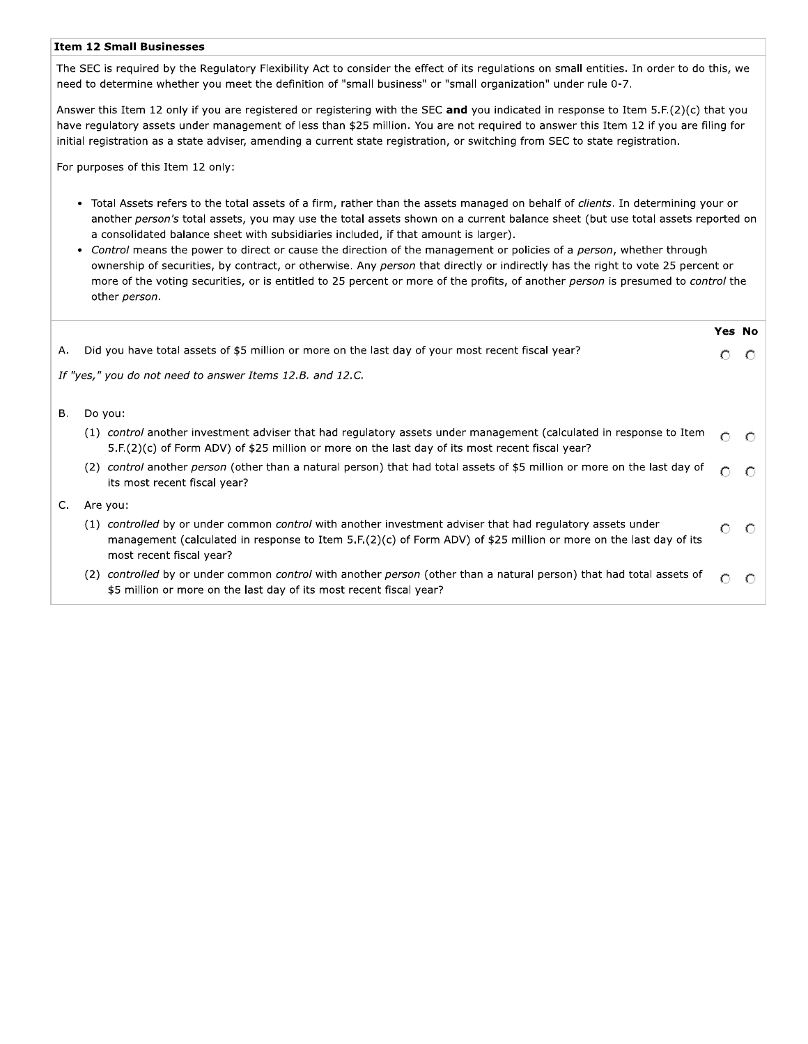#### **Item 12 Small Businesses**

The SEC is required by the Regulatory Flexibility Act to consider the effect of its regulations on small entities. In order to do this, we need to determine whether you meet the definition of "small business" or "small organization" under rule 0-7.

Answer this Item 12 only if you are registered or registering with the SEC and you indicated in response to Item 5.F.(2)(c) that you have regulatory assets under management of less than \$25 million. You are not required to answer this Item 12 if you are filing for initial registration as a state adviser, amending a current state registration, or switching from SEC to state registration.

For purposes of this Item 12 only:

- · Total Assets refers to the total assets of a firm, rather than the assets managed on behalf of clients. In determining your or another person's total assets, you may use the total assets shown on a current balance sheet (but use total assets reported on a consolidated balance sheet with subsidiaries included, if that amount is larger).
- Control means the power to direct or cause the direction of the management or policies of a person, whether through ownership of securities, by contract, or otherwise. Any person that directly or indirectly has the right to vote 25 percent or more of the voting securities, or is entitled to 25 percent or more of the profits, of another person is presumed to control the other person.

|                                                           |                                                                                                                                                                                                                                                             |   | <b>Yes No</b> |  |
|-----------------------------------------------------------|-------------------------------------------------------------------------------------------------------------------------------------------------------------------------------------------------------------------------------------------------------------|---|---------------|--|
| А.                                                        | Did you have total assets of \$5 million or more on the last day of your most recent fiscal year?                                                                                                                                                           |   |               |  |
| If "yes," you do not need to answer Items 12.B. and 12.C. |                                                                                                                                                                                                                                                             |   |               |  |
| В.                                                        | Do you:                                                                                                                                                                                                                                                     |   |               |  |
|                                                           | (1) control another investment adviser that had regulatory assets under management (calculated in response to Item<br>5.F.(2)(c) of Form ADV) of \$25 million or more on the last day of its most recent fiscal year?                                       |   |               |  |
|                                                           | control another person (other than a natural person) that had total assets of \$5 million or more on the last day of<br>(2)<br>its most recent fiscal year?                                                                                                 | O |               |  |
| C.                                                        | Are you:                                                                                                                                                                                                                                                    |   |               |  |
|                                                           | (1) controlled by or under common control with another investment adviser that had requiatory assets under<br>management (calculated in response to Item 5.F.(2)(c) of Form ADV) of \$25 million or more on the last day of its<br>most recent fiscal year? | Ω |               |  |
|                                                           | controlled by or under common control with another person (other than a natural person) that had total assets of<br>(2)<br>\$5 million or more on the last day of its most recent fiscal year?                                                              |   |               |  |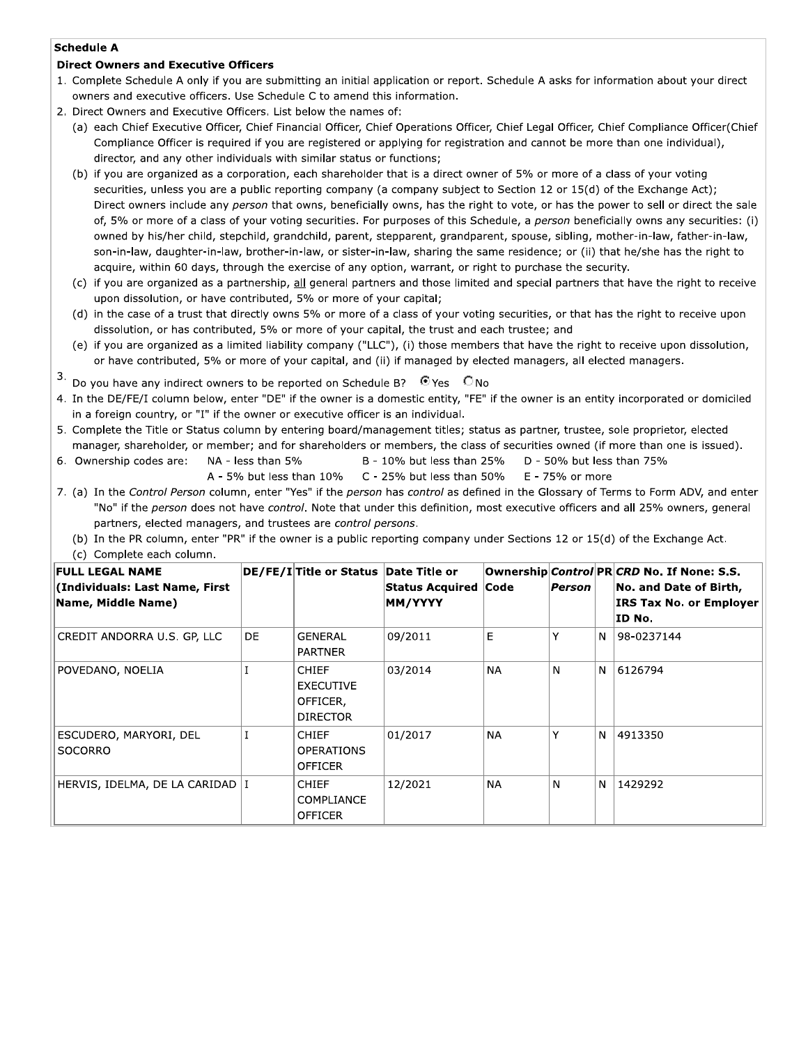# **Schedule A**

# **Direct Owners and Executive Officers**

- 1. Complete Schedule A only if you are submitting an initial application or report. Schedule A asks for information about your direct owners and executive officers. Use Schedule C to amend this information.
- 2. Direct Owners and Executive Officers. List below the names of:
	- (a) each Chief Executive Officer, Chief Financial Officer, Chief Operations Officer, Chief Legal Officer, Chief Compliance Officer(Chief Compliance Officer is required if you are registered or applying for registration and cannot be more than one individual), director, and any other individuals with similar status or functions;
	- (b) if you are organized as a corporation, each shareholder that is a direct owner of 5% or more of a class of your voting securities, unless you are a public reporting company (a company subject to Section 12 or 15(d) of the Exchange Act); Direct owners include any person that owns, beneficially owns, has the right to vote, or has the power to sell or direct the sale of, 5% or more of a class of your voting securities. For purposes of this Schedule, a person beneficially owns any securities: (i) owned by his/her child, stepchild, grandchild, parent, stepparent, grandparent, spouse, sibling, mother-in-law, father-in-law, son-in-law, daughter-in-law, brother-in-law, or sister-in-law, sharing the same residence; or (ii) that he/she has the right to acquire, within 60 days, through the exercise of any option, warrant, or right to purchase the security.
	- (c) if you are organized as a partnership, all general partners and those limited and special partners that have the right to receive upon dissolution, or have contributed, 5% or more of your capital;
	- (d) in the case of a trust that directly owns 5% or more of a class of your voting securities, or that has the right to receive upon dissolution, or has contributed, 5% or more of your capital, the trust and each trustee; and
	- (e) if you are organized as a limited liability company ("LLC"), (i) those members that have the right to receive upon dissolution, or have contributed, 5% or more of your capital, and (ii) if managed by elected managers, all elected managers.
- Do you have any indirect owners to be reported on Schedule B?  $\bullet$  Yes  $\circ$  No

NA - less than 5%

- 4. In the DE/FE/I column below, enter "DE" if the owner is a domestic entity, "FE" if the owner is an entity incorporated or domiciled in a foreign country, or "I" if the owner or executive officer is an individual.
- 5. Complete the Title or Status column by entering board/management titles; status as partner, trustee, sole proprietor, elected manager, shareholder, or member; and for shareholders or members, the class of securities owned (if more than one is issued).
- 6. Ownership codes are:
- B 10% but less than 25% D - 50% but less than 75% A - 5% but less than 10%
	- C 25% but less than  $50\%$ E - 75% or more

7. (a) In the Control Person column, enter "Yes" if the person has control as defined in the Glossary of Terms to Form ADV, and enter "No" if the person does not have control. Note that under this definition, most executive officers and all 25% owners, general partners, elected managers, and trustees are control persons.

(b) In the PR column, enter "PR" if the owner is a public reporting company under Sections 12 or 15(d) of the Exchange Act.

| FULL LEGAL NAME<br>(Individuals: Last Name, First<br>Name, Middle Name) |     | DE/FE/I Title or Status Date Title or                           | Status Acquired Code<br>MM/YYYY |           | Person |   | Ownership Control PR CRD No. If None: S.S.<br>No. and Date of Birth,<br>IRS Tax No. or Employer<br>ID No. |
|-------------------------------------------------------------------------|-----|-----------------------------------------------------------------|---------------------------------|-----------|--------|---|-----------------------------------------------------------------------------------------------------------|
| CREDIT ANDORRA U.S. GP, LLC                                             | DE. | GENERAL<br><b>PARTNER</b>                                       | 09/2011                         | E.        |        | N | 98-0237144                                                                                                |
| POVEDANO, NOELIA                                                        |     | <b>CHIEF</b><br><b>EXECUTIVE</b><br>OFFICER,<br><b>DIRECTOR</b> | 03/2014                         | <b>NA</b> | N      | N | 6126794                                                                                                   |
| ESCUDERO, MARYORI, DEL<br>SOCORRO                                       |     | <b>CHIEF</b><br><b>OPERATIONS</b><br><b>OFFICER</b>             | 01/2017                         | <b>NA</b> |        | N | 4913350                                                                                                   |
| HERVIS, IDELMA, DE LA CARIDAD   I                                       |     | <b>CHIEF</b><br><b>COMPLIANCE</b><br><b>OFFICER</b>             | 12/2021                         | <b>NA</b> | N      | N | 1429292                                                                                                   |

(c) Complete each column.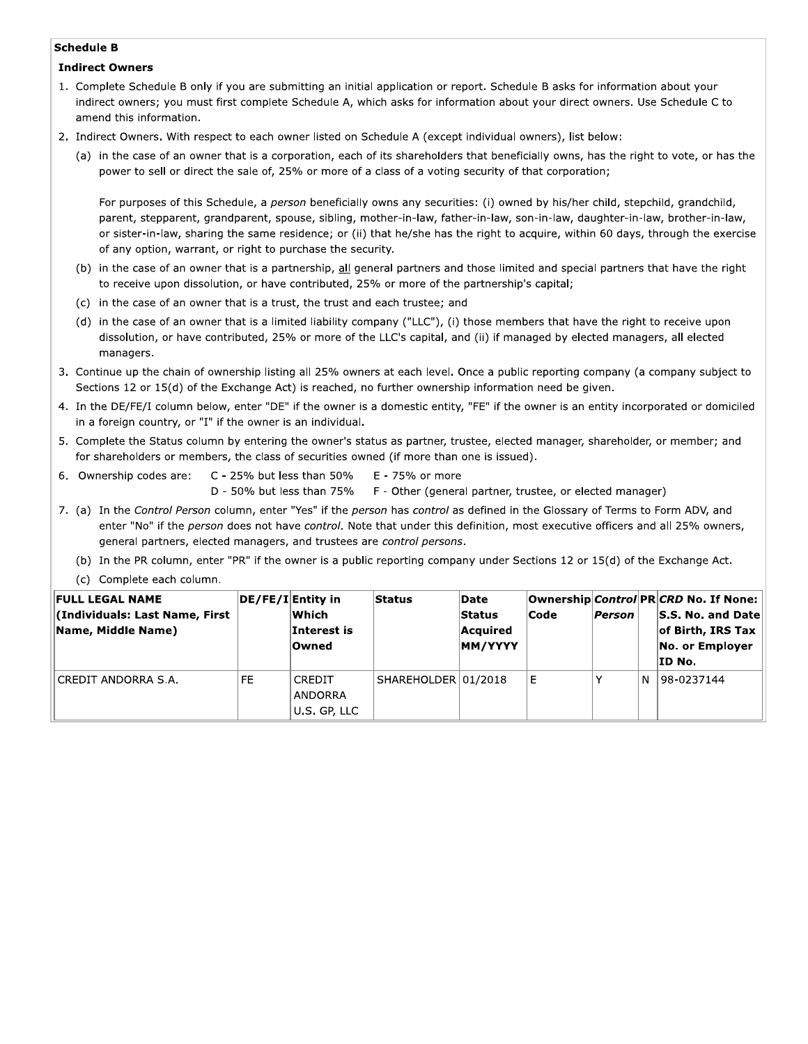#### **Schedule B**

#### **Indirect Owners**

- 1. Complete Schedule B only if you are submitting an initial application or report. Schedule B asks for information about your indirect owners; you must first complete Schedule A, which asks for information about your direct owners. Use Schedule C to amend this information.
- 2. Indirect Owners. With respect to each owner listed on Schedule A (except individual owners), list below:
	- (a) in the case of an owner that is a corporation, each of its shareholders that beneficially owns, has the right to vote, or has the power to sell or direct the sale of, 25% or more of a class of a voting security of that corporation;

For purposes of this Schedule, a person beneficially owns any securities: (i) owned by his/her child, stepchild, grandchild, parent, stepparent, grandparent, spouse, sibling, mother-in-law, father-in-law, son-in-law, daughter-in-law, brother-in-law, or sister-in-law, sharing the same residence; or (ii) that he/she has the right to acquire, within 60 days, through the exercise of any option, warrant, or right to purchase the security.

- (b) in the case of an owner that is a partnership, all general partners and those limited and special partners that have the right to receive upon dissolution, or have contributed, 25% or more of the partnership's capital;
- (c) in the case of an owner that is a trust, the trust and each trustee; and
- (d) in the case of an owner that is a limited liability company ("LLC"), (i) those members that have the right to receive upon dissolution, or have contributed, 25% or more of the LLC's capital, and (ii) if managed by elected managers, all elected managers.
- 3. Continue up the chain of ownership listing all 25% owners at each level. Once a public reporting company (a company subject to Sections 12 or 15(d) of the Exchange Act) is reached, no further ownership information need be given.
- 4. In the DE/FE/I column below, enter "DE" if the owner is a domestic entity, "FE" if the owner is an entity incorporated or domiciled in a foreign country, or "I" if the owner is an individual.
- 5. Complete the Status column by entering the owner's status as partner, trustee, elected manager, shareholder, or member; and for shareholders or members, the class of securities owned (if more than one is issued).
- 6. Ownership codes are:
- C 25% but less than  $50\%$ D - 50% but less than 75%
	- E 75% or more F - Other (general partner, trustee, or elected manager)
- 7. (a) In the Control Person column, enter "Yes" if the person has control as defined in the Glossary of Terms to Form ADV, and enter "No" if the person does not have control. Note that under this definition, most executive officers and all 25% owners, general partners, elected managers, and trustees are control persons.
	- (b) In the PR column, enter "PR" if the owner is a public reporting company under Sections 12 or 15(d) of the Exchange Act.
	- (c) Complete each column.

| <b>FULL LEGAL NAME</b><br>(Individuals: Last Name, First)<br>Name, Middle Name) | $ DE/FE/I Entity$ in | Which.<br>Interest is<br><b>Owned</b>    | <b>Status</b>       | Date<br><b>Status</b><br>Acauired<br>MM/YYYY | <b>Code</b> | <b>Person</b> |   | Ownership Control PR CRD No. If None:  <br>$ S.S.$ No. and Date<br>of Birth, IRS Tax<br>No. or Employer<br>ID No. |
|---------------------------------------------------------------------------------|----------------------|------------------------------------------|---------------------|----------------------------------------------|-------------|---------------|---|-------------------------------------------------------------------------------------------------------------------|
| CREDIT ANDORRA S.A.                                                             | FE                   | <b>CREDIT</b><br>ANDORRA<br>U.S. GP, LLC | SHAREHOLDER 01/2018 |                                              | Е           |               | N | 98-0237144                                                                                                        |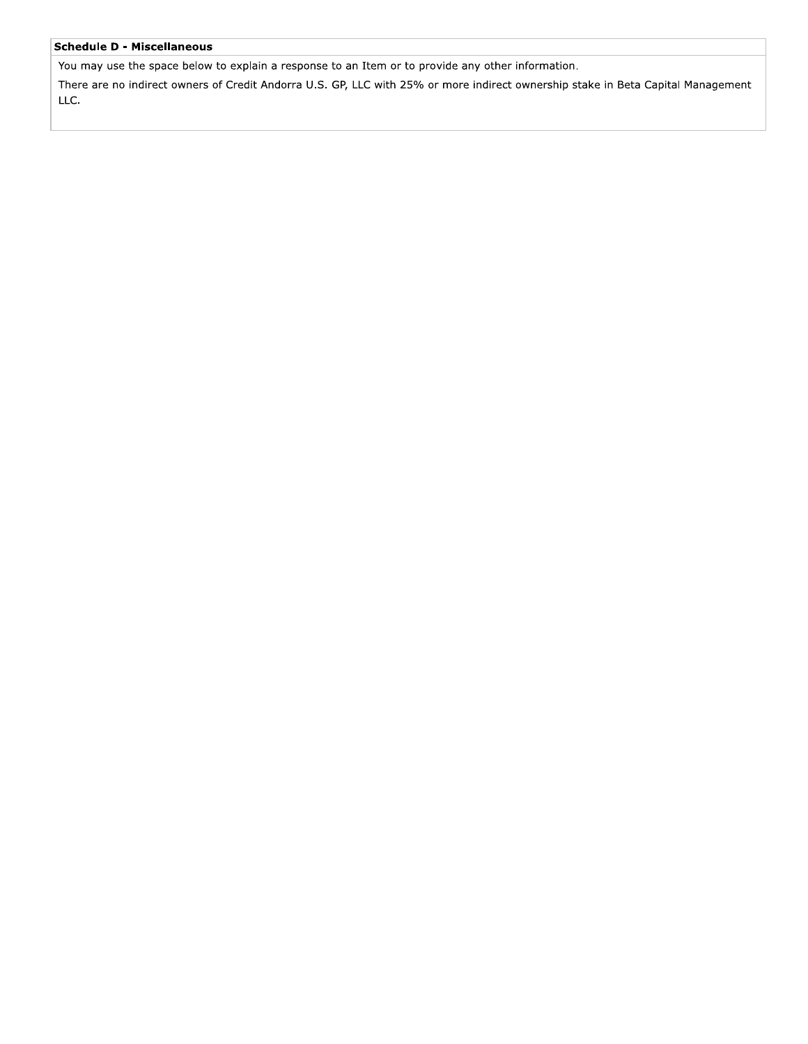### **Schedule D - Miscellaneous**

You may use the space below to explain a response to an Item or to provide any other information.

There are no indirect owners of Credit Andorra U.S. GP, LLC with 25% or more indirect ownership stake in Beta Capital Management LLC.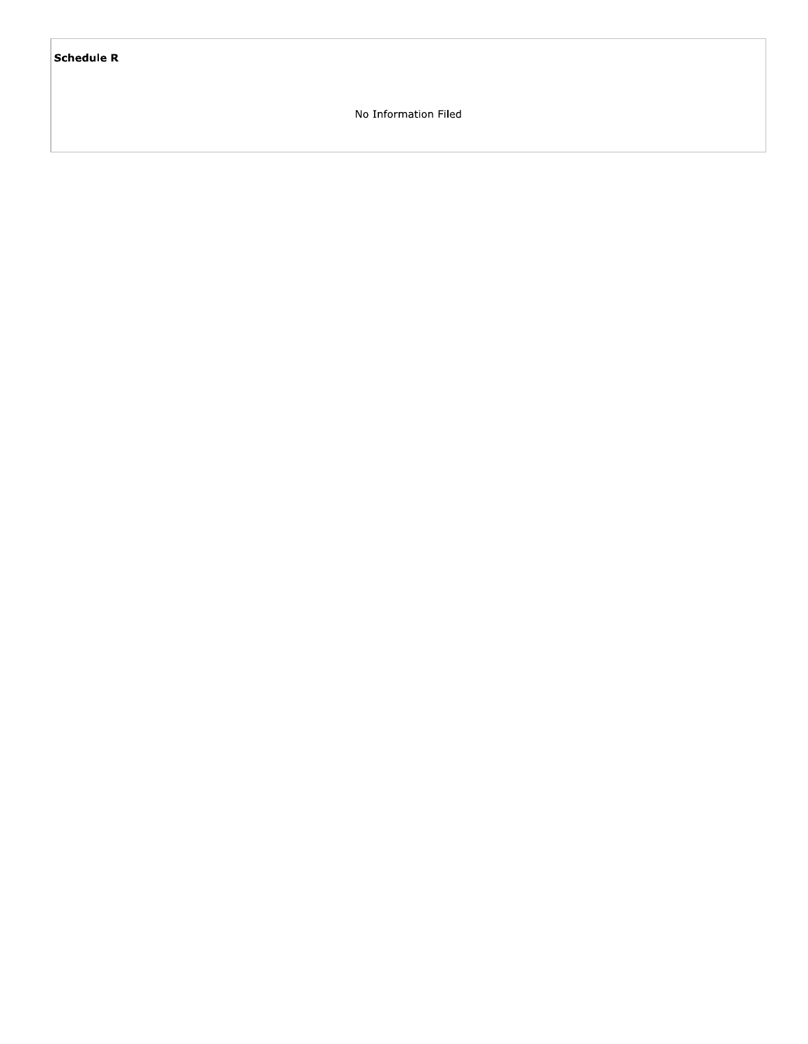# **Schedule R**

No Information Filed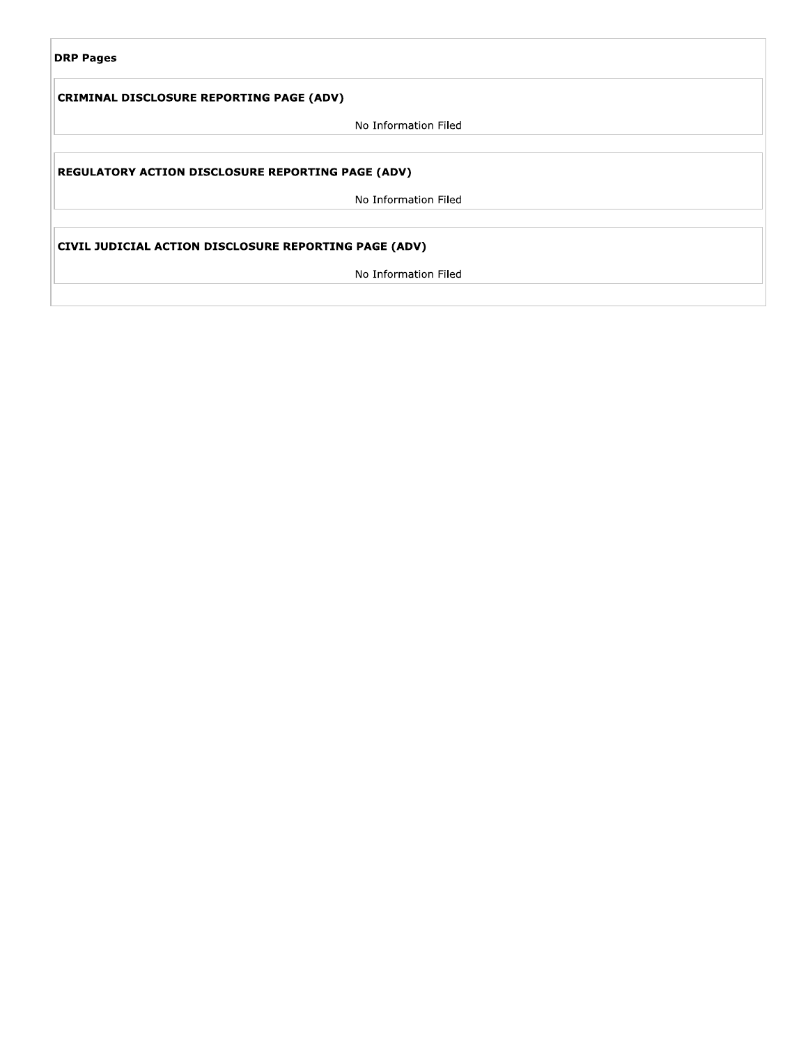| <b>DRP Pages</b> |  |
|------------------|--|
|------------------|--|

# **CRIMINAL DISCLOSURE REPORTING PAGE (ADV)**

No Information Filed

# REGULATORY ACTION DISCLOSURE REPORTING PAGE (ADV)

No Information Filed

# CIVIL JUDICIAL ACTION DISCLOSURE REPORTING PAGE (ADV)

No Information Filed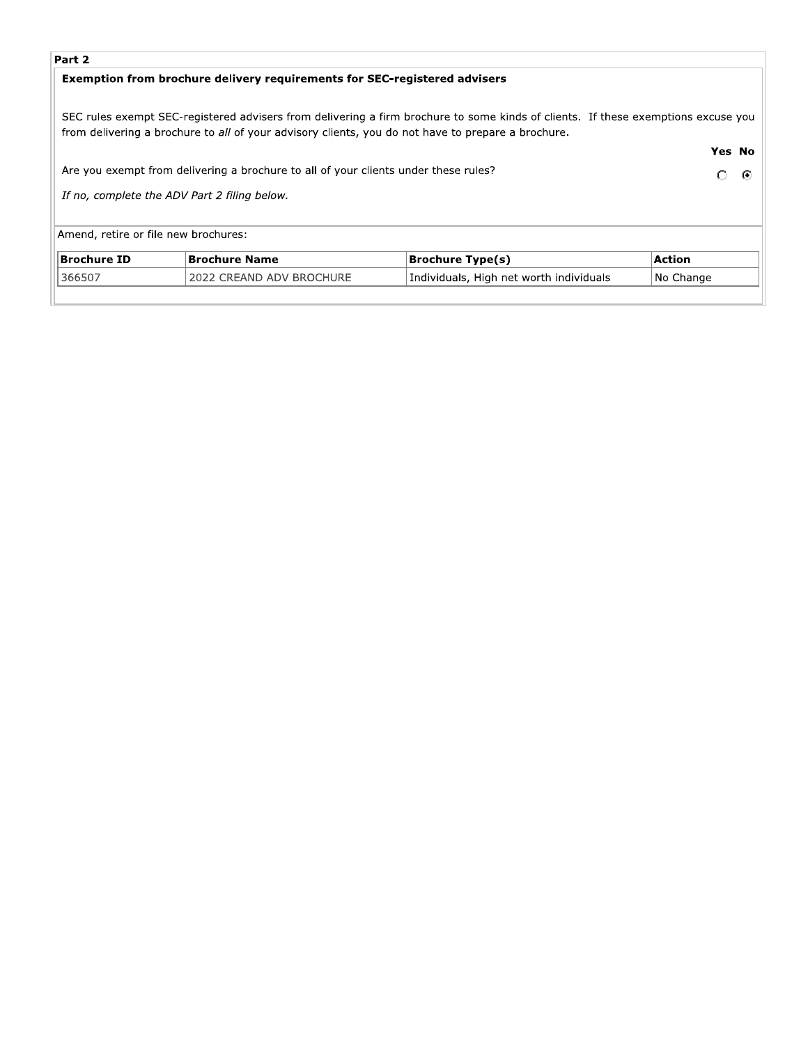# Part 2

# Exemption from brochure delivery requirements for SEC-registered advisers

SEC rules exempt SEC-registered advisers from delivering a firm brochure to some kinds of clients. If these exemptions excuse you from delivering a brochure to all of your advisory clients, you do not have to prepare a brochure.

|                                                                                     |                          |                                         | <b>Yes No</b> |  |  |  |
|-------------------------------------------------------------------------------------|--------------------------|-----------------------------------------|---------------|--|--|--|
| Are you exempt from delivering a brochure to all of your clients under these rules? |                          |                                         |               |  |  |  |
| If no, complete the ADV Part 2 filing below.                                        |                          |                                         |               |  |  |  |
| Amend, retire or file new brochures:                                                |                          |                                         |               |  |  |  |
| <b>Brochure ID</b>                                                                  | Brochure Name            | <b>Brochure Type(s)</b>                 | <b>Action</b> |  |  |  |
| 366507                                                                              | 2022 CREAND ADV BROCHURE | Individuals, High net worth individuals | No Change     |  |  |  |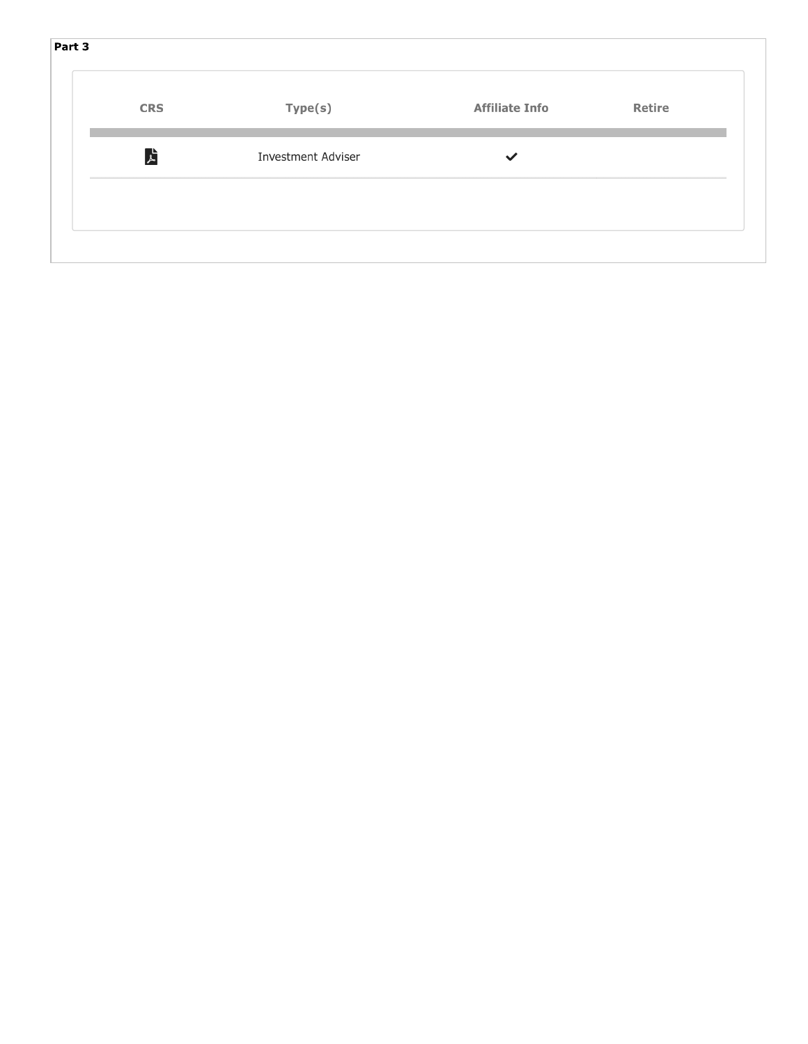| Part 3     |                           |                       |        |
|------------|---------------------------|-----------------------|--------|
| <b>CRS</b> | Type(s)                   | <b>Affiliate Info</b> | Retire |
| ア          | <b>Investment Adviser</b> | $\checkmark$          |        |
|            |                           |                       |        |
|            |                           |                       |        |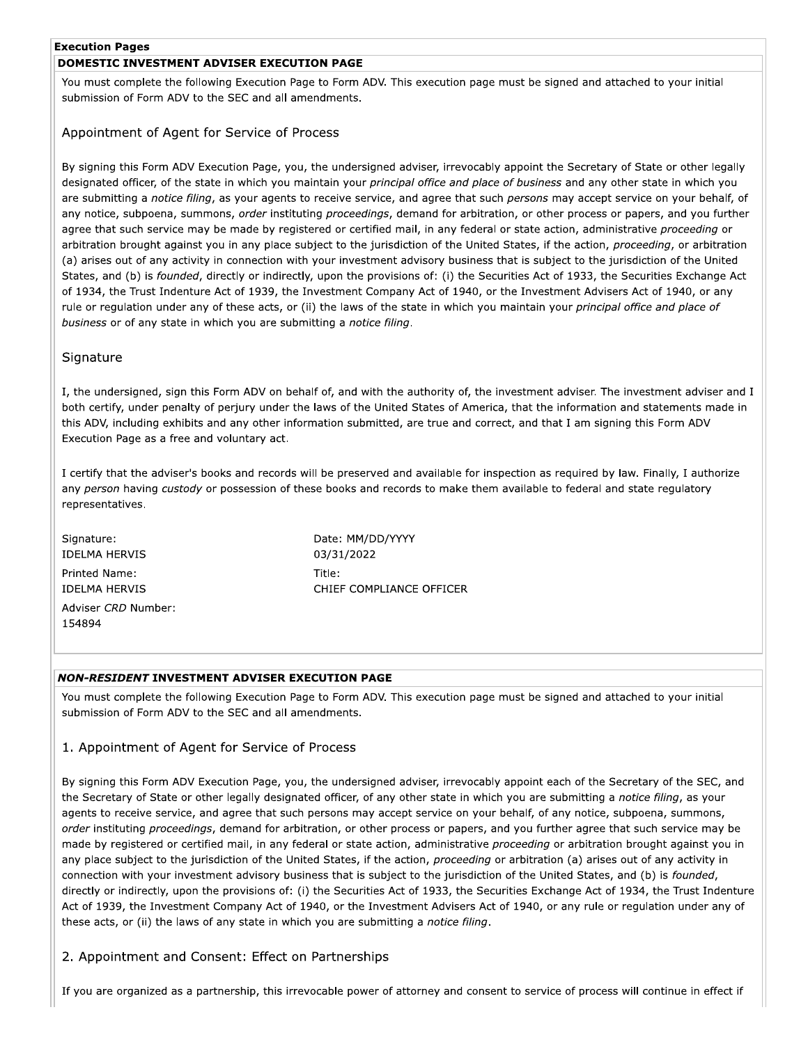### **Execution Pages**

# DOMESTIC INVESTMENT ADVISER EXECUTION PAGE

You must complete the following Execution Page to Form ADV. This execution page must be signed and attached to your initial submission of Form ADV to the SEC and all amendments.

# Appointment of Agent for Service of Process

By signing this Form ADV Execution Page, you, the undersigned adviser, irrevocably appoint the Secretary of State or other legally designated officer, of the state in which you maintain your principal office and place of business and any other state in which you are submitting a notice filing, as your agents to receive service, and agree that such persons may accept service on your behalf, of any notice, subpoena, summons, order instituting proceedings, demand for arbitration, or other process or papers, and you further agree that such service may be made by registered or certified mail, in any federal or state action, administrative proceeding or arbitration brought against you in any place subject to the jurisdiction of the United States, if the action, proceeding, or arbitration (a) arises out of any activity in connection with your investment advisory business that is subject to the jurisdiction of the United States, and (b) is founded, directly or indirectly, upon the provisions of: (i) the Securities Act of 1933, the Securities Exchange Act of 1934, the Trust Indenture Act of 1939, the Investment Company Act of 1940, or the Investment Advisers Act of 1940, or any rule or regulation under any of these acts, or (ii) the laws of the state in which you maintain your principal office and place of business or of any state in which you are submitting a notice filing.

# Signature

I, the undersigned, sign this Form ADV on behalf of, and with the authority of, the investment adviser. The investment adviser and I both certify, under penalty of perjury under the laws of the United States of America, that the information and statements made in this ADV, including exhibits and any other information submitted, are true and correct, and that I am signing this Form ADV Execution Page as a free and voluntary act.

I certify that the adviser's books and records will be preserved and available for inspection as required by law. Finally, I authorize any person having custody or possession of these books and records to make them available to federal and state regulatory representatives.

Signature: **IDELMA HERVIS** Printed Name: **IDELMA HERVIS** Adviser CRD Number: 154894

Date: MM/DD/YYYY 03/31/2022 Title: CHIEF COMPLIANCE OFFICER

#### **NON-RESIDENT INVESTMENT ADVISER EXECUTION PAGE**

You must complete the following Execution Page to Form ADV. This execution page must be signed and attached to your initial submission of Form ADV to the SEC and all amendments.

# 1. Appointment of Agent for Service of Process

By signing this Form ADV Execution Page, you, the undersigned adviser, irrevocably appoint each of the Secretary of the SEC, and the Secretary of State or other legally designated officer, of any other state in which you are submitting a notice filing, as your agents to receive service, and agree that such persons may accept service on your behalf, of any notice, subpoena, summons, order instituting proceedings, demand for arbitration, or other process or papers, and you further agree that such service may be made by registered or certified mail, in any federal or state action, administrative proceeding or arbitration brought against you in any place subject to the jurisdiction of the United States, if the action, proceeding or arbitration (a) arises out of any activity in connection with your investment advisory business that is subject to the jurisdiction of the United States, and (b) is founded, directly or indirectly, upon the provisions of: (i) the Securities Act of 1933, the Securities Exchange Act of 1934, the Trust Indenture Act of 1939, the Investment Company Act of 1940, or the Investment Advisers Act of 1940, or any rule or regulation under any of these acts, or (ii) the laws of any state in which you are submitting a notice filing.

# 2. Appointment and Consent: Effect on Partnerships

If you are organized as a partnership, this irrevocable power of attorney and consent to service of process will continue in effect if